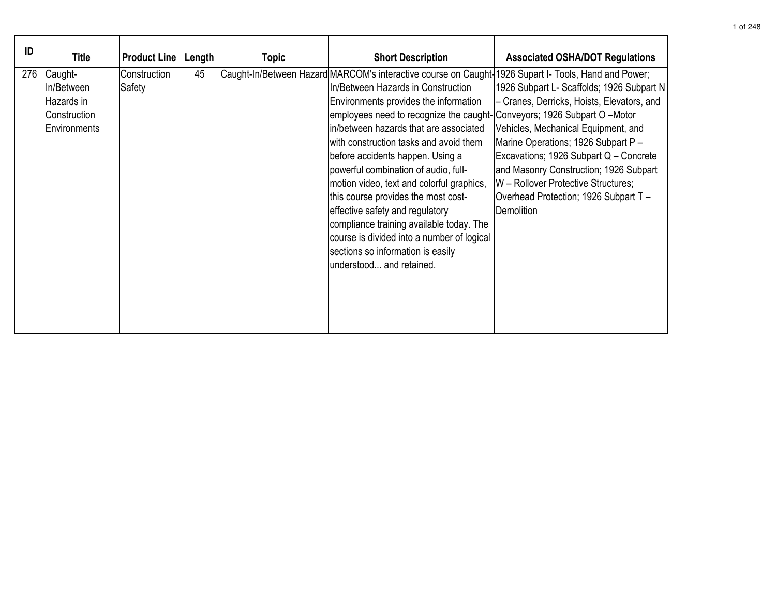| ID  | <b>Title</b>                                                        | <b>Product Line</b>    | Length | <b>Topic</b> | <b>Short Description</b>                                                                                                                                                                                                                                                                                                                                                                                                                                                                                                                                                                                                                                                                                            | <b>Associated OSHA/DOT Regulations</b>                                                                                                                                                                                                                                                                                                                  |
|-----|---------------------------------------------------------------------|------------------------|--------|--------------|---------------------------------------------------------------------------------------------------------------------------------------------------------------------------------------------------------------------------------------------------------------------------------------------------------------------------------------------------------------------------------------------------------------------------------------------------------------------------------------------------------------------------------------------------------------------------------------------------------------------------------------------------------------------------------------------------------------------|---------------------------------------------------------------------------------------------------------------------------------------------------------------------------------------------------------------------------------------------------------------------------------------------------------------------------------------------------------|
| 276 | Caught-<br>In/Between<br>Hazards in<br>Construction<br>Environments | Construction<br>Safety | 45     |              | Caught-In/Between Hazard MARCOM's interactive course on Caught-1926 Supart I- Tools, Hand and Power;<br>In/Between Hazards in Construction<br>Environments provides the information<br>employees need to recognize the caught- Conveyors; 1926 Subpart O - Motor<br>in/between hazards that are associated<br>with construction tasks and avoid them<br>before accidents happen. Using a<br>powerful combination of audio, full-<br>motion video, text and colorful graphics,<br>this course provides the most cost-<br>effective safety and regulatory<br>compliance training available today. The<br>course is divided into a number of logical<br>sections so information is easily<br>lunderstood and retained. | 1926 Subpart L- Scaffolds; 1926 Subpart N<br>- Cranes, Derricks, Hoists, Elevators, and<br>Vehicles, Mechanical Equipment, and<br>Marine Operations; 1926 Subpart P -<br>Excavations; 1926 Subpart Q - Concrete<br>and Masonry Construction; 1926 Subpart<br>W - Rollover Protective Structures;<br>Overhead Protection; 1926 Subpart T -<br>Demolition |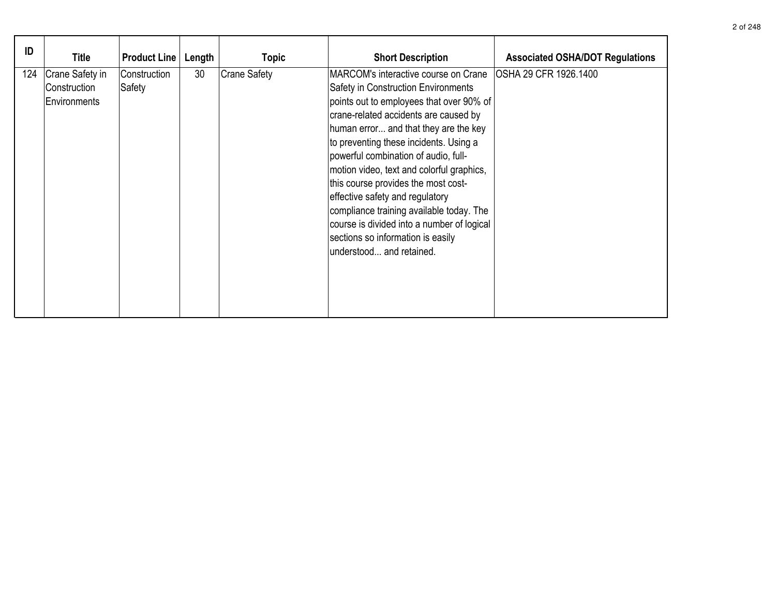| ID  | <b>Title</b>                                    | <b>Product Line</b>    | Length | <b>Topic</b>        | <b>Short Description</b>                                                                                                                                                                                                                                                                                                                                                                                                                                                                                                                                                      | <b>Associated OSHA/DOT Regulations</b> |
|-----|-------------------------------------------------|------------------------|--------|---------------------|-------------------------------------------------------------------------------------------------------------------------------------------------------------------------------------------------------------------------------------------------------------------------------------------------------------------------------------------------------------------------------------------------------------------------------------------------------------------------------------------------------------------------------------------------------------------------------|----------------------------------------|
| 124 | Crane Safety in<br>Construction<br>Environments | Construction<br>Safety | 30     | <b>Crane Safety</b> | MARCOM's interactive course on Crane<br>Safety in Construction Environments<br>points out to employees that over 90% of<br>crane-related accidents are caused by<br>human error and that they are the key<br>to preventing these incidents. Using a<br>powerful combination of audio, full-<br>motion video, text and colorful graphics,<br>this course provides the most cost-<br>effective safety and regulatory<br>compliance training available today. The<br>course is divided into a number of logical<br>sections so information is easily<br>understood and retained. | OSHA 29 CFR 1926.1400                  |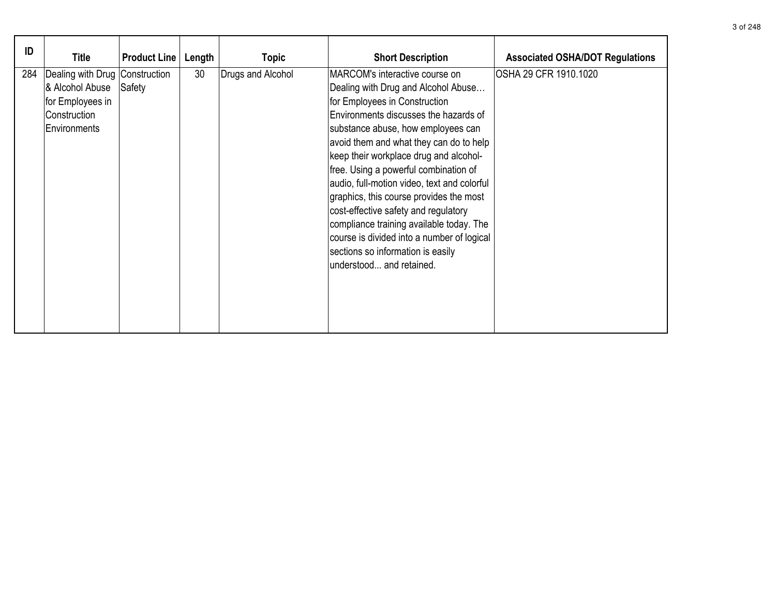| ID  | <b>Title</b>                                                                                          | <b>Product Line</b> | Length | <b>Topic</b>      | <b>Short Description</b>                                                                                                                                                                                                                                                                                                                                                                                                                                                                                                                                                                                         | <b>Associated OSHA/DOT Regulations</b> |
|-----|-------------------------------------------------------------------------------------------------------|---------------------|--------|-------------------|------------------------------------------------------------------------------------------------------------------------------------------------------------------------------------------------------------------------------------------------------------------------------------------------------------------------------------------------------------------------------------------------------------------------------------------------------------------------------------------------------------------------------------------------------------------------------------------------------------------|----------------------------------------|
| 284 | Dealing with Drug Construction<br>& Alcohol Abuse<br>for Employees in<br>Construction<br>Environments | Safety              | 30     | Drugs and Alcohol | MARCOM's interactive course on<br>Dealing with Drug and Alcohol Abuse<br>for Employees in Construction<br>Environments discusses the hazards of<br>substance abuse, how employees can<br>avoid them and what they can do to help<br>keep their workplace drug and alcohol-<br>free. Using a powerful combination of<br>audio, full-motion video, text and colorful<br>graphics, this course provides the most<br>cost-effective safety and regulatory<br>compliance training available today. The<br>course is divided into a number of logical<br>sections so information is easily<br>understood and retained. | OSHA 29 CFR 1910.1020                  |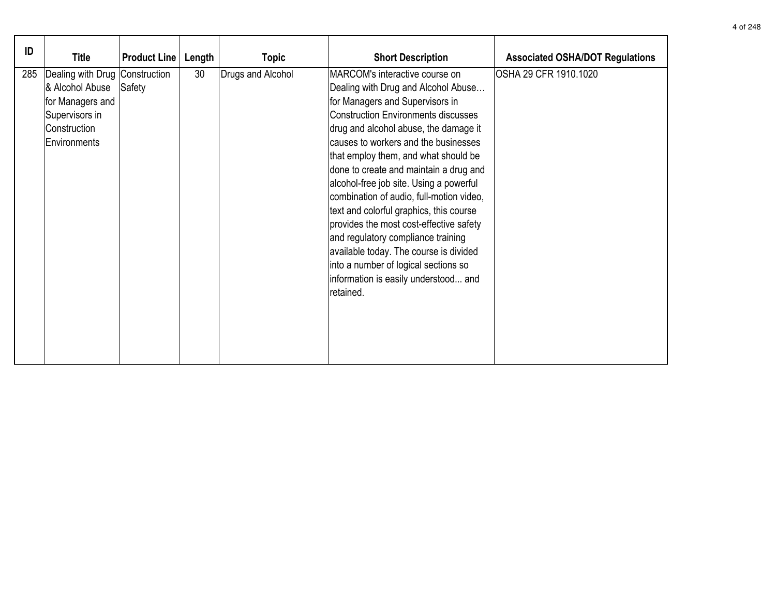| ID  | Title                                                                                                                     | <b>Product Line</b> | Length | <b>Topic</b>      | <b>Short Description</b>                                                                                                                                                                                                                                                                                                                                                                                                                                                                                                                                                                                                                                                            | <b>Associated OSHA/DOT Regulations</b> |
|-----|---------------------------------------------------------------------------------------------------------------------------|---------------------|--------|-------------------|-------------------------------------------------------------------------------------------------------------------------------------------------------------------------------------------------------------------------------------------------------------------------------------------------------------------------------------------------------------------------------------------------------------------------------------------------------------------------------------------------------------------------------------------------------------------------------------------------------------------------------------------------------------------------------------|----------------------------------------|
| 285 | Dealing with Drug   Construction<br>& Alcohol Abuse<br>for Managers and<br>Supervisors in<br>Construction<br>Environments | Safety              | 30     | Drugs and Alcohol | MARCOM's interactive course on<br>Dealing with Drug and Alcohol Abuse<br>for Managers and Supervisors in<br><b>Construction Environments discusses</b><br>drug and alcohol abuse, the damage it<br>causes to workers and the businesses<br>that employ them, and what should be<br>done to create and maintain a drug and<br>alcohol-free job site. Using a powerful<br>combination of audio, full-motion video,<br>text and colorful graphics, this course<br>provides the most cost-effective safety<br>and regulatory compliance training<br>available today. The course is divided<br>into a number of logical sections so<br>information is easily understood and<br>retained. | OSHA 29 CFR 1910.1020                  |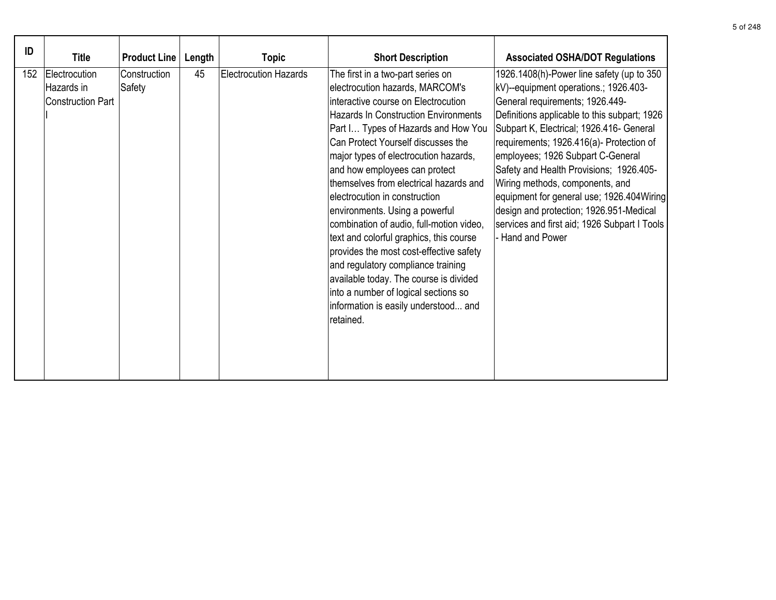| ID  | <b>Title</b>                                     | <b>Product Line</b>    | Length | <b>Topic</b>                 | <b>Short Description</b>                                                                                                                                                                                                                                                                                                                                                                                                                                                                                                                                                                                                                                                                                                                       | <b>Associated OSHA/DOT Regulations</b>                                                                                                                                                                                                                                                                                                                                                                                                                                                                                                        |
|-----|--------------------------------------------------|------------------------|--------|------------------------------|------------------------------------------------------------------------------------------------------------------------------------------------------------------------------------------------------------------------------------------------------------------------------------------------------------------------------------------------------------------------------------------------------------------------------------------------------------------------------------------------------------------------------------------------------------------------------------------------------------------------------------------------------------------------------------------------------------------------------------------------|-----------------------------------------------------------------------------------------------------------------------------------------------------------------------------------------------------------------------------------------------------------------------------------------------------------------------------------------------------------------------------------------------------------------------------------------------------------------------------------------------------------------------------------------------|
| 152 | Electrocution<br>Hazards in<br>Construction Part | Construction<br>Safety | 45     | <b>Electrocution Hazards</b> | The first in a two-part series on<br>electrocution hazards, MARCOM's<br>interactive course on Electrocution<br><b>Hazards In Construction Environments</b><br>Part I Types of Hazards and How You<br>Can Protect Yourself discusses the<br>major types of electrocution hazards,<br>and how employees can protect<br>themselves from electrical hazards and<br>lelectrocution in construction<br>environments. Using a powerful<br>combination of audio, full-motion video,<br>text and colorful graphics, this course<br>provides the most cost-effective safety<br>and regulatory compliance training<br>available today. The course is divided<br>into a number of logical sections so<br>information is easily understood and<br>retained. | 1926.1408(h)-Power line safety (up to 350<br>kV)--equipment operations.; 1926.403-<br>General requirements; 1926.449-<br>Definitions applicable to this subpart; 1926<br>Subpart K, Electrical; 1926.416- General<br>requirements; 1926.416(a)- Protection of<br>employees; 1926 Subpart C-General<br>Safety and Health Provisions; 1926.405-<br>Wiring methods, components, and<br>equipment for general use; 1926.404 Wiring<br>design and protection; 1926.951-Medical<br>services and first aid; 1926 Subpart I Tools<br>- Hand and Power |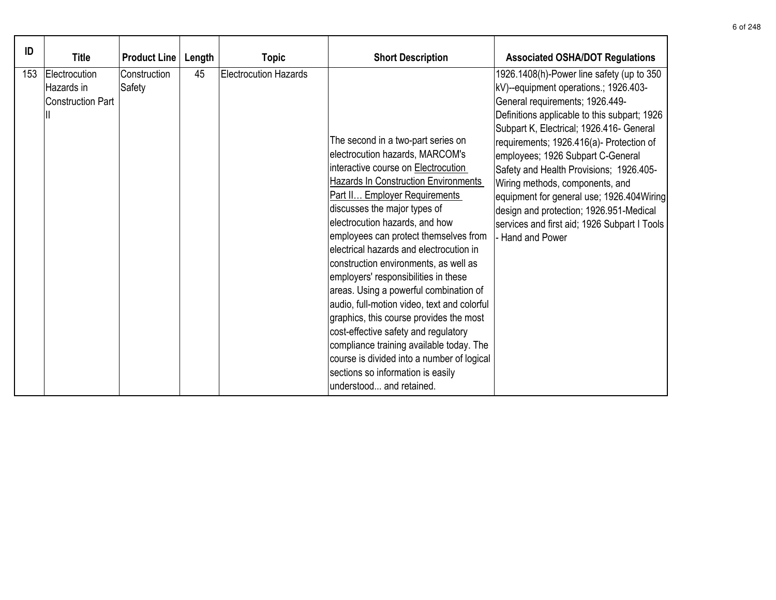| ID  | <b>Title</b>                                            | <b>Product Line</b>    | Length | <b>Topic</b>                 | <b>Short Description</b>                                                                                                                                                                                                                                                                                                                                                                                                                                                                                                                                                                                                                                                                                                                                                   | <b>Associated OSHA/DOT Regulations</b>                                                                                                                                                                                                                                                                                                                                                                                                                                                                                                       |
|-----|---------------------------------------------------------|------------------------|--------|------------------------------|----------------------------------------------------------------------------------------------------------------------------------------------------------------------------------------------------------------------------------------------------------------------------------------------------------------------------------------------------------------------------------------------------------------------------------------------------------------------------------------------------------------------------------------------------------------------------------------------------------------------------------------------------------------------------------------------------------------------------------------------------------------------------|----------------------------------------------------------------------------------------------------------------------------------------------------------------------------------------------------------------------------------------------------------------------------------------------------------------------------------------------------------------------------------------------------------------------------------------------------------------------------------------------------------------------------------------------|
| 153 | Electrocution<br>Hazards in<br><b>Construction Part</b> | Construction<br>Safety | 45     | <b>Electrocution Hazards</b> | The second in a two-part series on<br>electrocution hazards, MARCOM's<br>interactive course on Electrocution<br><b>Hazards In Construction Environments</b><br>Part II Employer Requirements<br>discusses the major types of<br>electrocution hazards, and how<br>employees can protect themselves from<br>electrical hazards and electrocution in<br>construction environments, as well as<br>employers' responsibilities in these<br>areas. Using a powerful combination of<br>audio, full-motion video, text and colorful<br>graphics, this course provides the most<br>cost-effective safety and regulatory<br>compliance training available today. The<br>course is divided into a number of logical<br>sections so information is easily<br>understood and retained. | 1926.1408(h)-Power line safety (up to 350<br>kV)--equipment operations.; 1926.403-<br>General requirements; 1926.449-<br>Definitions applicable to this subpart; 1926<br>Subpart K, Electrical; 1926.416- General<br>requirements; 1926.416(a)- Protection of<br>employees; 1926 Subpart C-General<br>Safety and Health Provisions; 1926.405-<br>Wiring methods, components, and<br>equipment for general use; 1926.404Wiring<br>design and protection; 1926.951-Medical<br>services and first aid; 1926 Subpart I Tools<br>- Hand and Power |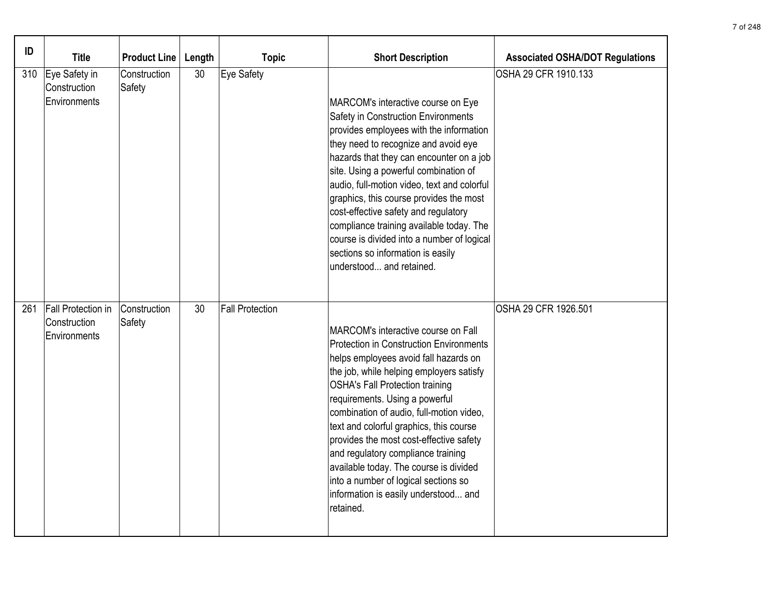| ID  | <b>Title</b>                                              | <b>Product Line</b>    | Length | <b>Topic</b>           | <b>Short Description</b>                                                                                                                                                                                                                                                                                                                                                                                                                                                                                                                                              | <b>Associated OSHA/DOT Regulations</b> |
|-----|-----------------------------------------------------------|------------------------|--------|------------------------|-----------------------------------------------------------------------------------------------------------------------------------------------------------------------------------------------------------------------------------------------------------------------------------------------------------------------------------------------------------------------------------------------------------------------------------------------------------------------------------------------------------------------------------------------------------------------|----------------------------------------|
| 310 | Eye Safety in<br>Construction<br>Environments             | Construction<br>Safety | 30     | Eye Safety             | MARCOM's interactive course on Eye<br>Safety in Construction Environments<br>provides employees with the information<br>they need to recognize and avoid eye<br>hazards that they can encounter on a job<br>site. Using a powerful combination of<br>audio, full-motion video, text and colorful<br>graphics, this course provides the most<br>cost-effective safety and regulatory<br>compliance training available today. The<br>course is divided into a number of logical<br>sections so information is easily<br>understood and retained.                        | OSHA 29 CFR 1910.133                   |
| 261 | <b>Fall Protection in</b><br>Construction<br>Environments | Construction<br>Safety | 30     | <b>Fall Protection</b> | MARCOM's interactive course on Fall<br><b>Protection in Construction Environments</b><br>helps employees avoid fall hazards on<br>the job, while helping employers satisfy<br><b>OSHA's Fall Protection training</b><br>requirements. Using a powerful<br>combination of audio, full-motion video,<br>text and colorful graphics, this course<br>provides the most cost-effective safety<br>and regulatory compliance training<br>available today. The course is divided<br>into a number of logical sections so<br>information is easily understood and<br>retained. | OSHA 29 CFR 1926.501                   |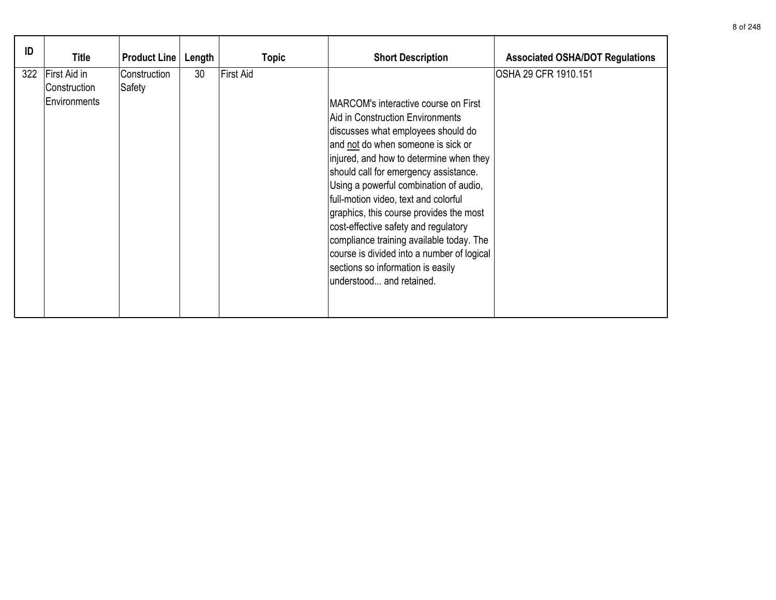| ID  | Title                                        | <b>Product Line</b>    | Length | <b>Topic</b> | <b>Short Description</b>                                                                                                                                                                                                                                                                                                                                                                                                                                                                                                                                                 | <b>Associated OSHA/DOT Regulations</b> |
|-----|----------------------------------------------|------------------------|--------|--------------|--------------------------------------------------------------------------------------------------------------------------------------------------------------------------------------------------------------------------------------------------------------------------------------------------------------------------------------------------------------------------------------------------------------------------------------------------------------------------------------------------------------------------------------------------------------------------|----------------------------------------|
| 322 | First Aid in<br>Construction<br>Environments | Construction<br>Safety | 30     | First Aid    | MARCOM's interactive course on First<br>Aid in Construction Environments<br>discusses what employees should do<br>and not do when someone is sick or<br>injured, and how to determine when they<br>should call for emergency assistance.<br>Using a powerful combination of audio,<br>full-motion video, text and colorful<br>graphics, this course provides the most<br>cost-effective safety and regulatory<br>compliance training available today. The<br>course is divided into a number of logical<br>sections so information is easily<br>understood and retained. | OSHA 29 CFR 1910.151                   |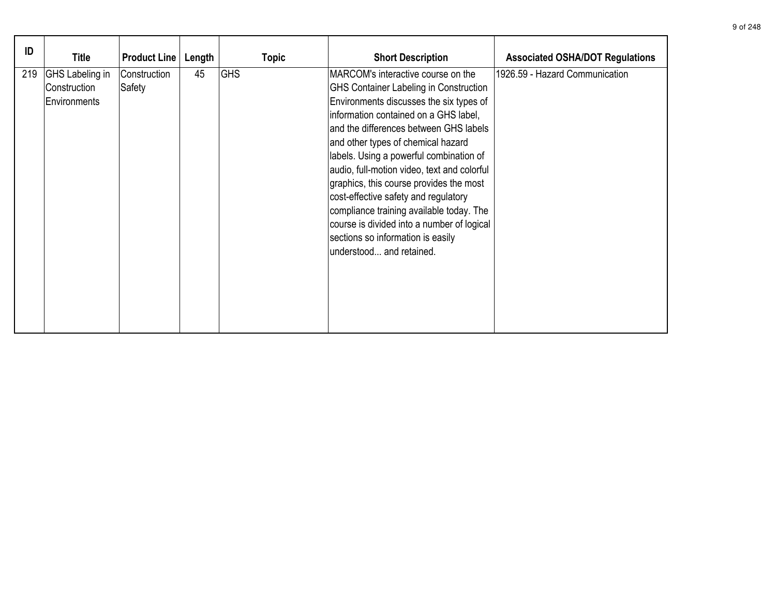| ID  | <b>Title</b>                                           | <b>Product Line</b>    | Length | <b>Topic</b> | <b>Short Description</b>                                                                                                                                                                                                                                                                                                                                                                                                                                                                                                                                                                        | <b>Associated OSHA/DOT Regulations</b> |
|-----|--------------------------------------------------------|------------------------|--------|--------------|-------------------------------------------------------------------------------------------------------------------------------------------------------------------------------------------------------------------------------------------------------------------------------------------------------------------------------------------------------------------------------------------------------------------------------------------------------------------------------------------------------------------------------------------------------------------------------------------------|----------------------------------------|
| 219 | <b>GHS</b> Labeling in<br>Construction<br>Environments | Construction<br>Safety | 45     | <b>GHS</b>   | MARCOM's interactive course on the<br><b>GHS Container Labeling in Construction</b><br>Environments discusses the six types of<br>information contained on a GHS label,<br>and the differences between GHS labels<br>and other types of chemical hazard<br>labels. Using a powerful combination of<br>audio, full-motion video, text and colorful<br>graphics, this course provides the most<br>cost-effective safety and regulatory<br>compliance training available today. The<br>course is divided into a number of logical<br>sections so information is easily<br>understood and retained. | 1926.59 - Hazard Communication         |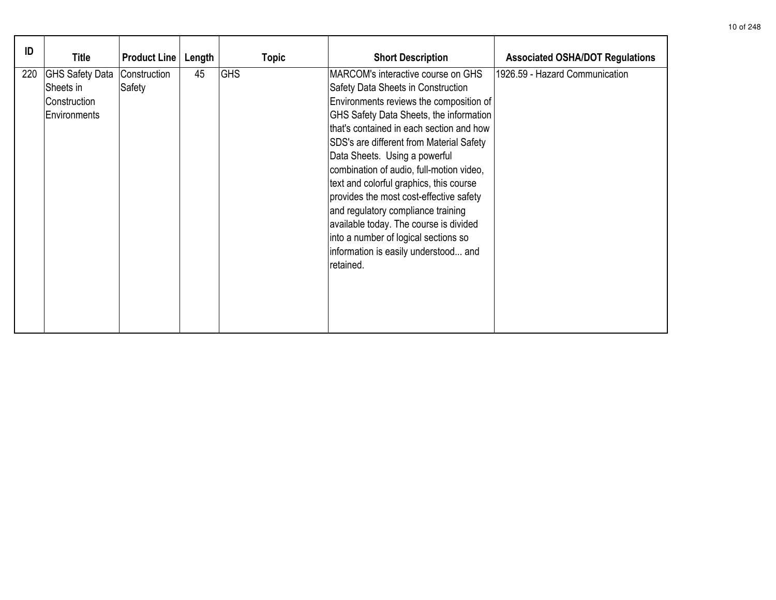| ID  | <b>Title</b>                                                        | <b>Product Line</b>    | Length | <b>Topic</b> | <b>Short Description</b>                                                                                                                                                                                                                                                                                                                                                                                                                                                                                                                                                                               | <b>Associated OSHA/DOT Regulations</b> |
|-----|---------------------------------------------------------------------|------------------------|--------|--------------|--------------------------------------------------------------------------------------------------------------------------------------------------------------------------------------------------------------------------------------------------------------------------------------------------------------------------------------------------------------------------------------------------------------------------------------------------------------------------------------------------------------------------------------------------------------------------------------------------------|----------------------------------------|
| 220 | <b>GHS Safety Data</b><br>Sheets in<br>Construction<br>Environments | Construction<br>Safety | 45     | <b>GHS</b>   | MARCOM's interactive course on GHS<br>Safety Data Sheets in Construction<br>Environments reviews the composition of<br>GHS Safety Data Sheets, the information<br>that's contained in each section and how<br>SDS's are different from Material Safety<br>Data Sheets. Using a powerful<br>combination of audio, full-motion video,<br>text and colorful graphics, this course<br>provides the most cost-effective safety<br>and regulatory compliance training<br>available today. The course is divided<br>into a number of logical sections so<br>information is easily understood and<br>retained. | 1926.59 - Hazard Communication         |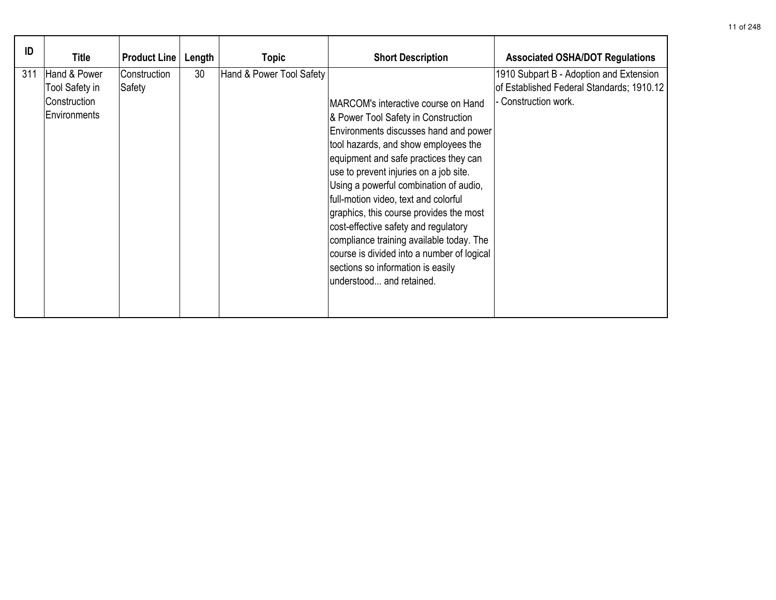| ID  | Title                                                          | <b>Product Line</b>    | Length | Topic                    | <b>Short Description</b>                                                                                                                                                                                                                                                                                                                                                                                                                                                                                                                                                       | <b>Associated OSHA/DOT Regulations</b>                                                                       |
|-----|----------------------------------------------------------------|------------------------|--------|--------------------------|--------------------------------------------------------------------------------------------------------------------------------------------------------------------------------------------------------------------------------------------------------------------------------------------------------------------------------------------------------------------------------------------------------------------------------------------------------------------------------------------------------------------------------------------------------------------------------|--------------------------------------------------------------------------------------------------------------|
| 311 | Hand & Power<br>Tool Safety in<br>Construction<br>Environments | Construction<br>Safety | 30     | Hand & Power Tool Safety | MARCOM's interactive course on Hand<br>& Power Tool Safety in Construction<br>Environments discusses hand and power<br>tool hazards, and show employees the<br>equipment and safe practices they can<br>use to prevent injuries on a job site.<br>Using a powerful combination of audio,<br>full-motion video, text and colorful<br>graphics, this course provides the most<br>cost-effective safety and regulatory<br>compliance training available today. The<br>course is divided into a number of logical<br>sections so information is easily<br>understood and retained. | 1910 Subpart B - Adoption and Extension<br>of Established Federal Standards; 1910.12<br>- Construction work. |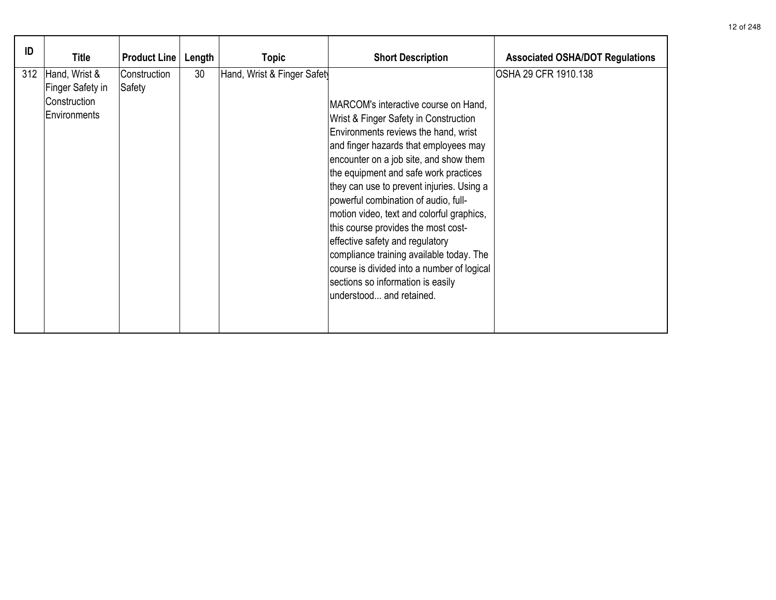| ID  | <b>Title</b>                                                      | <b>Product Line</b>    | Length | <b>Topic</b>                | <b>Short Description</b>                                                                                                                                                                                                                                                                                                                                                                                                                                                                                                                                                                                                 | <b>Associated OSHA/DOT Regulations</b> |
|-----|-------------------------------------------------------------------|------------------------|--------|-----------------------------|--------------------------------------------------------------------------------------------------------------------------------------------------------------------------------------------------------------------------------------------------------------------------------------------------------------------------------------------------------------------------------------------------------------------------------------------------------------------------------------------------------------------------------------------------------------------------------------------------------------------------|----------------------------------------|
| 312 | Hand, Wrist &<br>Finger Safety in<br>Construction<br>Environments | Construction<br>Safety | 30     | Hand, Wrist & Finger Safety | MARCOM's interactive course on Hand,<br>Wrist & Finger Safety in Construction<br>Environments reviews the hand, wrist<br>and finger hazards that employees may<br>encounter on a job site, and show them<br>the equipment and safe work practices<br>they can use to prevent injuries. Using a<br>powerful combination of audio, full-<br>motion video, text and colorful graphics,<br>this course provides the most cost-<br>effective safety and regulatory<br>compliance training available today. The<br>course is divided into a number of logical<br>sections so information is easily<br>understood and retained. | OSHA 29 CFR 1910.138                   |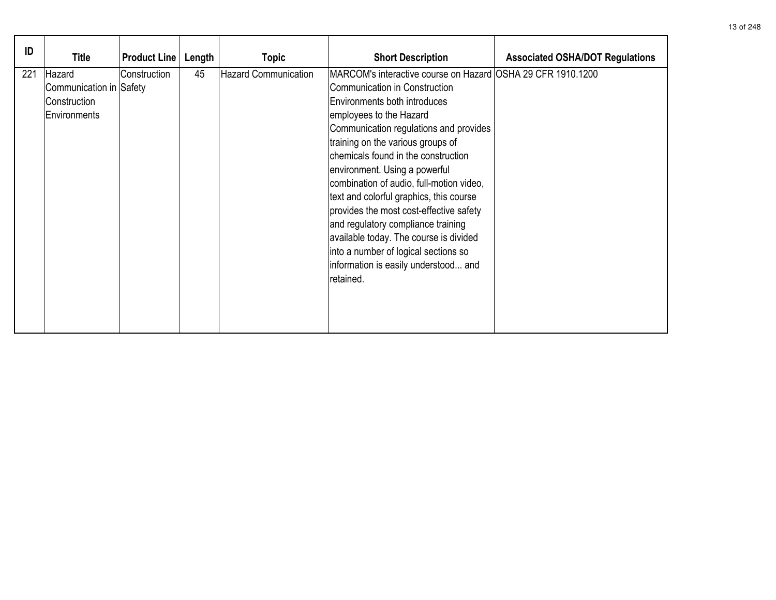| ID  | Title                                                             | <b>Product Line</b> | Length | <b>Topic</b>                | <b>Short Description</b>                                                                                                                                                                                                                                                                                                                                                                                                                                                                                                                                                                                                      | <b>Associated OSHA/DOT Regulations</b> |
|-----|-------------------------------------------------------------------|---------------------|--------|-----------------------------|-------------------------------------------------------------------------------------------------------------------------------------------------------------------------------------------------------------------------------------------------------------------------------------------------------------------------------------------------------------------------------------------------------------------------------------------------------------------------------------------------------------------------------------------------------------------------------------------------------------------------------|----------------------------------------|
| 221 | Hazard<br>Communication in Safety<br>Construction<br>Environments | Construction        | 45     | <b>Hazard Communication</b> | MARCOM's interactive course on Hazard OSHA 29 CFR 1910.1200<br>Communication in Construction<br>Environments both introduces<br>employees to the Hazard<br>Communication regulations and provides<br>training on the various groups of<br>chemicals found in the construction<br>environment. Using a powerful<br>combination of audio, full-motion video,<br>text and colorful graphics, this course<br>provides the most cost-effective safety<br>and regulatory compliance training<br>available today. The course is divided<br>into a number of logical sections so<br>information is easily understood and<br>retained. |                                        |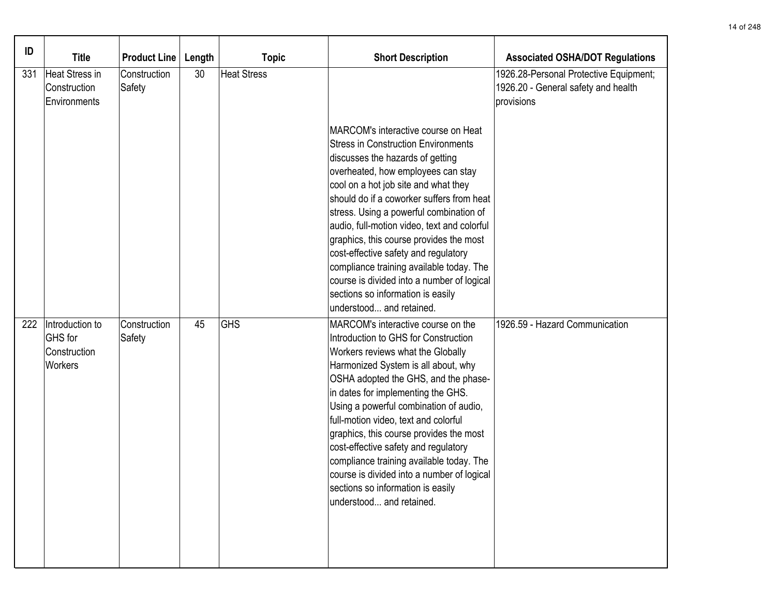| ID  | <b>Title</b>                                          | <b>Product Line</b>    | Length | <b>Topic</b>       | <b>Short Description</b>                                                                                                                                                                                                                                                                                                                                                                                                                                                                                                                                                                 | <b>Associated OSHA/DOT Regulations</b>                                                      |
|-----|-------------------------------------------------------|------------------------|--------|--------------------|------------------------------------------------------------------------------------------------------------------------------------------------------------------------------------------------------------------------------------------------------------------------------------------------------------------------------------------------------------------------------------------------------------------------------------------------------------------------------------------------------------------------------------------------------------------------------------------|---------------------------------------------------------------------------------------------|
| 331 | Heat Stress in<br>Construction<br>Environments        | Construction<br>Safety | 30     | <b>Heat Stress</b> |                                                                                                                                                                                                                                                                                                                                                                                                                                                                                                                                                                                          | 1926.28-Personal Protective Equipment;<br>1926.20 - General safety and health<br>provisions |
|     |                                                       |                        |        |                    | MARCOM's interactive course on Heat<br><b>Stress in Construction Environments</b><br>discusses the hazards of getting<br>overheated, how employees can stay<br>cool on a hot job site and what they<br>should do if a coworker suffers from heat<br>stress. Using a powerful combination of<br>audio, full-motion video, text and colorful<br>graphics, this course provides the most<br>cost-effective safety and regulatory<br>compliance training available today. The<br>course is divided into a number of logical<br>sections so information is easily<br>understood and retained. |                                                                                             |
| 222 | Introduction to<br>GHS for<br>Construction<br>Workers | Construction<br>Safety | 45     | <b>GHS</b>         | MARCOM's interactive course on the<br>Introduction to GHS for Construction<br>Workers reviews what the Globally<br>Harmonized System is all about, why<br>OSHA adopted the GHS, and the phase-<br>in dates for implementing the GHS.<br>Using a powerful combination of audio,<br>full-motion video, text and colorful<br>graphics, this course provides the most<br>cost-effective safety and regulatory<br>compliance training available today. The<br>course is divided into a number of logical<br>sections so information is easily<br>understood and retained.                     | 1926.59 - Hazard Communication                                                              |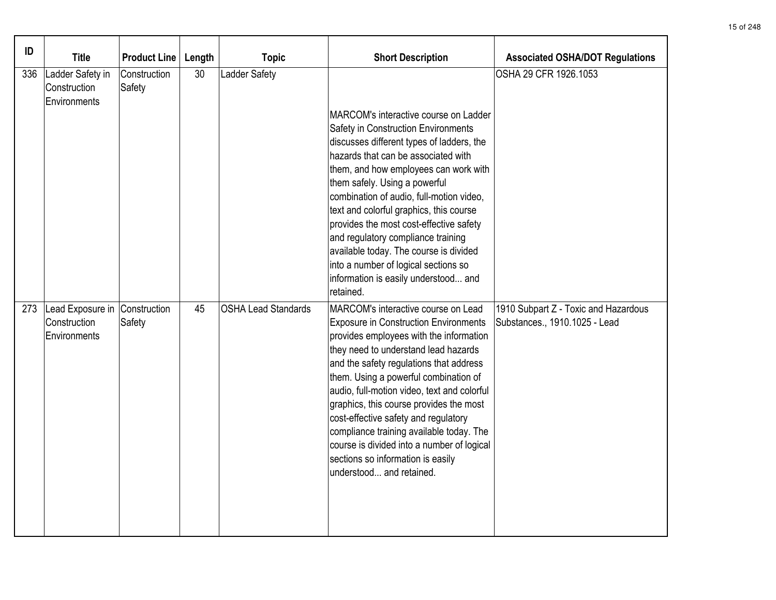| ID  | <b>Title</b>                                                  | <b>Product Line</b>    | Length | <b>Topic</b>               | <b>Short Description</b>                                                                                                                                                                                                                                                                                                                                                                                                                                                                                                                                  | <b>Associated OSHA/DOT Regulations</b>                                |
|-----|---------------------------------------------------------------|------------------------|--------|----------------------------|-----------------------------------------------------------------------------------------------------------------------------------------------------------------------------------------------------------------------------------------------------------------------------------------------------------------------------------------------------------------------------------------------------------------------------------------------------------------------------------------------------------------------------------------------------------|-----------------------------------------------------------------------|
| 336 | Ladder Safety in<br>Construction<br>Environments              | Construction<br>Safety | 30     | <b>Ladder Safety</b>       | MARCOM's interactive course on Ladder<br>Safety in Construction Environments<br>discusses different types of ladders, the<br>hazards that can be associated with<br>them, and how employees can work with<br>them safely. Using a powerful<br>combination of audio, full-motion video,<br>text and colorful graphics, this course<br>provides the most cost-effective safety<br>and regulatory compliance training<br>available today. The course is divided<br>into a number of logical sections so<br>information is easily understood and<br>retained. | OSHA 29 CFR 1926.1053                                                 |
| 273 | Lead Exposure in Construction<br>Construction<br>Environments | Safety                 | 45     | <b>OSHA Lead Standards</b> | MARCOM's interactive course on Lead<br><b>Exposure in Construction Environments</b><br>provides employees with the information<br>they need to understand lead hazards<br>and the safety regulations that address<br>them. Using a powerful combination of<br>audio, full-motion video, text and colorful<br>graphics, this course provides the most<br>cost-effective safety and regulatory<br>compliance training available today. The<br>course is divided into a number of logical<br>sections so information is easily<br>understood and retained.   | 1910 Subpart Z - Toxic and Hazardous<br>Substances., 1910.1025 - Lead |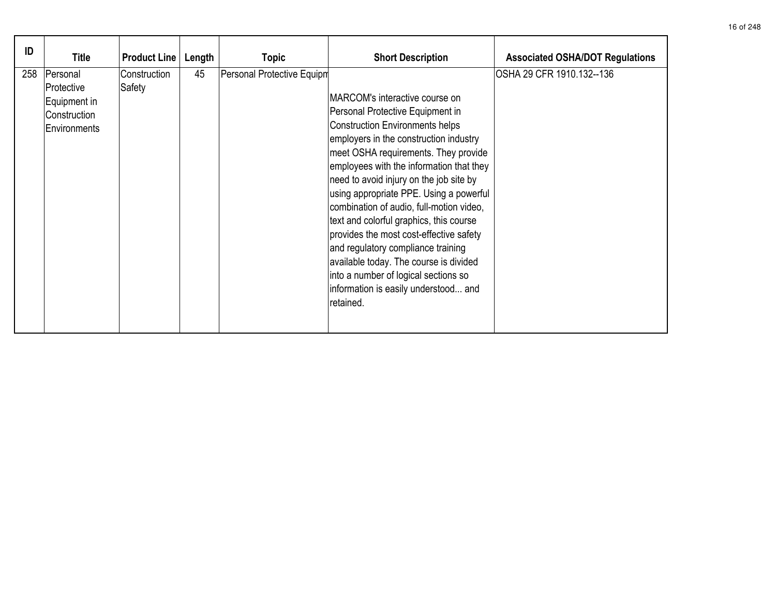| ID  | <b>Title</b>                                                             | <b>Product Line</b>    | Length | <b>Topic</b>               | <b>Short Description</b>                                                                                                                                                                                                                                                                                                                                                                                                                                                                                                                                                                                                                        | <b>Associated OSHA/DOT Regulations</b> |
|-----|--------------------------------------------------------------------------|------------------------|--------|----------------------------|-------------------------------------------------------------------------------------------------------------------------------------------------------------------------------------------------------------------------------------------------------------------------------------------------------------------------------------------------------------------------------------------------------------------------------------------------------------------------------------------------------------------------------------------------------------------------------------------------------------------------------------------------|----------------------------------------|
| 258 | Personal<br> Protective_<br>Equipment in<br>Construction<br>Environments | Construction<br>Safety | 45     | Personal Protective Equipm | MARCOM's interactive course on<br>Personal Protective Equipment in<br><b>Construction Environments helps</b><br>employers in the construction industry<br>meet OSHA requirements. They provide<br>employees with the information that they<br>need to avoid injury on the job site by<br>using appropriate PPE. Using a powerful<br>combination of audio, full-motion video,<br>text and colorful graphics, this course<br>provides the most cost-effective safety<br>and regulatory compliance training<br>available today. The course is divided<br>into a number of logical sections so<br>information is easily understood and<br>retained. | OSHA 29 CFR 1910.132--136              |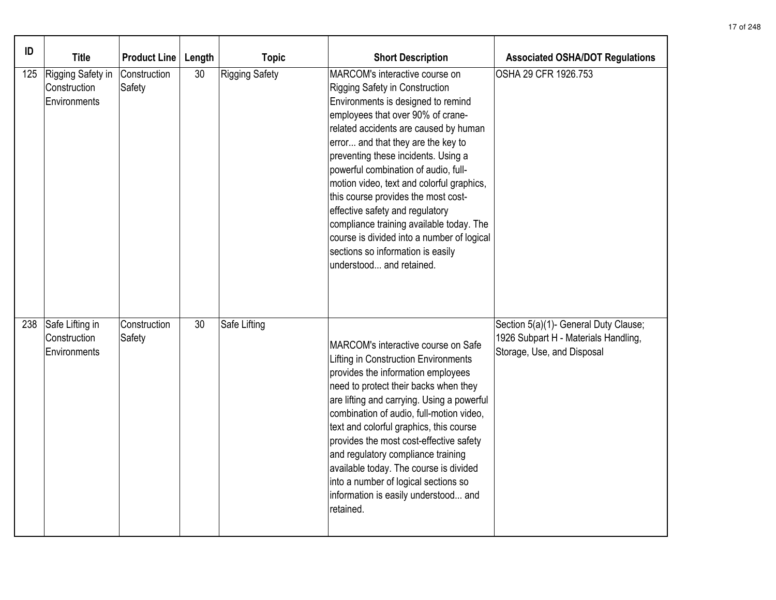| ID  | <b>Title</b>                                      | <b>Product Line</b>    | Length | <b>Topic</b>          | <b>Short Description</b>                                                                                                                                                                                                                                                                                                                                                                                                                                                                                                                                                                    | <b>Associated OSHA/DOT Regulations</b>                                                                      |
|-----|---------------------------------------------------|------------------------|--------|-----------------------|---------------------------------------------------------------------------------------------------------------------------------------------------------------------------------------------------------------------------------------------------------------------------------------------------------------------------------------------------------------------------------------------------------------------------------------------------------------------------------------------------------------------------------------------------------------------------------------------|-------------------------------------------------------------------------------------------------------------|
| 125 | Rigging Safety in<br>Construction<br>Environments | Construction<br>Safety | 30     | <b>Rigging Safety</b> | MARCOM's interactive course on<br>Rigging Safety in Construction<br>Environments is designed to remind<br>employees that over 90% of crane-<br>related accidents are caused by human<br>error and that they are the key to<br>preventing these incidents. Using a<br>powerful combination of audio, full-<br>motion video, text and colorful graphics,<br>this course provides the most cost-<br>effective safety and regulatory<br>compliance training available today. The<br>course is divided into a number of logical<br>sections so information is easily<br>understood and retained. | OSHA 29 CFR 1926.753                                                                                        |
| 238 | Safe Lifting in<br>Construction<br>Environments   | Construction<br>Safety | 30     | Safe Lifting          | MARCOM's interactive course on Safe<br>Lifting in Construction Environments<br>provides the information employees<br>need to protect their backs when they<br>are lifting and carrying. Using a powerful<br>combination of audio, full-motion video,<br>text and colorful graphics, this course<br>provides the most cost-effective safety<br>and regulatory compliance training<br>available today. The course is divided<br>into a number of logical sections so<br>information is easily understood and<br>retained.                                                                     | Section 5(a)(1)- General Duty Clause;<br>1926 Subpart H - Materials Handling,<br>Storage, Use, and Disposal |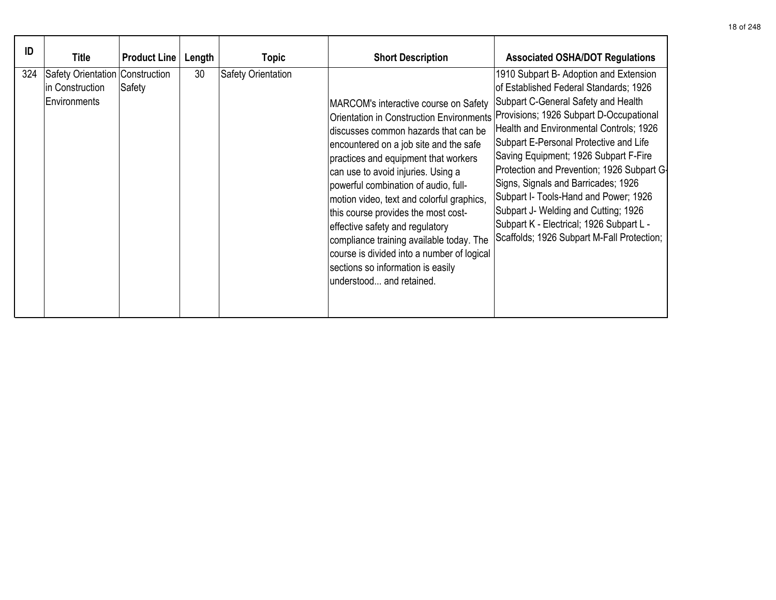| ID  | <b>Title</b>                                                              | <b>Product Line</b> | Length | Topic              | <b>Short Description</b>                                                                                                                                                                                                                                                                                                                                                                                                                                                                                                                                                           | <b>Associated OSHA/DOT Regulations</b>                                                                                                                                                                                                                                                                                                                                                                                                                                                                                                                           |
|-----|---------------------------------------------------------------------------|---------------------|--------|--------------------|------------------------------------------------------------------------------------------------------------------------------------------------------------------------------------------------------------------------------------------------------------------------------------------------------------------------------------------------------------------------------------------------------------------------------------------------------------------------------------------------------------------------------------------------------------------------------------|------------------------------------------------------------------------------------------------------------------------------------------------------------------------------------------------------------------------------------------------------------------------------------------------------------------------------------------------------------------------------------------------------------------------------------------------------------------------------------------------------------------------------------------------------------------|
| 324 | <b>Safety Orientation Construction</b><br>in Construction<br>Environments | Safety              | 30     | Safety Orientation | MARCOM's interactive course on Safety<br><b>Orientation in Construction Environments</b><br>discusses common hazards that can be<br>encountered on a job site and the safe<br>practices and equipment that workers<br>can use to avoid injuries. Using a<br>powerful combination of audio, full-<br>motion video, text and colorful graphics,<br>this course provides the most cost-<br>effective safety and regulatory<br>compliance training available today. The<br>course is divided into a number of logical<br>sections so information is easily<br>understood and retained. | 1910 Subpart B- Adoption and Extension<br>of Established Federal Standards; 1926<br>Subpart C-General Safety and Health<br>Provisions; 1926 Subpart D-Occupational<br>Health and Environmental Controls; 1926<br>Subpart E-Personal Protective and Life<br>Saving Equipment; 1926 Subpart F-Fire<br>Protection and Prevention; 1926 Subpart G-<br>Signs, Signals and Barricades; 1926<br>Subpart I- Tools-Hand and Power; 1926<br>Subpart J- Welding and Cutting; 1926<br>Subpart K - Electrical; 1926 Subpart L -<br>Scaffolds; 1926 Subpart M-Fall Protection; |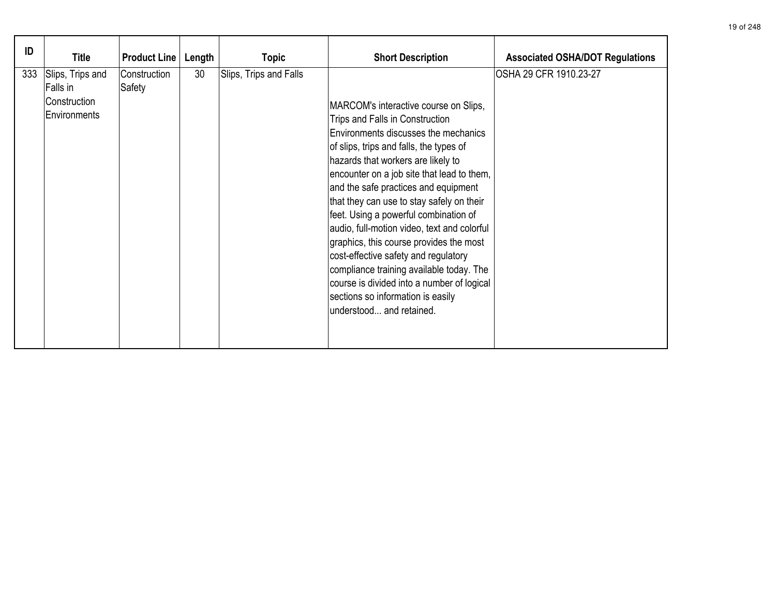| ID  | <b>Title</b>                                                 | <b>Product Line</b>    | Length | <b>Topic</b>           | <b>Short Description</b>                                                                                                                                                                                                                                                                                                                                                                                                                                                                                                                                                                                                                                                   | <b>Associated OSHA/DOT Regulations</b> |
|-----|--------------------------------------------------------------|------------------------|--------|------------------------|----------------------------------------------------------------------------------------------------------------------------------------------------------------------------------------------------------------------------------------------------------------------------------------------------------------------------------------------------------------------------------------------------------------------------------------------------------------------------------------------------------------------------------------------------------------------------------------------------------------------------------------------------------------------------|----------------------------------------|
| 333 | Slips, Trips and<br>Falls in<br>Construction<br>Environments | Construction<br>Safety | 30     | Slips, Trips and Falls | MARCOM's interactive course on Slips,<br>Trips and Falls in Construction<br>Environments discusses the mechanics<br>of slips, trips and falls, the types of<br>hazards that workers are likely to<br>encounter on a job site that lead to them,<br>and the safe practices and equipment<br>that they can use to stay safely on their<br>feet. Using a powerful combination of<br>audio, full-motion video, text and colorful<br>graphics, this course provides the most<br>cost-effective safety and regulatory<br>compliance training available today. The<br>course is divided into a number of logical<br>sections so information is easily<br>understood and retained. | OSHA 29 CFR 1910.23-27                 |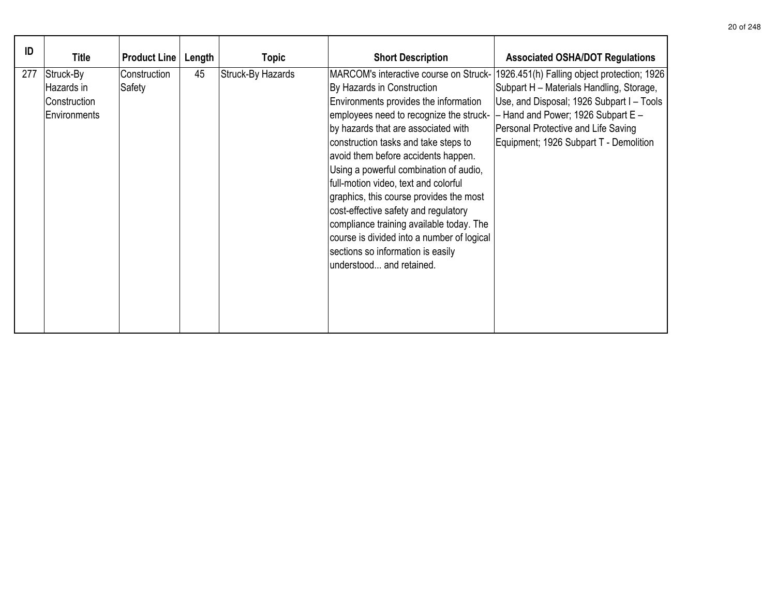| ID  | <b>Title</b>                                            | <b>Product Line</b>    | Length | Topic             | <b>Short Description</b>                                                                                                                                                                                                                                                                                                                                                                                                                                                                                                                                             | <b>Associated OSHA/DOT Regulations</b>                                                                                                                                                                                                                                                                 |
|-----|---------------------------------------------------------|------------------------|--------|-------------------|----------------------------------------------------------------------------------------------------------------------------------------------------------------------------------------------------------------------------------------------------------------------------------------------------------------------------------------------------------------------------------------------------------------------------------------------------------------------------------------------------------------------------------------------------------------------|--------------------------------------------------------------------------------------------------------------------------------------------------------------------------------------------------------------------------------------------------------------------------------------------------------|
| 277 | Struck-By<br>Hazards in<br>Construction<br>Environments | Construction<br>Safety | 45     | Struck-By Hazards | By Hazards in Construction<br>Environments provides the information<br>employees need to recognize the struck-<br>by hazards that are associated with<br>construction tasks and take steps to<br>avoid them before accidents happen.<br>Using a powerful combination of audio,<br>full-motion video, text and colorful<br>graphics, this course provides the most<br>cost-effective safety and regulatory<br>compliance training available today. The<br>course is divided into a number of logical<br>sections so information is easily<br>understood and retained. | MARCOM's interactive course on Struck- 1926.451(h) Falling object protection; 1926<br>Subpart H - Materials Handling, Storage,<br>Use, and Disposal; 1926 Subpart I - Tools<br>$-$ Hand and Power; 1926 Subpart E $-$<br>Personal Protective and Life Saving<br>Equipment; 1926 Subpart T - Demolition |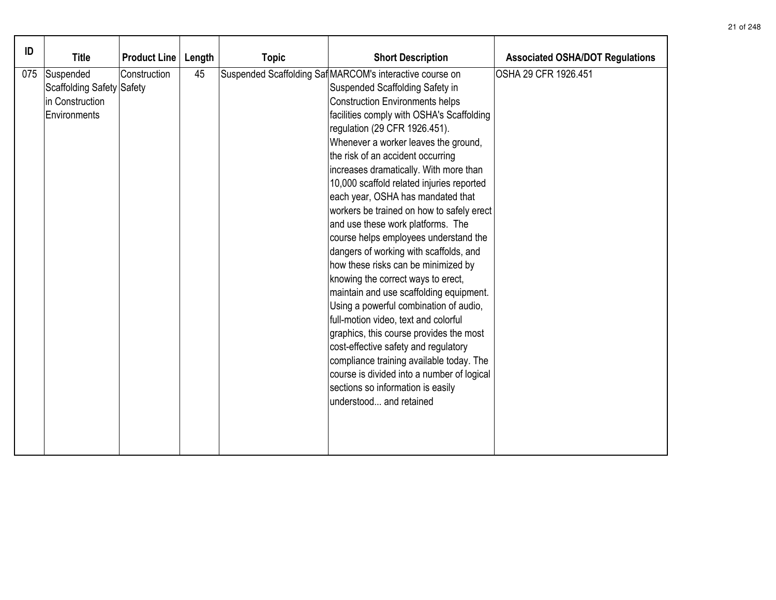| ID  | <b>Title</b>                                                              | <b>Product Line</b> | Length | <b>Topic</b> | <b>Short Description</b>                                                                                                                                                                                                                                                                                                                                                                                                                                                                                                                                                                                                                                                                                                                                                                                                                                                                                                                                                                                                                                 | <b>Associated OSHA/DOT Regulations</b> |
|-----|---------------------------------------------------------------------------|---------------------|--------|--------------|----------------------------------------------------------------------------------------------------------------------------------------------------------------------------------------------------------------------------------------------------------------------------------------------------------------------------------------------------------------------------------------------------------------------------------------------------------------------------------------------------------------------------------------------------------------------------------------------------------------------------------------------------------------------------------------------------------------------------------------------------------------------------------------------------------------------------------------------------------------------------------------------------------------------------------------------------------------------------------------------------------------------------------------------------------|----------------------------------------|
| 075 | Suspended<br>Scaffolding Safety Safety<br>in Construction<br>Environments | Construction        | 45     |              | Suspended Scaffolding Saf MARCOM's interactive course on<br>Suspended Scaffolding Safety in<br><b>Construction Environments helps</b><br>facilities comply with OSHA's Scaffolding<br>regulation (29 CFR 1926.451).<br>Whenever a worker leaves the ground,<br>the risk of an accident occurring<br>increases dramatically. With more than<br>10,000 scaffold related injuries reported<br>each year, OSHA has mandated that<br>workers be trained on how to safely erect<br>and use these work platforms. The<br>course helps employees understand the<br>dangers of working with scaffolds, and<br>how these risks can be minimized by<br>knowing the correct ways to erect,<br>maintain and use scaffolding equipment.<br>Using a powerful combination of audio,<br>full-motion video, text and colorful<br>graphics, this course provides the most<br>cost-effective safety and regulatory<br>compliance training available today. The<br>course is divided into a number of logical<br>sections so information is easily<br>understood and retained | OSHA 29 CFR 1926.451                   |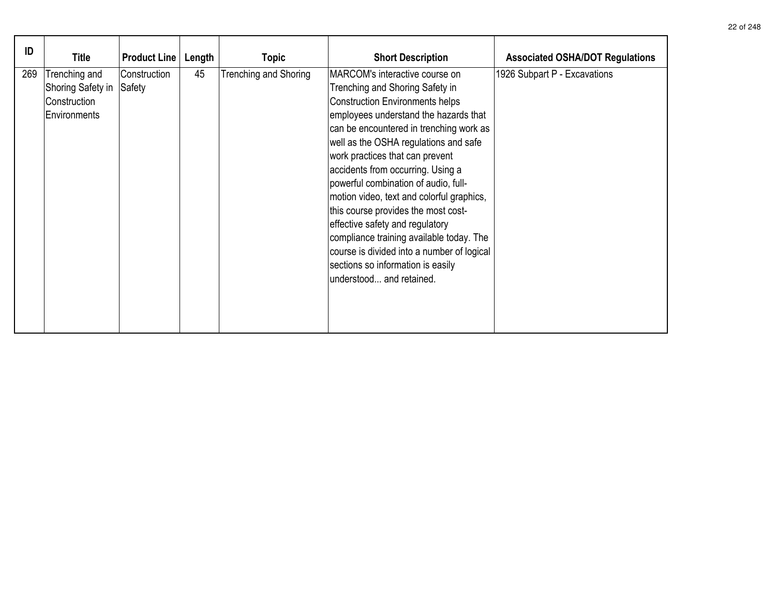| ID  | Title                                                              | <b>Product Line</b>    | Length | Topic                 | <b>Short Description</b>                                                                                                                                                                                                                                                                                                                                                                                                                                                                                                                                                                                                                    | <b>Associated OSHA/DOT Regulations</b> |
|-----|--------------------------------------------------------------------|------------------------|--------|-----------------------|---------------------------------------------------------------------------------------------------------------------------------------------------------------------------------------------------------------------------------------------------------------------------------------------------------------------------------------------------------------------------------------------------------------------------------------------------------------------------------------------------------------------------------------------------------------------------------------------------------------------------------------------|----------------------------------------|
| 269 | Trenching and<br>Shoring Safety in<br>Construction<br>Environments | Construction<br>Safety | 45     | Trenching and Shoring | MARCOM's interactive course on<br>Trenching and Shoring Safety in<br><b>Construction Environments helps</b><br>employees understand the hazards that<br>can be encountered in trenching work as<br>well as the OSHA regulations and safe<br>work practices that can prevent<br>accidents from occurring. Using a<br>powerful combination of audio, full-<br>motion video, text and colorful graphics,<br>this course provides the most cost-<br>effective safety and regulatory<br>compliance training available today. The<br>course is divided into a number of logical<br>sections so information is easily<br>lunderstood and retained. | 1926 Subpart P - Excavations           |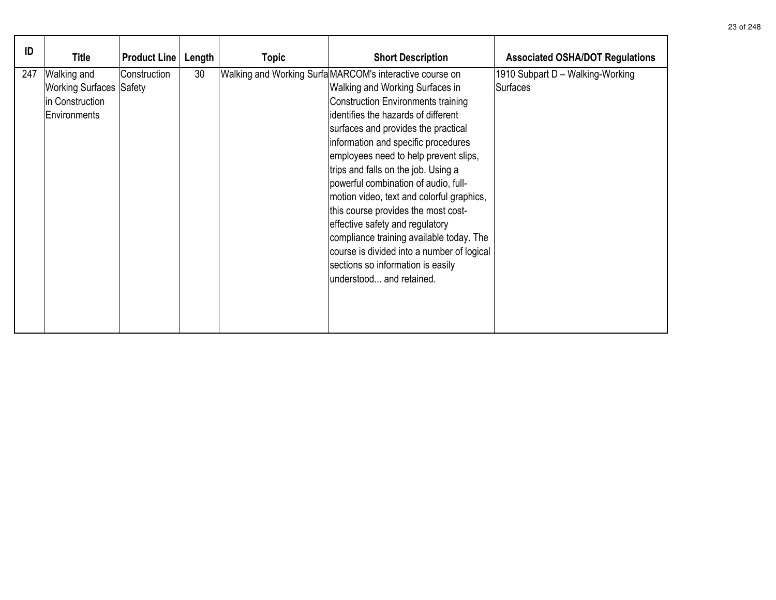| ID  | <b>Title</b>                                                                     | <b>Product Line</b> | Length | <b>Topic</b> | <b>Short Description</b>                                                                                                                                                                                                                                                                                                                                                                                                                                                                                                                                                                                                                                                | <b>Associated OSHA/DOT Regulations</b>              |
|-----|----------------------------------------------------------------------------------|---------------------|--------|--------------|-------------------------------------------------------------------------------------------------------------------------------------------------------------------------------------------------------------------------------------------------------------------------------------------------------------------------------------------------------------------------------------------------------------------------------------------------------------------------------------------------------------------------------------------------------------------------------------------------------------------------------------------------------------------------|-----------------------------------------------------|
| 247 | Walking and<br><b>Working Surfaces Safety</b><br>in Construction<br>Environments | Construction        | 30     |              | Walking and Working Surfa MARCOM's interactive course on<br>Walking and Working Surfaces in<br><b>Construction Environments training</b><br>identifies the hazards of different<br>surfaces and provides the practical<br>information and specific procedures<br>employees need to help prevent slips,<br>trips and falls on the job. Using a<br>powerful combination of audio, full-<br>motion video, text and colorful graphics,<br>this course provides the most cost-<br>effective safety and regulatory<br>compliance training available today. The<br>course is divided into a number of logical<br>sections so information is easily<br>understood and retained. | 1910 Subpart D - Walking-Working<br><b>Surfaces</b> |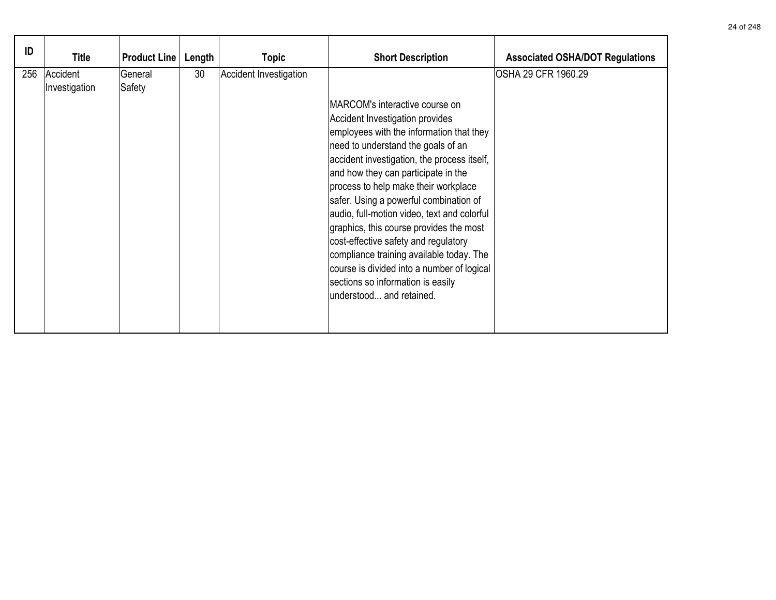| ID  | Title                     | <b>Product Line</b> | Length | <b>Topic</b>           | <b>Short Description</b>                                                                                                                                                                                                                                                                                                                                                                                                                                                                                                                                                                                                 | <b>Associated OSHA/DOT Regulations</b> |
|-----|---------------------------|---------------------|--------|------------------------|--------------------------------------------------------------------------------------------------------------------------------------------------------------------------------------------------------------------------------------------------------------------------------------------------------------------------------------------------------------------------------------------------------------------------------------------------------------------------------------------------------------------------------------------------------------------------------------------------------------------------|----------------------------------------|
| 256 | Accident<br>Investigation | General<br>Safety   | 30     | Accident Investigation | MARCOM's interactive course on<br>Accident Investigation provides<br>employees with the information that they<br>need to understand the goals of an<br>accident investigation, the process itself,<br>and how they can participate in the<br>process to help make their workplace<br>safer. Using a powerful combination of<br>audio, full-motion video, text and colorful<br>graphics, this course provides the most<br>cost-effective safety and regulatory<br>compliance training available today. The<br>course is divided into a number of logical<br>sections so information is easily<br>understood and retained. | OSHA 29 CFR 1960.29                    |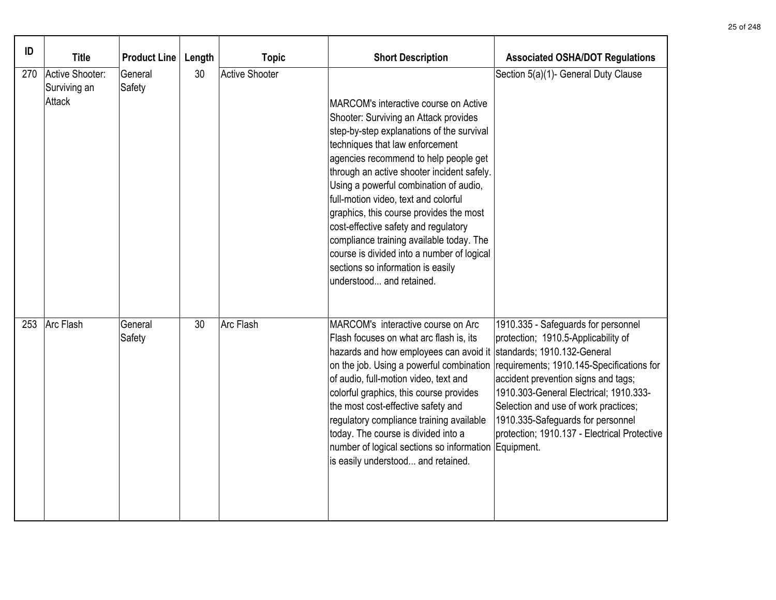| ID  | <b>Title</b>                              | <b>Product Line</b> | Length | <b>Topic</b>          | <b>Short Description</b>                                                                                                                                                                                                                                                                                                                                                                                                                                                                                                                                                              | <b>Associated OSHA/DOT Regulations</b>                                                                                                                                                                                                                                                                                                |
|-----|-------------------------------------------|---------------------|--------|-----------------------|---------------------------------------------------------------------------------------------------------------------------------------------------------------------------------------------------------------------------------------------------------------------------------------------------------------------------------------------------------------------------------------------------------------------------------------------------------------------------------------------------------------------------------------------------------------------------------------|---------------------------------------------------------------------------------------------------------------------------------------------------------------------------------------------------------------------------------------------------------------------------------------------------------------------------------------|
| 270 | Active Shooter:<br>Surviving an<br>Attack | General<br>Safety   | 30     | <b>Active Shooter</b> | MARCOM's interactive course on Active<br>Shooter: Surviving an Attack provides<br>step-by-step explanations of the survival<br>techniques that law enforcement<br>agencies recommend to help people get<br>through an active shooter incident safely.<br>Using a powerful combination of audio,<br>full-motion video, text and colorful<br>graphics, this course provides the most<br>cost-effective safety and regulatory<br>compliance training available today. The<br>course is divided into a number of logical<br>sections so information is easily<br>understood and retained. | Section 5(a)(1)- General Duty Clause                                                                                                                                                                                                                                                                                                  |
| 253 | Arc Flash                                 | General<br>Safety   | 30     | Arc Flash             | MARCOM's interactive course on Arc<br>Flash focuses on what arc flash is, its<br>hazards and how employees can avoid it standards; 1910.132-General<br>on the job. Using a powerful combination<br>of audio, full-motion video, text and<br>colorful graphics, this course provides<br>the most cost-effective safety and<br>regulatory compliance training available<br>today. The course is divided into a<br>number of logical sections so information Equipment.<br>is easily understood and retained.                                                                            | 1910.335 - Safeguards for personnel<br>protection; 1910.5-Applicability of<br>requirements; 1910.145-Specifications for<br>accident prevention signs and tags;<br>1910.303-General Electrical; 1910.333-<br>Selection and use of work practices;<br>1910.335-Safeguards for personnel<br>protection; 1910.137 - Electrical Protective |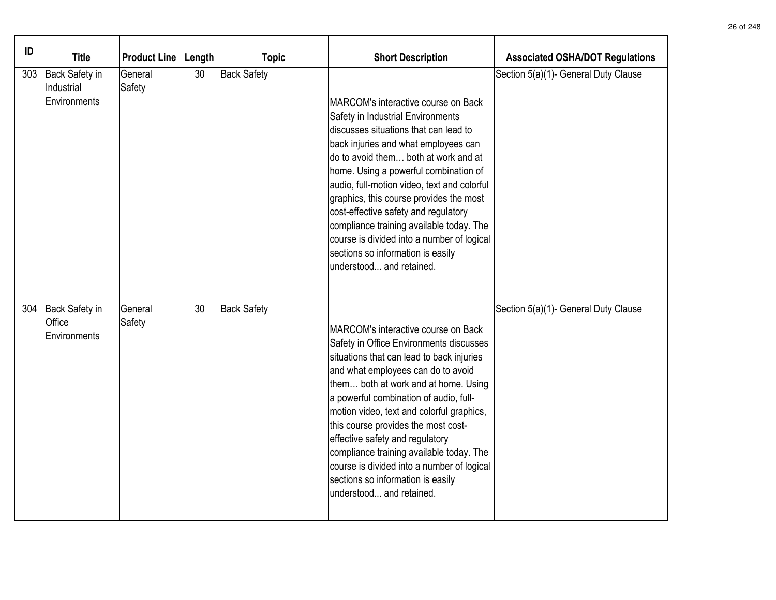| ID  | <b>Title</b>                                   | <b>Product Line</b> | Length | <b>Topic</b>       | <b>Short Description</b>                                                                                                                                                                                                                                                                                                                                                                                                                                                                                                                | <b>Associated OSHA/DOT Regulations</b> |
|-----|------------------------------------------------|---------------------|--------|--------------------|-----------------------------------------------------------------------------------------------------------------------------------------------------------------------------------------------------------------------------------------------------------------------------------------------------------------------------------------------------------------------------------------------------------------------------------------------------------------------------------------------------------------------------------------|----------------------------------------|
| 303 | Back Safety in<br>Industrial<br>Environments   | General<br>Safety   | 30     | <b>Back Safety</b> | MARCOM's interactive course on Back<br>Safety in Industrial Environments<br>discusses situations that can lead to<br>back injuries and what employees can<br>do to avoid them both at work and at<br>home. Using a powerful combination of<br>audio, full-motion video, text and colorful<br>graphics, this course provides the most<br>cost-effective safety and regulatory<br>compliance training available today. The<br>course is divided into a number of logical<br>sections so information is easily<br>understood and retained. | Section 5(a)(1)- General Duty Clause   |
|     | 304   Back Safety in<br>Office<br>Environments | General<br>Safety   | 30     | <b>Back Safety</b> | MARCOM's interactive course on Back<br>Safety in Office Environments discusses<br>situations that can lead to back injuries<br>and what employees can do to avoid<br>them both at work and at home. Using<br>a powerful combination of audio, full-<br>motion video, text and colorful graphics,<br>this course provides the most cost-<br>effective safety and regulatory<br>compliance training available today. The<br>course is divided into a number of logical<br>sections so information is easily<br>understood and retained.   | Section 5(a)(1)- General Duty Clause   |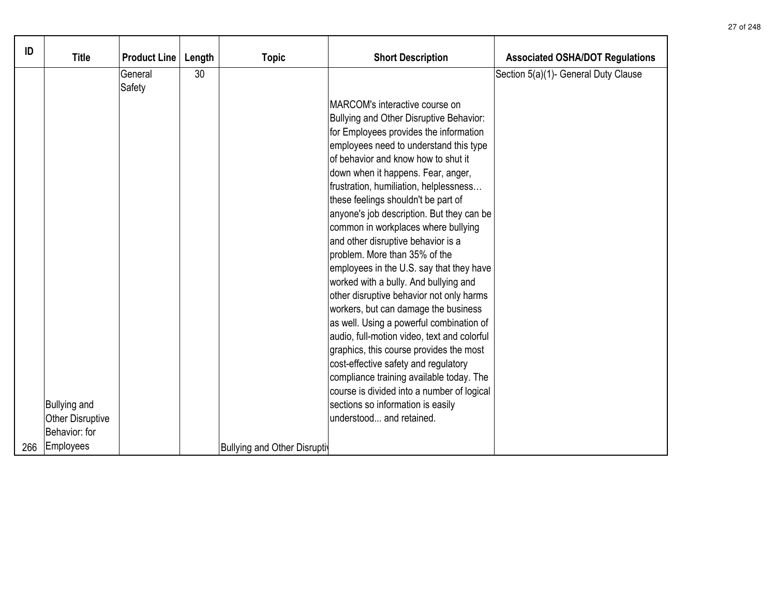| ID  | <b>Title</b>            | <b>Product Line</b> | Length | <b>Topic</b>                 | <b>Short Description</b>                    | <b>Associated OSHA/DOT Regulations</b> |
|-----|-------------------------|---------------------|--------|------------------------------|---------------------------------------------|----------------------------------------|
|     |                         | General<br>Safety   | 30     |                              |                                             | Section 5(a)(1)- General Duty Clause   |
|     |                         |                     |        |                              | MARCOM's interactive course on              |                                        |
|     |                         |                     |        |                              | Bullying and Other Disruptive Behavior:     |                                        |
|     |                         |                     |        |                              | for Employees provides the information      |                                        |
|     |                         |                     |        |                              | employees need to understand this type      |                                        |
|     |                         |                     |        |                              | of behavior and know how to shut it         |                                        |
|     |                         |                     |        |                              | down when it happens. Fear, anger,          |                                        |
|     |                         |                     |        |                              | frustration, humiliation, helplessness      |                                        |
|     |                         |                     |        |                              | these feelings shouldn't be part of         |                                        |
|     |                         |                     |        |                              | anyone's job description. But they can be   |                                        |
|     |                         |                     |        |                              | common in workplaces where bullying         |                                        |
|     |                         |                     |        |                              | and other disruptive behavior is a          |                                        |
|     |                         |                     |        |                              | problem. More than 35% of the               |                                        |
|     |                         |                     |        |                              | employees in the U.S. say that they have    |                                        |
|     |                         |                     |        |                              | worked with a bully. And bullying and       |                                        |
|     |                         |                     |        |                              | other disruptive behavior not only harms    |                                        |
|     |                         |                     |        |                              | workers, but can damage the business        |                                        |
|     |                         |                     |        |                              | as well. Using a powerful combination of    |                                        |
|     |                         |                     |        |                              | audio, full-motion video, text and colorful |                                        |
|     |                         |                     |        |                              | graphics, this course provides the most     |                                        |
|     |                         |                     |        |                              | cost-effective safety and regulatory        |                                        |
|     |                         |                     |        |                              | compliance training available today. The    |                                        |
|     |                         |                     |        |                              | course is divided into a number of logical  |                                        |
|     | <b>Bullying and</b>     |                     |        |                              | sections so information is easily           |                                        |
|     | <b>Other Disruptive</b> |                     |        |                              | understood and retained.                    |                                        |
|     | Behavior: for           |                     |        |                              |                                             |                                        |
| 266 | Employees               |                     |        | Bullying and Other Disruptiv |                                             |                                        |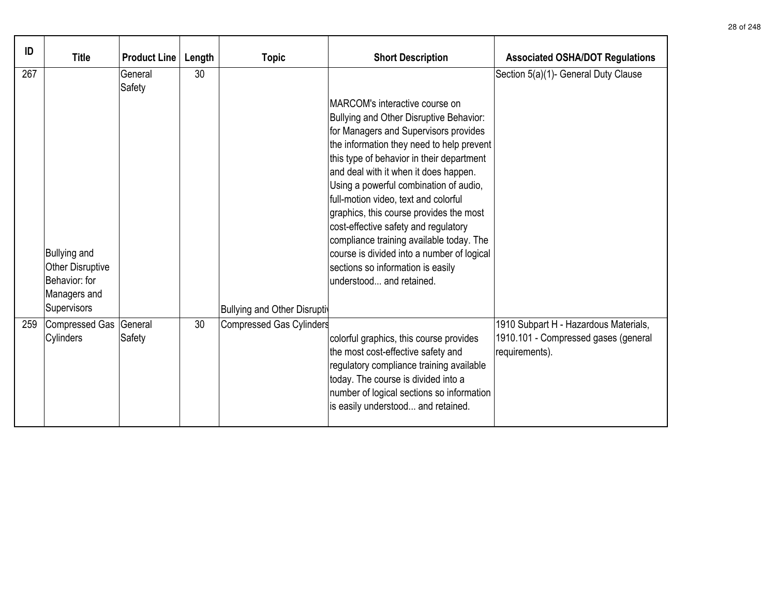| ID  | <b>Title</b>                                                    | <b>Product Line</b> | Length | <b>Topic</b>                          | <b>Short Description</b>                                                                                                                                                                                                                                                                                                                                                                                                                                                                                                                                                               | <b>Associated OSHA/DOT Regulations</b>                                                          |
|-----|-----------------------------------------------------------------|---------------------|--------|---------------------------------------|----------------------------------------------------------------------------------------------------------------------------------------------------------------------------------------------------------------------------------------------------------------------------------------------------------------------------------------------------------------------------------------------------------------------------------------------------------------------------------------------------------------------------------------------------------------------------------------|-------------------------------------------------------------------------------------------------|
| 267 | <b>Bullying and</b><br><b>Other Disruptive</b><br>Behavior: for | General<br>Safety   | 30     |                                       | MARCOM's interactive course on<br>Bullying and Other Disruptive Behavior:<br>for Managers and Supervisors provides<br>the information they need to help prevent<br>this type of behavior in their department<br>and deal with it when it does happen.<br>Using a powerful combination of audio,<br>full-motion video, text and colorful<br>graphics, this course provides the most<br>cost-effective safety and regulatory<br>compliance training available today. The<br>course is divided into a number of logical<br>sections so information is easily<br>lunderstood and retained. | Section 5(a)(1)- General Duty Clause                                                            |
|     | Managers and<br>Supervisors                                     |                     |        | <b>Bullying and Other Disruptiven</b> |                                                                                                                                                                                                                                                                                                                                                                                                                                                                                                                                                                                        |                                                                                                 |
| 259 | Compressed Gas<br>Cylinders                                     | General<br>Safety   | 30     | <b>Compressed Gas Cylinders</b>       | colorful graphics, this course provides<br>the most cost-effective safety and<br>regulatory compliance training available<br>today. The course is divided into a<br>number of logical sections so information<br>is easily understood and retained.                                                                                                                                                                                                                                                                                                                                    | 1910 Subpart H - Hazardous Materials,<br>1910.101 - Compressed gases (general<br>requirements). |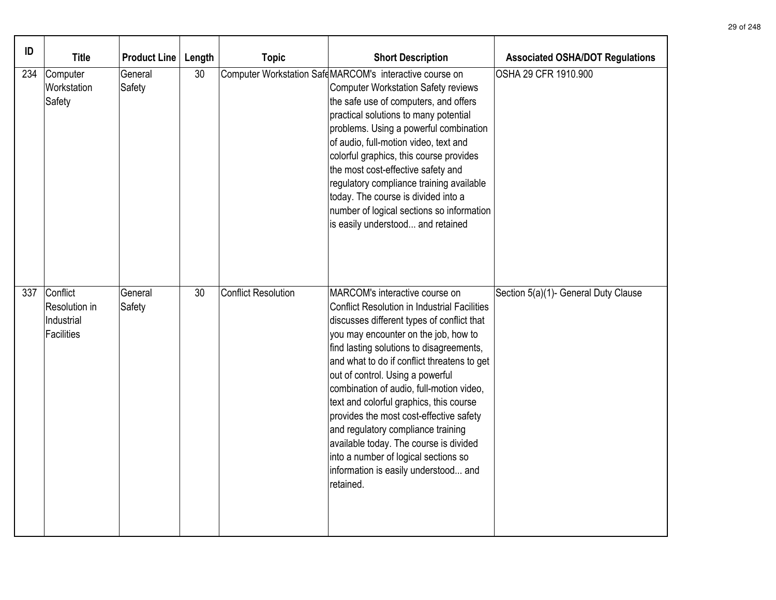| ID  | <b>Title</b>                                          | <b>Product Line</b> | Length | <b>Topic</b>               | <b>Short Description</b>                                                                                                                                                                                                                                                                                                                                                                                                                                                                                                                                                                                                  | <b>Associated OSHA/DOT Regulations</b> |
|-----|-------------------------------------------------------|---------------------|--------|----------------------------|---------------------------------------------------------------------------------------------------------------------------------------------------------------------------------------------------------------------------------------------------------------------------------------------------------------------------------------------------------------------------------------------------------------------------------------------------------------------------------------------------------------------------------------------------------------------------------------------------------------------------|----------------------------------------|
| 234 | Computer<br>Workstation<br>Safety                     | General<br>Safety   | 30     |                            | Computer Workstation Safe MARCOM's interactive course on<br><b>Computer Workstation Safety reviews</b><br>the safe use of computers, and offers<br>practical solutions to many potential<br>problems. Using a powerful combination<br>of audio, full-motion video, text and<br>colorful graphics, this course provides<br>the most cost-effective safety and<br>regulatory compliance training available<br>today. The course is divided into a<br>number of logical sections so information<br>is easily understood and retained                                                                                         | OSHA 29 CFR 1910.900                   |
| 337 | Conflict<br>Resolution in<br>Industrial<br>Facilities | General<br>Safety   | 30     | <b>Conflict Resolution</b> | MARCOM's interactive course on<br><b>Conflict Resolution in Industrial Facilities</b><br>discusses different types of conflict that<br>you may encounter on the job, how to<br>find lasting solutions to disagreements,<br>and what to do if conflict threatens to get<br>out of control. Using a powerful<br>combination of audio, full-motion video,<br>text and colorful graphics, this course<br>provides the most cost-effective safety<br>and regulatory compliance training<br>available today. The course is divided<br>into a number of logical sections so<br>information is easily understood and<br>retained. | Section 5(a)(1)- General Duty Clause   |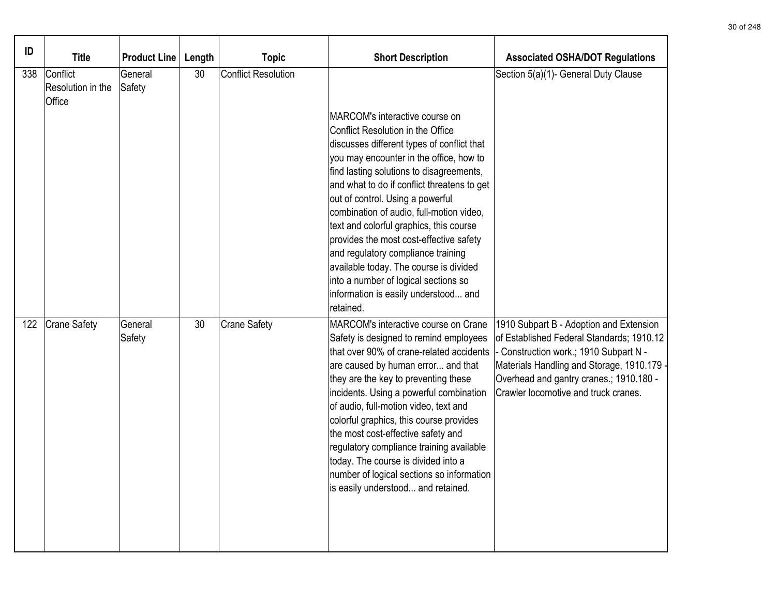| ID  | <b>Title</b>                            | <b>Product Line</b> | Length | <b>Topic</b>               | <b>Short Description</b>                                                                                                                                                                                                                                                                                                                                                                                                                                                                                                                            | <b>Associated OSHA/DOT Regulations</b>                                                                                                                                                                                                                          |
|-----|-----------------------------------------|---------------------|--------|----------------------------|-----------------------------------------------------------------------------------------------------------------------------------------------------------------------------------------------------------------------------------------------------------------------------------------------------------------------------------------------------------------------------------------------------------------------------------------------------------------------------------------------------------------------------------------------------|-----------------------------------------------------------------------------------------------------------------------------------------------------------------------------------------------------------------------------------------------------------------|
| 338 | Conflict<br>Resolution in the<br>Office | General<br>Safety   | 30     | <b>Conflict Resolution</b> | MARCOM's interactive course on<br>Conflict Resolution in the Office<br>discusses different types of conflict that<br>you may encounter in the office, how to<br>find lasting solutions to disagreements,<br>and what to do if conflict threatens to get<br>out of control. Using a powerful                                                                                                                                                                                                                                                         | Section 5(a)(1)- General Duty Clause                                                                                                                                                                                                                            |
|     |                                         |                     |        |                            | combination of audio, full-motion video,<br>text and colorful graphics, this course<br>provides the most cost-effective safety<br>and regulatory compliance training<br>available today. The course is divided<br>into a number of logical sections so<br>information is easily understood and<br>retained.                                                                                                                                                                                                                                         |                                                                                                                                                                                                                                                                 |
| 122 | <b>Crane Safety</b>                     | General<br>Safety   | 30     | <b>Crane Safety</b>        | MARCOM's interactive course on Crane<br>Safety is designed to remind employees<br>that over 90% of crane-related accidents<br>are caused by human error and that<br>they are the key to preventing these<br>incidents. Using a powerful combination<br>of audio, full-motion video, text and<br>colorful graphics, this course provides<br>the most cost-effective safety and<br>regulatory compliance training available<br>today. The course is divided into a<br>number of logical sections so information<br>is easily understood and retained. | 1910 Subpart B - Adoption and Extension<br>of Established Federal Standards; 1910.12<br>- Construction work.; 1910 Subpart N -<br>Materials Handling and Storage, 1910.179 -<br>Overhead and gantry cranes.; 1910.180 -<br>Crawler locomotive and truck cranes. |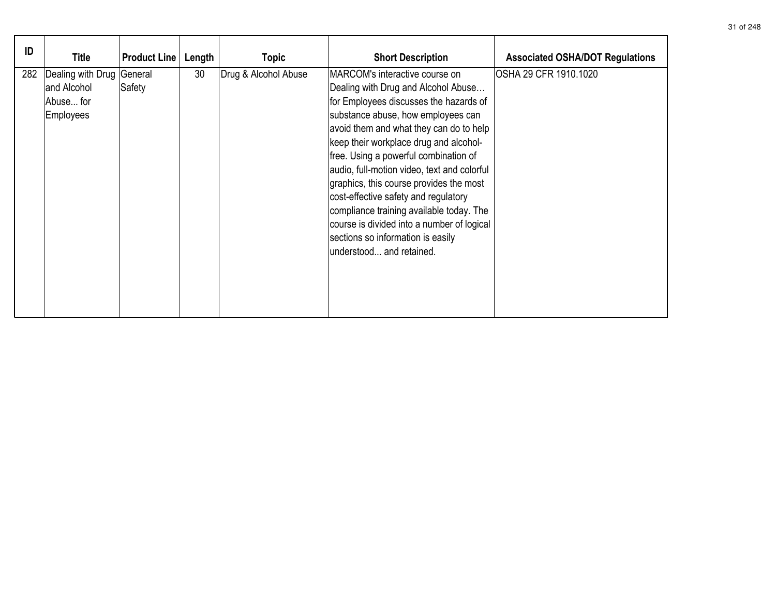| ID  | Title                                                              | <b>Product Line</b> | Length | Topic                | <b>Short Description</b>                                                                                                                                                                                                                                                                                                                                                                                                                                                                                                                                                         | <b>Associated OSHA/DOT Regulations</b> |
|-----|--------------------------------------------------------------------|---------------------|--------|----------------------|----------------------------------------------------------------------------------------------------------------------------------------------------------------------------------------------------------------------------------------------------------------------------------------------------------------------------------------------------------------------------------------------------------------------------------------------------------------------------------------------------------------------------------------------------------------------------------|----------------------------------------|
| 282 | Dealing with Drug General<br>and Alcohol<br>Abuse for<br>Employees | Safety              | 30     | Drug & Alcohol Abuse | MARCOM's interactive course on<br>Dealing with Drug and Alcohol Abuse<br>for Employees discusses the hazards of<br>substance abuse, how employees can<br>avoid them and what they can do to help<br>keep their workplace drug and alcohol-<br>free. Using a powerful combination of<br>audio, full-motion video, text and colorful<br>graphics, this course provides the most<br>cost-effective safety and regulatory<br>compliance training available today. The<br>course is divided into a number of logical<br>sections so information is easily<br>understood and retained. | OSHA 29 CFR 1910.1020                  |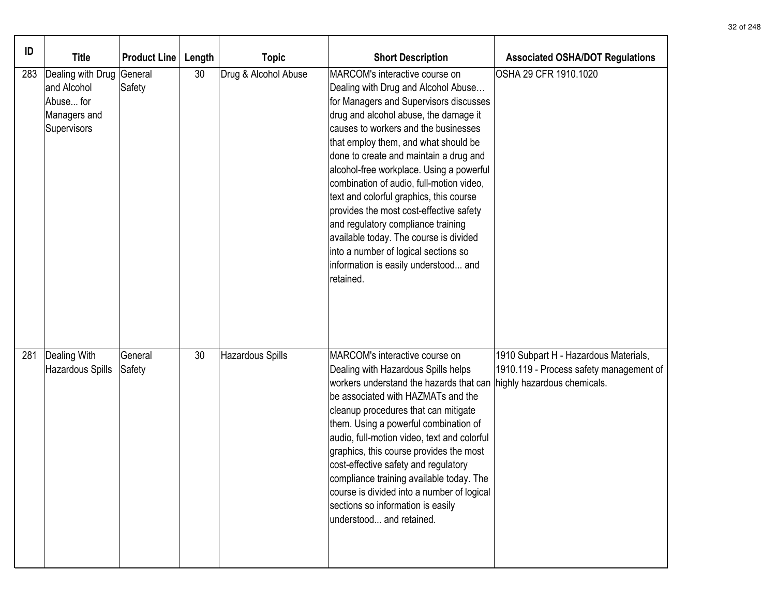| ID  | <b>Title</b>                                                                         | <b>Product Line</b> | Length | <b>Topic</b>            | <b>Short Description</b>                                                                                                                                                                                                                                                                                                                                                                                                                                                                                                                                                                                                                      | <b>Associated OSHA/DOT Regulations</b>                                                                          |
|-----|--------------------------------------------------------------------------------------|---------------------|--------|-------------------------|-----------------------------------------------------------------------------------------------------------------------------------------------------------------------------------------------------------------------------------------------------------------------------------------------------------------------------------------------------------------------------------------------------------------------------------------------------------------------------------------------------------------------------------------------------------------------------------------------------------------------------------------------|-----------------------------------------------------------------------------------------------------------------|
| 283 | Dealing with Drug General<br>and Alcohol<br>Abuse for<br>Managers and<br>Supervisors | Safety              | 30     | Drug & Alcohol Abuse    | MARCOM's interactive course on<br>Dealing with Drug and Alcohol Abuse<br>for Managers and Supervisors discusses<br>drug and alcohol abuse, the damage it<br>causes to workers and the businesses<br>that employ them, and what should be<br>done to create and maintain a drug and<br>alcohol-free workplace. Using a powerful<br>combination of audio, full-motion video,<br>text and colorful graphics, this course<br>provides the most cost-effective safety<br>and regulatory compliance training<br>available today. The course is divided<br>into a number of logical sections so<br>information is easily understood and<br>retained. | OSHA 29 CFR 1910.1020                                                                                           |
| 281 | Dealing With<br>Hazardous Spills                                                     | General<br>Safety   | 30     | <b>Hazardous Spills</b> | MARCOM's interactive course on<br>Dealing with Hazardous Spills helps<br>workers understand the hazards that can<br>be associated with HAZMATs and the<br>cleanup procedures that can mitigate<br>them. Using a powerful combination of<br>audio, full-motion video, text and colorful<br>graphics, this course provides the most<br>cost-effective safety and regulatory<br>compliance training available today. The<br>course is divided into a number of logical<br>sections so information is easily<br>understood and retained.                                                                                                          | 1910 Subpart H - Hazardous Materials,<br>1910.119 - Process safety management of<br>highly hazardous chemicals. |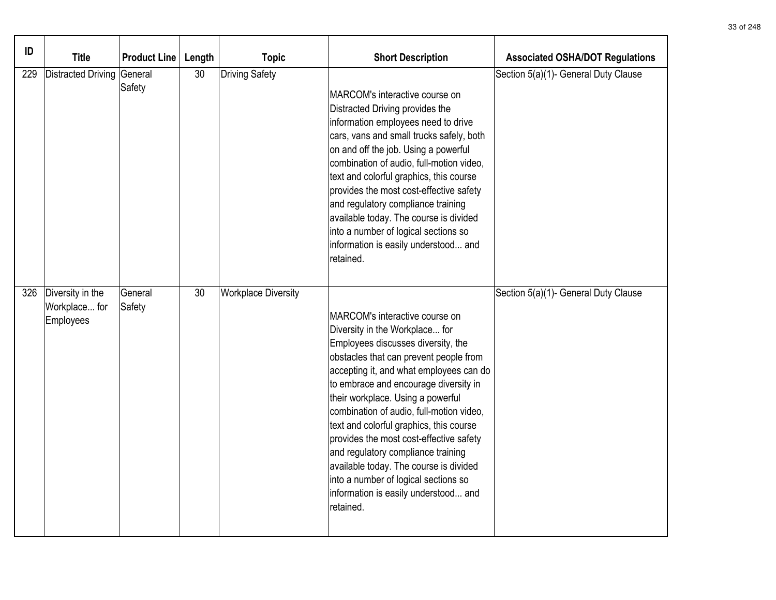| ID  | <b>Title</b>                                         | <b>Product Line</b> | Length | <b>Topic</b>               | <b>Short Description</b>                                                                                                                                                                                                                                                                                                                                                                                                                                                                                                                                                                 | <b>Associated OSHA/DOT Regulations</b> |
|-----|------------------------------------------------------|---------------------|--------|----------------------------|------------------------------------------------------------------------------------------------------------------------------------------------------------------------------------------------------------------------------------------------------------------------------------------------------------------------------------------------------------------------------------------------------------------------------------------------------------------------------------------------------------------------------------------------------------------------------------------|----------------------------------------|
| 229 | <b>Distracted Driving</b>                            | General<br>Safety   | 30     | <b>Driving Safety</b>      | MARCOM's interactive course on<br>Distracted Driving provides the<br>information employees need to drive<br>cars, vans and small trucks safely, both<br>on and off the job. Using a powerful<br>combination of audio, full-motion video,<br>text and colorful graphics, this course<br>provides the most cost-effective safety<br>and regulatory compliance training<br>available today. The course is divided<br>into a number of logical sections so<br>information is easily understood and<br>retained.                                                                              | Section 5(a)(1)- General Duty Clause   |
|     | 326   Diversity in the<br>Workplace for<br>Employees | General<br>Safety   | 30     | <b>Workplace Diversity</b> | MARCOM's interactive course on<br>Diversity in the Workplace for<br>Employees discusses diversity, the<br>obstacles that can prevent people from<br>accepting it, and what employees can do<br>to embrace and encourage diversity in<br>their workplace. Using a powerful<br>combination of audio, full-motion video,<br>text and colorful graphics, this course<br>provides the most cost-effective safety<br>and regulatory compliance training<br>available today. The course is divided<br>into a number of logical sections so<br>information is easily understood and<br>retained. | Section 5(a)(1)- General Duty Clause   |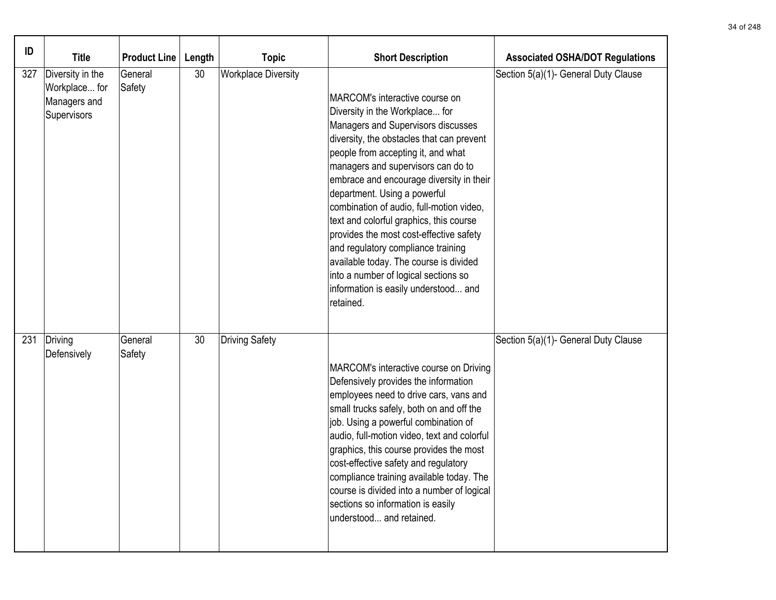| ID  | <b>Title</b>                                                     | <b>Product Line</b> | Length | <b>Topic</b>               | <b>Short Description</b>                                                                                                                                                                                                                                                                                                                                                                                                                                                                                                                                                                                                   | <b>Associated OSHA/DOT Regulations</b> |
|-----|------------------------------------------------------------------|---------------------|--------|----------------------------|----------------------------------------------------------------------------------------------------------------------------------------------------------------------------------------------------------------------------------------------------------------------------------------------------------------------------------------------------------------------------------------------------------------------------------------------------------------------------------------------------------------------------------------------------------------------------------------------------------------------------|----------------------------------------|
| 327 | Diversity in the<br>Workplace for<br>Managers and<br>Supervisors | General<br>Safety   | 30     | <b>Workplace Diversity</b> | MARCOM's interactive course on<br>Diversity in the Workplace for<br>Managers and Supervisors discusses<br>diversity, the obstacles that can prevent<br>people from accepting it, and what<br>managers and supervisors can do to<br>embrace and encourage diversity in their<br>department. Using a powerful<br>combination of audio, full-motion video,<br>text and colorful graphics, this course<br>provides the most cost-effective safety<br>and regulatory compliance training<br>available today. The course is divided<br>into a number of logical sections so<br>information is easily understood and<br>retained. | Section 5(a)(1)- General Duty Clause   |
| 231 | Driving<br>Defensively                                           | General<br>Safety   | 30     | <b>Driving Safety</b>      | MARCOM's interactive course on Driving<br>Defensively provides the information<br>employees need to drive cars, vans and<br>small trucks safely, both on and off the<br>job. Using a powerful combination of<br>audio, full-motion video, text and colorful<br>graphics, this course provides the most<br>cost-effective safety and regulatory<br>compliance training available today. The<br>course is divided into a number of logical<br>sections so information is easily<br>understood and retained.                                                                                                                  | Section 5(a)(1)- General Duty Clause   |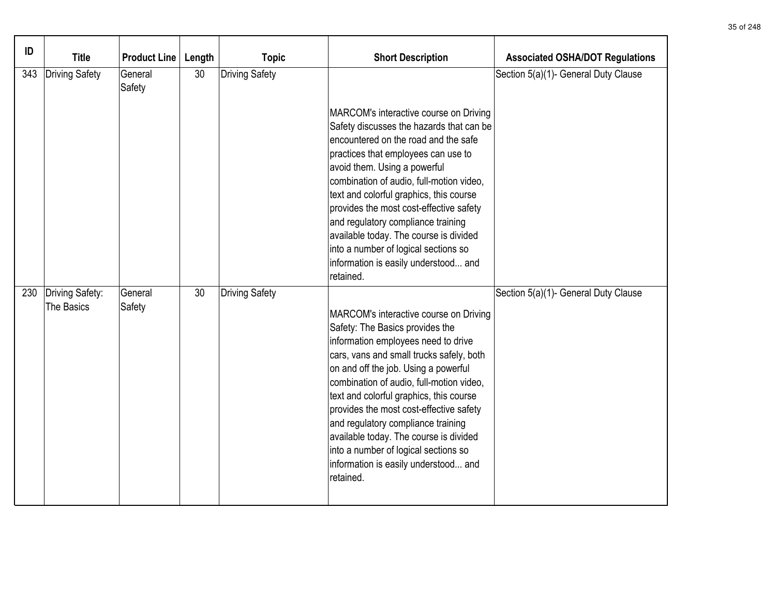| ID  | <b>Title</b>                  | Product Line      | Length | <b>Topic</b>          | <b>Short Description</b>                                                                                                                                                                                                                                                                                                                                                                                                                                                                                            | <b>Associated OSHA/DOT Regulations</b> |
|-----|-------------------------------|-------------------|--------|-----------------------|---------------------------------------------------------------------------------------------------------------------------------------------------------------------------------------------------------------------------------------------------------------------------------------------------------------------------------------------------------------------------------------------------------------------------------------------------------------------------------------------------------------------|----------------------------------------|
| 343 | Driving Safety                | General<br>Safety | 30     | <b>Driving Safety</b> |                                                                                                                                                                                                                                                                                                                                                                                                                                                                                                                     | Section 5(a)(1)- General Duty Clause   |
|     |                               |                   |        |                       | MARCOM's interactive course on Driving<br>Safety discusses the hazards that can be<br>encountered on the road and the safe<br>practices that employees can use to<br>avoid them. Using a powerful<br>combination of audio, full-motion video,<br>text and colorful graphics, this course<br>provides the most cost-effective safety<br>and regulatory compliance training<br>available today. The course is divided<br>into a number of logical sections so<br>information is easily understood and<br>retained.    |                                        |
| 230 | Driving Safety:<br>The Basics | General<br>Safety | 30     | <b>Driving Safety</b> | MARCOM's interactive course on Driving<br>Safety: The Basics provides the<br>information employees need to drive<br>cars, vans and small trucks safely, both<br>on and off the job. Using a powerful<br>combination of audio, full-motion video,<br>text and colorful graphics, this course<br>provides the most cost-effective safety<br>and regulatory compliance training<br>available today. The course is divided<br>into a number of logical sections so<br>information is easily understood and<br>retained. | Section 5(a)(1)- General Duty Clause   |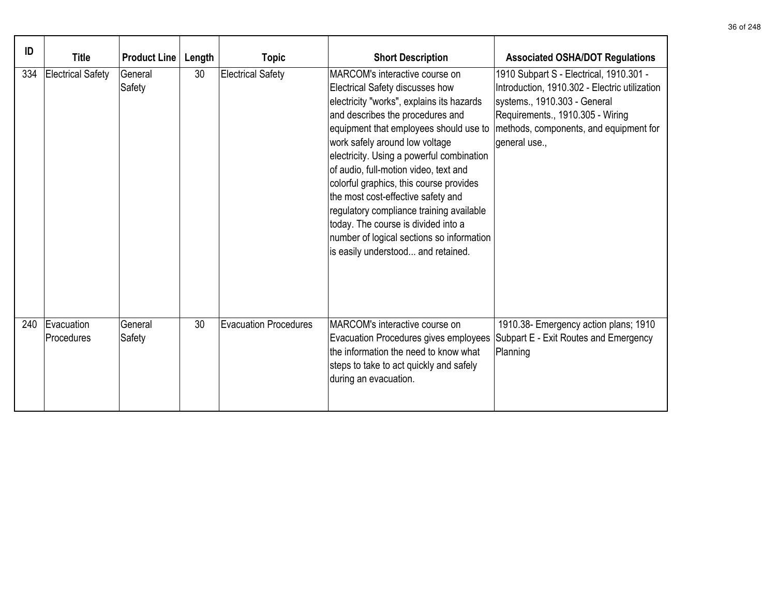| ID  | <b>Title</b>             | <b>Product Line</b> | Length | <b>Topic</b>                 | <b>Short Description</b>                                                                                                                                                                                                                                                                                                                                                                                                                                                                                                                                                    | <b>Associated OSHA/DOT Regulations</b>                                                                                                                                                                                  |
|-----|--------------------------|---------------------|--------|------------------------------|-----------------------------------------------------------------------------------------------------------------------------------------------------------------------------------------------------------------------------------------------------------------------------------------------------------------------------------------------------------------------------------------------------------------------------------------------------------------------------------------------------------------------------------------------------------------------------|-------------------------------------------------------------------------------------------------------------------------------------------------------------------------------------------------------------------------|
| 334 | <b>Electrical Safety</b> | General<br>Safety   | 30     | <b>Electrical Safety</b>     | MARCOM's interactive course on<br>Electrical Safety discusses how<br>electricity "works", explains its hazards<br>and describes the procedures and<br>equipment that employees should use to<br>work safely around low voltage<br>electricity. Using a powerful combination<br>of audio, full-motion video, text and<br>colorful graphics, this course provides<br>the most cost-effective safety and<br>regulatory compliance training available<br>today. The course is divided into a<br>number of logical sections so information<br>is easily understood and retained. | 1910 Subpart S - Electrical, 1910.301 -<br>Introduction, 1910.302 - Electric utilization<br>systems., 1910.303 - General<br>Requirements., 1910.305 - Wiring<br>methods, components, and equipment for<br>general use., |
| 240 | Evacuation<br>Procedures | General<br>Safety   | 30     | <b>Evacuation Procedures</b> | MARCOM's interactive course on<br>Evacuation Procedures gives employees<br>the information the need to know what<br>steps to take to act quickly and safely<br>during an evacuation.                                                                                                                                                                                                                                                                                                                                                                                        | 1910.38- Emergency action plans; 1910<br>Subpart E - Exit Routes and Emergency<br>Planning                                                                                                                              |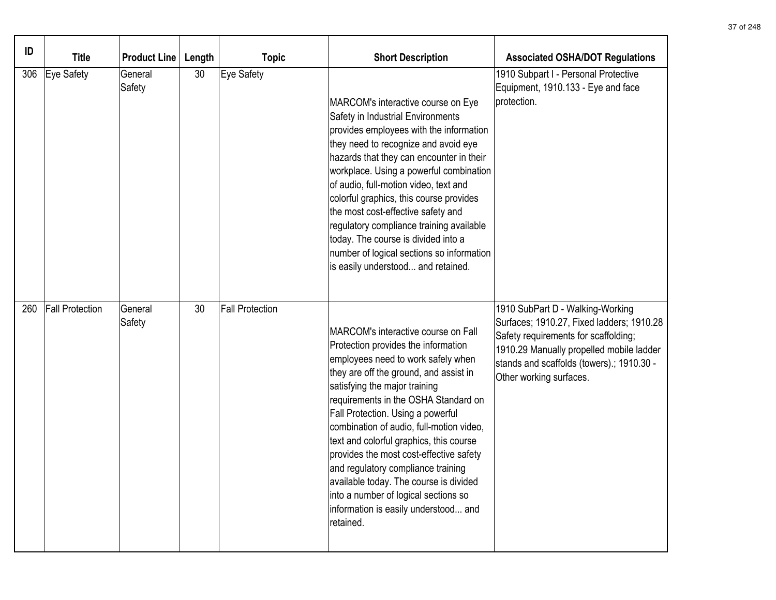| ID  | <b>Title</b>           | <b>Product Line</b> | Length          | <b>Topic</b>           | <b>Short Description</b>                                                                                                                                                                                                                                                                                                                                                                                                                                                                                                                                                                | <b>Associated OSHA/DOT Regulations</b>                                                                                                                                                                                                    |
|-----|------------------------|---------------------|-----------------|------------------------|-----------------------------------------------------------------------------------------------------------------------------------------------------------------------------------------------------------------------------------------------------------------------------------------------------------------------------------------------------------------------------------------------------------------------------------------------------------------------------------------------------------------------------------------------------------------------------------------|-------------------------------------------------------------------------------------------------------------------------------------------------------------------------------------------------------------------------------------------|
| 306 | Eye Safety             | General<br>Safety   | 30 <sup>°</sup> | Eye Safety             | MARCOM's interactive course on Eye<br>Safety in Industrial Environments<br>provides employees with the information<br>they need to recognize and avoid eye<br>hazards that they can encounter in their<br>workplace. Using a powerful combination<br>of audio, full-motion video, text and<br>colorful graphics, this course provides<br>the most cost-effective safety and<br>regulatory compliance training available<br>today. The course is divided into a<br>number of logical sections so information<br>is easily understood and retained.                                       | 1910 Subpart I - Personal Protective<br>Equipment, 1910.133 - Eye and face<br>protection.                                                                                                                                                 |
| 260 | <b>Fall Protection</b> | General<br>Safety   | 30              | <b>Fall Protection</b> | MARCOM's interactive course on Fall<br>Protection provides the information<br>employees need to work safely when<br>they are off the ground, and assist in<br>satisfying the major training<br>requirements in the OSHA Standard on<br>Fall Protection. Using a powerful<br>combination of audio, full-motion video,<br>text and colorful graphics, this course<br>provides the most cost-effective safety<br>and regulatory compliance training<br>available today. The course is divided<br>into a number of logical sections so<br>information is easily understood and<br>retained. | 1910 SubPart D - Walking-Working<br>Surfaces; 1910.27, Fixed ladders; 1910.28<br>Safety requirements for scaffolding;<br>1910.29 Manually propelled mobile ladder<br>stands and scaffolds (towers).; 1910.30 -<br>Other working surfaces. |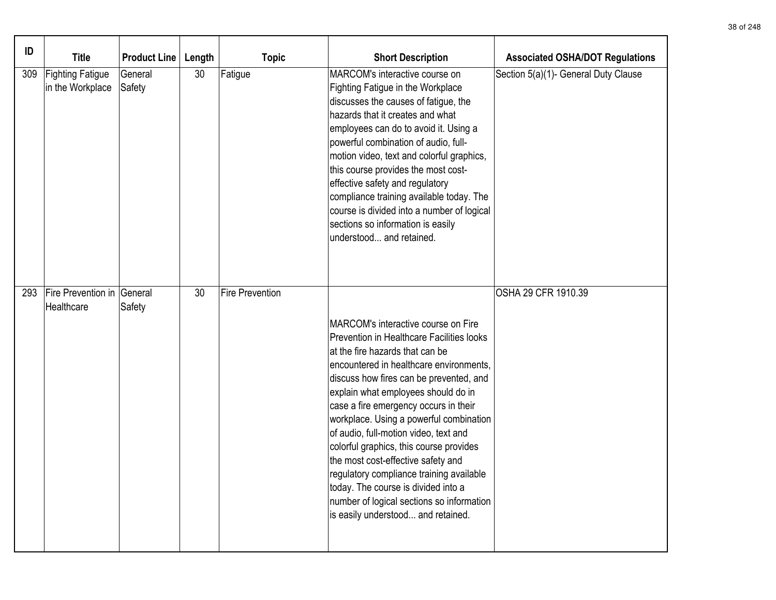| ID  | <b>Title</b>                                | <b>Product Line</b> | Length | <b>Topic</b>           | <b>Short Description</b>                                                                                                                                                                                                                                                                                                                                                                                                                                                                                                                                                                                                             | <b>Associated OSHA/DOT Regulations</b> |
|-----|---------------------------------------------|---------------------|--------|------------------------|--------------------------------------------------------------------------------------------------------------------------------------------------------------------------------------------------------------------------------------------------------------------------------------------------------------------------------------------------------------------------------------------------------------------------------------------------------------------------------------------------------------------------------------------------------------------------------------------------------------------------------------|----------------------------------------|
| 309 | <b>Fighting Fatigue</b><br>in the Workplace | General<br>Safety   | 30     | Fatigue                | MARCOM's interactive course on<br>Fighting Fatigue in the Workplace<br>discusses the causes of fatigue, the<br>hazards that it creates and what<br>employees can do to avoid it. Using a<br>powerful combination of audio, full-<br>motion video, text and colorful graphics,<br>this course provides the most cost-<br>effective safety and regulatory<br>compliance training available today. The<br>course is divided into a number of logical<br>sections so information is easily<br>lunderstood and retained.                                                                                                                  | Section 5(a)(1)- General Duty Clause   |
| 293 | Fire Prevention in General<br>Healthcare    | Safety              | 30     | <b>Fire Prevention</b> | MARCOM's interactive course on Fire<br>Prevention in Healthcare Facilities looks<br>at the fire hazards that can be<br>encountered in healthcare environments,<br>discuss how fires can be prevented, and<br>explain what employees should do in<br>case a fire emergency occurs in their<br>workplace. Using a powerful combination<br>of audio, full-motion video, text and<br>colorful graphics, this course provides<br>the most cost-effective safety and<br>regulatory compliance training available<br>today. The course is divided into a<br>number of logical sections so information<br>is easily understood and retained. | OSHA 29 CFR 1910.39                    |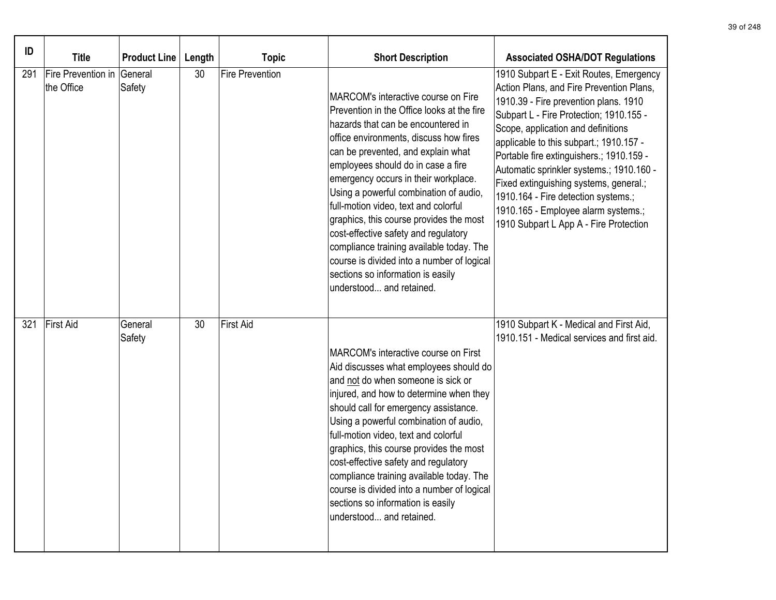| ID  | <b>Title</b>                     | <b>Product Line</b> | Length | <b>Topic</b>           | <b>Short Description</b>                                                                                                                                                                                                                                                                                                                                                                                                                                                                                                                                                                                              | <b>Associated OSHA/DOT Regulations</b>                                                                                                                                                                                                                                                                                                                                                                                                                                                                             |
|-----|----------------------------------|---------------------|--------|------------------------|-----------------------------------------------------------------------------------------------------------------------------------------------------------------------------------------------------------------------------------------------------------------------------------------------------------------------------------------------------------------------------------------------------------------------------------------------------------------------------------------------------------------------------------------------------------------------------------------------------------------------|--------------------------------------------------------------------------------------------------------------------------------------------------------------------------------------------------------------------------------------------------------------------------------------------------------------------------------------------------------------------------------------------------------------------------------------------------------------------------------------------------------------------|
| 291 | Fire Prevention in<br>the Office | General<br>Safety   | 30     | <b>Fire Prevention</b> | MARCOM's interactive course on Fire<br>Prevention in the Office looks at the fire<br>hazards that can be encountered in<br>office environments, discuss how fires<br>can be prevented, and explain what<br>employees should do in case a fire<br>emergency occurs in their workplace.<br>Using a powerful combination of audio,<br>full-motion video, text and colorful<br>graphics, this course provides the most<br>cost-effective safety and regulatory<br>compliance training available today. The<br>course is divided into a number of logical<br>sections so information is easily<br>understood and retained. | 1910 Subpart E - Exit Routes, Emergency<br>Action Plans, and Fire Prevention Plans,<br>1910.39 - Fire prevention plans. 1910<br>Subpart L - Fire Protection; 1910.155 -<br>Scope, application and definitions<br>applicable to this subpart.; 1910.157 -<br>Portable fire extinguishers.; 1910.159 -<br>Automatic sprinkler systems.; 1910.160 -<br>Fixed extinguishing systems, general.;<br>1910.164 - Fire detection systems.;<br>1910.165 - Employee alarm systems.;<br>1910 Subpart L App A - Fire Protection |
| 321 | First Aid                        | General<br>Safety   | 30     | First Aid              | MARCOM's interactive course on First<br>Aid discusses what employees should do<br>and not do when someone is sick or<br>injured, and how to determine when they<br>should call for emergency assistance.<br>Using a powerful combination of audio,<br>full-motion video, text and colorful<br>graphics, this course provides the most<br>cost-effective safety and regulatory<br>compliance training available today. The<br>course is divided into a number of logical<br>sections so information is easily<br>understood and retained.                                                                              | 1910 Subpart K - Medical and First Aid,<br>1910.151 - Medical services and first aid.                                                                                                                                                                                                                                                                                                                                                                                                                              |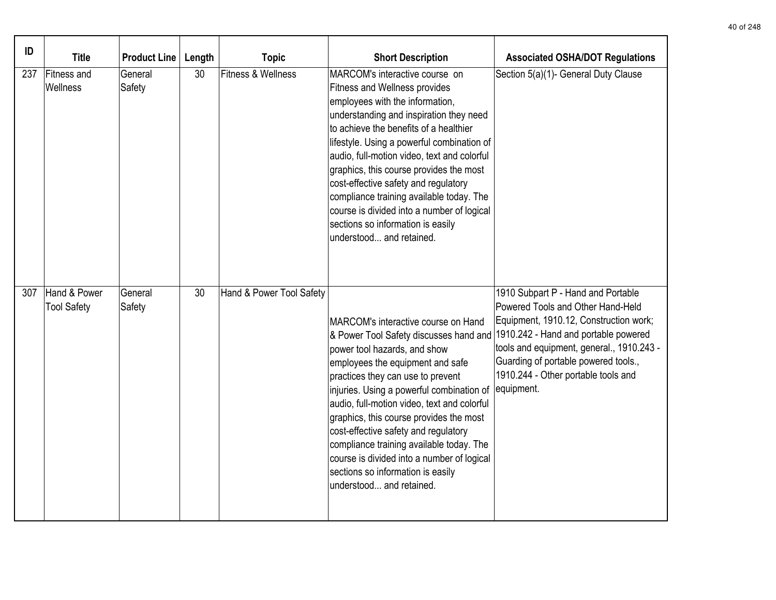| ID  | <b>Title</b>                       | <b>Product Line</b> | Length | <b>Topic</b>             | <b>Short Description</b>                                                                                                                                                                                                                                                                                                                                                                                                                                                                                                                                              | <b>Associated OSHA/DOT Regulations</b>                                                                                                                                                                                                                      |
|-----|------------------------------------|---------------------|--------|--------------------------|-----------------------------------------------------------------------------------------------------------------------------------------------------------------------------------------------------------------------------------------------------------------------------------------------------------------------------------------------------------------------------------------------------------------------------------------------------------------------------------------------------------------------------------------------------------------------|-------------------------------------------------------------------------------------------------------------------------------------------------------------------------------------------------------------------------------------------------------------|
| 237 | <b>Fitness and</b><br>Wellness     | General<br>Safety   | 30     | Fitness & Wellness       | MARCOM's interactive course on<br>Fitness and Wellness provides<br>employees with the information,<br>understanding and inspiration they need<br>to achieve the benefits of a healthier<br>lifestyle. Using a powerful combination of<br>audio, full-motion video, text and colorful<br>graphics, this course provides the most<br>cost-effective safety and regulatory<br>compliance training available today. The<br>course is divided into a number of logical<br>sections so information is easily<br>understood and retained.                                    | Section 5(a)(1)- General Duty Clause                                                                                                                                                                                                                        |
| 307 | Hand & Power<br><b>Tool Safety</b> | General<br>Safety   | 30     | Hand & Power Tool Safety | MARCOM's interactive course on Hand<br>& Power Tool Safety discusses hand and 1910.242 - Hand and portable powered<br>power tool hazards, and show<br>employees the equipment and safe<br>practices they can use to prevent<br>injuries. Using a powerful combination of<br>audio, full-motion video, text and colorful<br>graphics, this course provides the most<br>cost-effective safety and regulatory<br>compliance training available today. The<br>course is divided into a number of logical<br>sections so information is easily<br>understood and retained. | 1910 Subpart P - Hand and Portable<br>Powered Tools and Other Hand-Held<br>Equipment, 1910.12, Construction work;<br>tools and equipment, general., 1910.243 -<br>Guarding of portable powered tools.,<br>1910.244 - Other portable tools and<br>equipment. |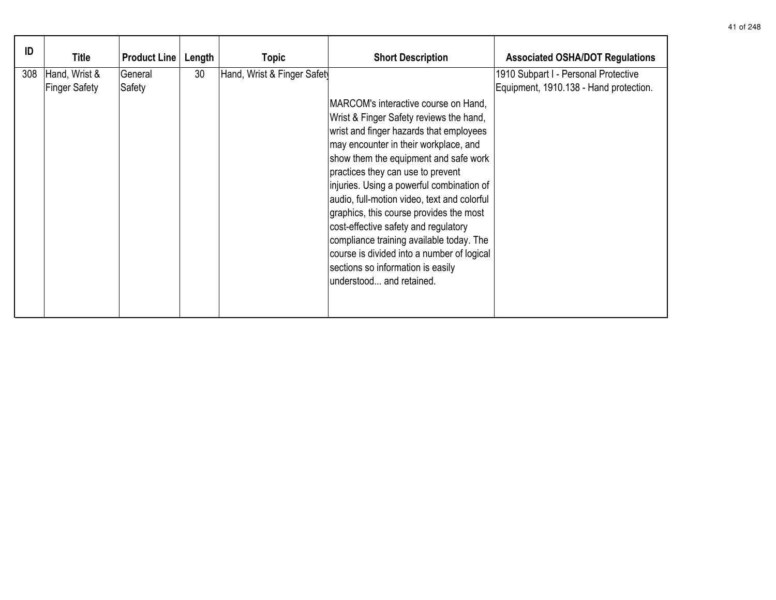| ID  | <b>Title</b>                   | <b>Product Line</b> | Length | <b>Topic</b>                | <b>Short Description</b>                                                                                                                                                                                                                                                                                                                                                                                                                                                                                                                                                                    | <b>Associated OSHA/DOT Regulations</b>                                         |
|-----|--------------------------------|---------------------|--------|-----------------------------|---------------------------------------------------------------------------------------------------------------------------------------------------------------------------------------------------------------------------------------------------------------------------------------------------------------------------------------------------------------------------------------------------------------------------------------------------------------------------------------------------------------------------------------------------------------------------------------------|--------------------------------------------------------------------------------|
| 308 | Hand, Wrist &<br>Finger Safety | General<br>Safety   | 30     | Hand, Wrist & Finger Safety | MARCOM's interactive course on Hand,<br>Wrist & Finger Safety reviews the hand,<br>wrist and finger hazards that employees<br>may encounter in their workplace, and<br>show them the equipment and safe work<br>practices they can use to prevent<br>injuries. Using a powerful combination of<br>audio, full-motion video, text and colorful<br>graphics, this course provides the most<br>cost-effective safety and regulatory<br>compliance training available today. The<br>course is divided into a number of logical<br>sections so information is easily<br>understood and retained. | 1910 Subpart I - Personal Protective<br>Equipment, 1910.138 - Hand protection. |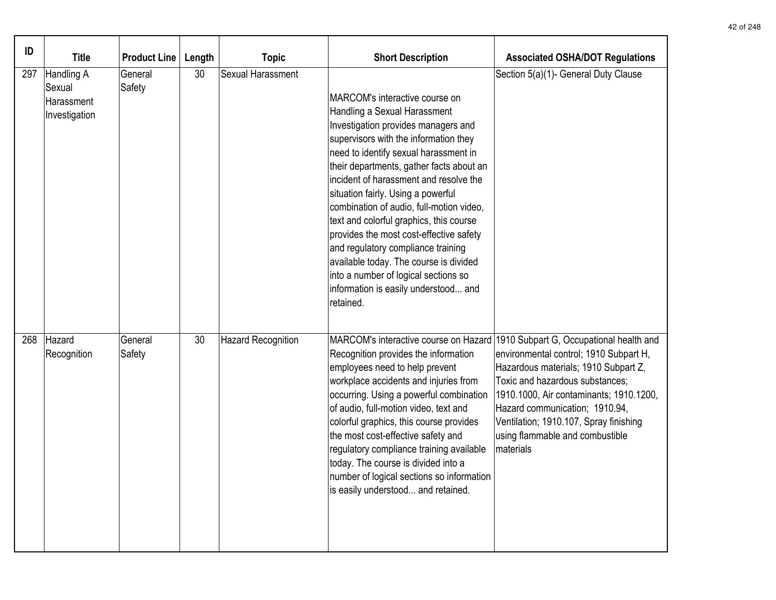| ID  | <b>Title</b>                                        | Product Line      | Length | <b>Topic</b>              | <b>Short Description</b>                                                                                                                                                                                                                                                                                                                                                                                                                                                                                                                                                                                                           | <b>Associated OSHA/DOT Regulations</b>                                                                                                                                                                                                                                                                                                                                    |
|-----|-----------------------------------------------------|-------------------|--------|---------------------------|------------------------------------------------------------------------------------------------------------------------------------------------------------------------------------------------------------------------------------------------------------------------------------------------------------------------------------------------------------------------------------------------------------------------------------------------------------------------------------------------------------------------------------------------------------------------------------------------------------------------------------|---------------------------------------------------------------------------------------------------------------------------------------------------------------------------------------------------------------------------------------------------------------------------------------------------------------------------------------------------------------------------|
| 297 | Handling A<br>Sexual<br>Harassment<br>Investigation | General<br>Safety | 30     | Sexual Harassment         | MARCOM's interactive course on<br>Handling a Sexual Harassment<br>Investigation provides managers and<br>supervisors with the information they<br>need to identify sexual harassment in<br>their departments, gather facts about an<br>incident of harassment and resolve the<br>situation fairly. Using a powerful<br>combination of audio, full-motion video,<br>text and colorful graphics, this course<br>provides the most cost-effective safety<br>and regulatory compliance training<br>available today. The course is divided<br>into a number of logical sections so<br>information is easily understood and<br>retained. | Section 5(a)(1)- General Duty Clause                                                                                                                                                                                                                                                                                                                                      |
| 268 | Hazard<br>Recognition                               | General<br>Safety | 30     | <b>Hazard Recognition</b> | Recognition provides the information<br>employees need to help prevent<br>workplace accidents and injuries from<br>occurring. Using a powerful combination<br>of audio, full-motion video, text and<br>colorful graphics, this course provides<br>the most cost-effective safety and<br>regulatory compliance training available<br>today. The course is divided into a<br>number of logical sections so information<br>is easily understood and retained.                                                                                                                                                                         | MARCOM's interactive course on Hazard 1910 Subpart G, Occupational health and<br>environmental control; 1910 Subpart H,<br>Hazardous materials; 1910 Subpart Z,<br>Toxic and hazardous substances;<br>1910.1000, Air contaminants; 1910.1200,<br>Hazard communication; 1910.94,<br>Ventilation; 1910.107, Spray finishing<br>using flammable and combustible<br>materials |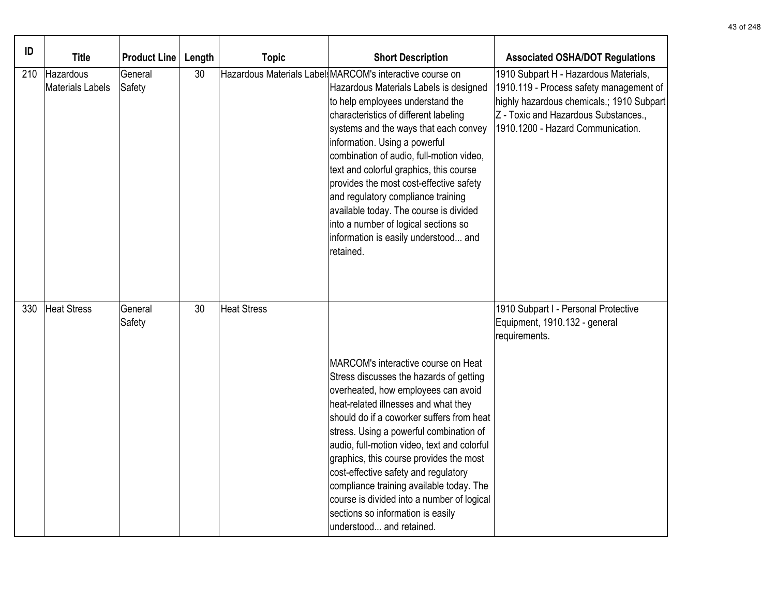| ID  | <b>Title</b>                  | <b>Product Line</b> | Length | <b>Topic</b>       | <b>Short Description</b>                                                                                                                                                                                                                                                                                                                                                                                                                                                                                                                                                 | <b>Associated OSHA/DOT Regulations</b>                                                                                                                                                                     |
|-----|-------------------------------|---------------------|--------|--------------------|--------------------------------------------------------------------------------------------------------------------------------------------------------------------------------------------------------------------------------------------------------------------------------------------------------------------------------------------------------------------------------------------------------------------------------------------------------------------------------------------------------------------------------------------------------------------------|------------------------------------------------------------------------------------------------------------------------------------------------------------------------------------------------------------|
| 210 | Hazardous<br>Materials Labels | General<br>Safety   | 30     |                    | Hazardous Materials Label MARCOM's interactive course on<br>Hazardous Materials Labels is designed<br>to help employees understand the<br>characteristics of different labeling<br>systems and the ways that each convey<br>information. Using a powerful<br>combination of audio, full-motion video,<br>text and colorful graphics, this course<br>provides the most cost-effective safety<br>and regulatory compliance training<br>available today. The course is divided<br>into a number of logical sections so<br>information is easily understood and<br>retained. | 1910 Subpart H - Hazardous Materials,<br>1910.119 - Process safety management of<br>highly hazardous chemicals.; 1910 Subpart<br>Z - Toxic and Hazardous Substances.,<br>1910.1200 - Hazard Communication. |
| 330 | Heat Stress                   | General<br>Safety   | 30     | <b>Heat Stress</b> | MARCOM's interactive course on Heat<br>Stress discusses the hazards of getting<br>overheated, how employees can avoid<br>heat-related illnesses and what they<br>should do if a coworker suffers from heat<br>stress. Using a powerful combination of<br>audio, full-motion video, text and colorful<br>graphics, this course provides the most<br>cost-effective safety and regulatory<br>compliance training available today. The<br>course is divided into a number of logical<br>sections so information is easily<br>understood and retained.                       | 1910 Subpart I - Personal Protective<br>Equipment, 1910.132 - general<br>requirements.                                                                                                                     |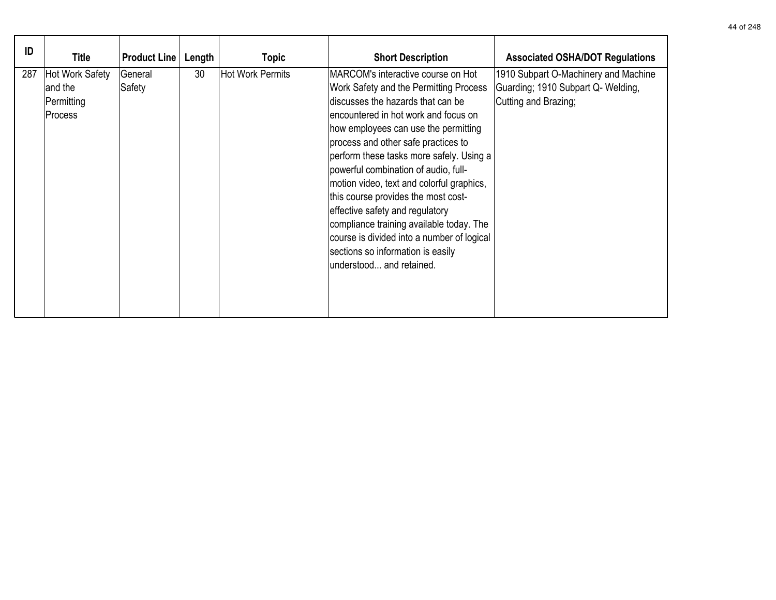| ID  | Title                                               | <b>Product Line</b> | Length | <b>Topic</b>            | <b>Short Description</b>                                                                                                                                                                                                                                                                                                                                                                                                                                                                                                                                                                                        | <b>Associated OSHA/DOT Regulations</b>                                                             |
|-----|-----------------------------------------------------|---------------------|--------|-------------------------|-----------------------------------------------------------------------------------------------------------------------------------------------------------------------------------------------------------------------------------------------------------------------------------------------------------------------------------------------------------------------------------------------------------------------------------------------------------------------------------------------------------------------------------------------------------------------------------------------------------------|----------------------------------------------------------------------------------------------------|
| 287 | Hot Work Safety<br>and the<br>Permitting<br>Process | General<br>Safety   | 30     | <b>Hot Work Permits</b> | MARCOM's interactive course on Hot<br>Work Safety and the Permitting Process<br>discusses the hazards that can be<br>encountered in hot work and focus on<br>how employees can use the permitting<br>process and other safe practices to<br>perform these tasks more safely. Using a<br>powerful combination of audio, full-<br>motion video, text and colorful graphics,<br>this course provides the most cost-<br>effective safety and regulatory<br>compliance training available today. The<br>course is divided into a number of logical<br>sections so information is easily<br>lunderstood and retained. | 1910 Subpart O-Machinery and Machine<br>Guarding; 1910 Subpart Q- Welding,<br>Cutting and Brazing; |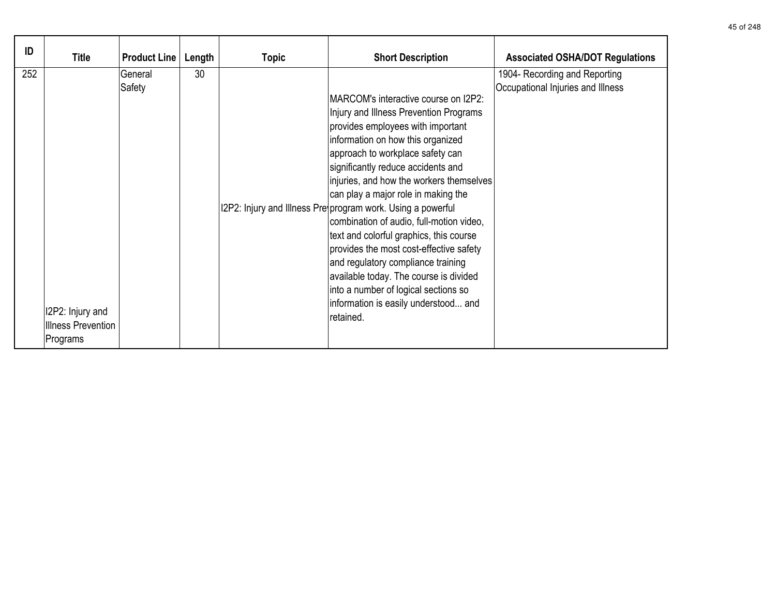| ID  | <b>Title</b>                                              | <b>Product Line</b> | Length | <b>Topic</b> | <b>Short Description</b>                                                                                                                                                                                                                                                                                                                                                                                                                                                                                                                                                                                                                                                                                    | <b>Associated OSHA/DOT Regulations</b>                             |
|-----|-----------------------------------------------------------|---------------------|--------|--------------|-------------------------------------------------------------------------------------------------------------------------------------------------------------------------------------------------------------------------------------------------------------------------------------------------------------------------------------------------------------------------------------------------------------------------------------------------------------------------------------------------------------------------------------------------------------------------------------------------------------------------------------------------------------------------------------------------------------|--------------------------------------------------------------------|
| 252 | I2P2: Injury and<br><b>Illness Prevention</b><br>Programs | General<br>Safety   | 30     |              | <b>IMARCOM's interactive course on I2P2:</b><br>Injury and Illness Prevention Programs<br>provides employees with important<br>information on how this organized<br>approach to workplace safety can<br>significantly reduce accidents and<br>injuries, and how the workers themselves<br>can play a major role in making the<br>12P2: Injury and Illness Pre program work. Using a powerful<br>combination of audio, full-motion video,<br>text and colorful graphics, this course<br>provides the most cost-effective safety<br>and regulatory compliance training<br>available today. The course is divided<br>into a number of logical sections so<br>information is easily understood and<br>retained. | 1904- Recording and Reporting<br>Occupational Injuries and Illness |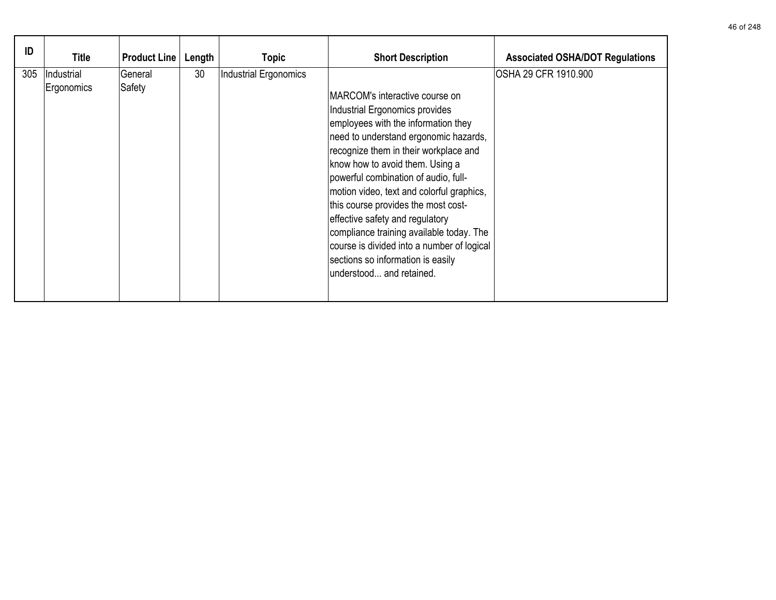| ID  | <b>Title</b>             | <b>Product Line</b> | Length | <b>Topic</b>          | <b>Short Description</b>                                                                                                                                                                                                                                                                                                                                                                                                                                                                                                                               | <b>Associated OSHA/DOT Regulations</b> |
|-----|--------------------------|---------------------|--------|-----------------------|--------------------------------------------------------------------------------------------------------------------------------------------------------------------------------------------------------------------------------------------------------------------------------------------------------------------------------------------------------------------------------------------------------------------------------------------------------------------------------------------------------------------------------------------------------|----------------------------------------|
| 305 | Industrial<br>Ergonomics | General<br>Safety   | 30     | Industrial Ergonomics | MARCOM's interactive course on<br>Industrial Ergonomics provides<br>employees with the information they<br>need to understand ergonomic hazards,<br>recognize them in their workplace and<br>know how to avoid them. Using a<br>powerful combination of audio, full-<br>motion video, text and colorful graphics,<br>this course provides the most cost-<br>effective safety and regulatory<br>compliance training available today. The<br>course is divided into a number of logical<br>sections so information is easily<br>understood and retained. | OSHA 29 CFR 1910.900                   |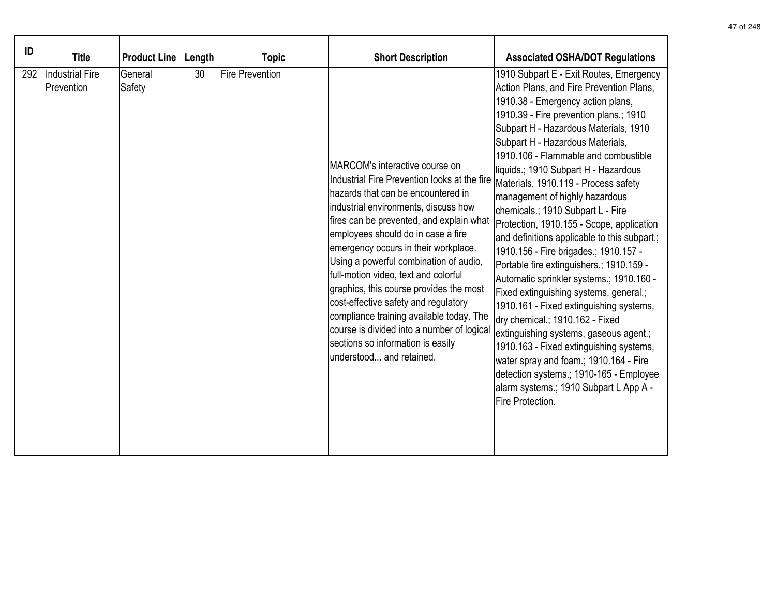| ID  | <b>Title</b>                         | <b>Product Line</b> | Length | <b>Topic</b>           | <b>Short Description</b>                                                                                                                                                                                                                                                                                                                                                                                                                                                                                                                                                                                               | <b>Associated OSHA/DOT Regulations</b>                                                                                                                                                                                                                                                                                                                                                                                                                                                                                                                                                                                                                                                                                                                                                                                                                                                                                                                                                                                                       |
|-----|--------------------------------------|---------------------|--------|------------------------|------------------------------------------------------------------------------------------------------------------------------------------------------------------------------------------------------------------------------------------------------------------------------------------------------------------------------------------------------------------------------------------------------------------------------------------------------------------------------------------------------------------------------------------------------------------------------------------------------------------------|----------------------------------------------------------------------------------------------------------------------------------------------------------------------------------------------------------------------------------------------------------------------------------------------------------------------------------------------------------------------------------------------------------------------------------------------------------------------------------------------------------------------------------------------------------------------------------------------------------------------------------------------------------------------------------------------------------------------------------------------------------------------------------------------------------------------------------------------------------------------------------------------------------------------------------------------------------------------------------------------------------------------------------------------|
| 292 | <b>Industrial Fire</b><br>Prevention | General<br>Safety   | 30     | <b>Fire Prevention</b> | MARCOM's interactive course on<br>Industrial Fire Prevention looks at the fire<br>hazards that can be encountered in<br>industrial environments, discuss how<br>fires can be prevented, and explain what<br>employees should do in case a fire<br>emergency occurs in their workplace.<br>Using a powerful combination of audio,<br>full-motion video, text and colorful<br>graphics, this course provides the most<br>cost-effective safety and regulatory<br>compliance training available today. The<br>course is divided into a number of logical<br>sections so information is easily<br>understood and retained. | 1910 Subpart E - Exit Routes, Emergency<br>Action Plans, and Fire Prevention Plans,<br>1910.38 - Emergency action plans,<br>1910.39 - Fire prevention plans.; 1910<br>Subpart H - Hazardous Materials, 1910<br>Subpart H - Hazardous Materials,<br>1910.106 - Flammable and combustible<br>liquids.; 1910 Subpart H - Hazardous<br>Materials, 1910.119 - Process safety<br>management of highly hazardous<br>chemicals.; 1910 Subpart L - Fire<br>Protection, 1910.155 - Scope, application<br>and definitions applicable to this subpart.;<br>1910.156 - Fire brigades.; 1910.157 -<br>Portable fire extinguishers.; 1910.159 -<br>Automatic sprinkler systems.; 1910.160 -<br>Fixed extinguishing systems, general.;<br>1910.161 - Fixed extinguishing systems,<br>dry chemical.; 1910.162 - Fixed<br>extinguishing systems, gaseous agent.;<br>1910.163 - Fixed extinguishing systems,<br>water spray and foam.; 1910.164 - Fire<br>detection systems.; 1910-165 - Employee<br>alarm systems.; 1910 Subpart L App A -<br>Fire Protection. |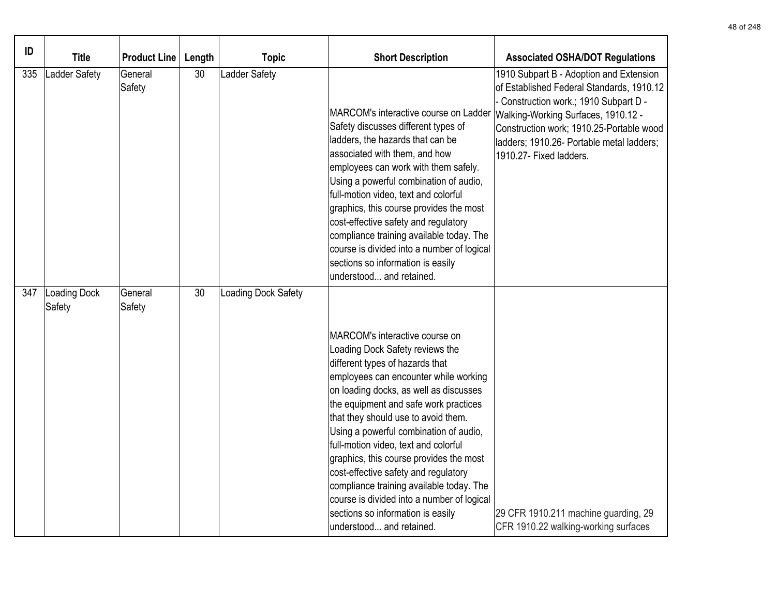| ID  | <b>Title</b>           | <b>Product Line</b> | Length | <b>Topic</b>         | <b>Short Description</b>                                                                                                                                                                                                                                                                                                                                                                                                                                                                                                                                                                                | <b>Associated OSHA/DOT Regulations</b>                                                                                                                                                                                                                                                  |
|-----|------------------------|---------------------|--------|----------------------|---------------------------------------------------------------------------------------------------------------------------------------------------------------------------------------------------------------------------------------------------------------------------------------------------------------------------------------------------------------------------------------------------------------------------------------------------------------------------------------------------------------------------------------------------------------------------------------------------------|-----------------------------------------------------------------------------------------------------------------------------------------------------------------------------------------------------------------------------------------------------------------------------------------|
| 335 | Ladder Safety          | General<br>Safety   | 30     | <b>Ladder Safety</b> | MARCOM's interactive course on Ladder<br>Safety discusses different types of<br>ladders, the hazards that can be<br>associated with them, and how<br>employees can work with them safely.<br>Using a powerful combination of audio,<br>full-motion video, text and colorful<br>graphics, this course provides the most<br>cost-effective safety and regulatory<br>compliance training available today. The<br>course is divided into a number of logical<br>sections so information is easily<br>understood and retained.                                                                               | 1910 Subpart B - Adoption and Extension<br>of Established Federal Standards, 1910.12<br>Construction work.; 1910 Subpart D -<br>Walking-Working Surfaces, 1910.12 -<br>Construction work; 1910.25-Portable wood<br>ladders; 1910.26- Portable metal ladders;<br>1910.27- Fixed ladders. |
| 347 | Loading Dock<br>Safety | General<br>Safety   | 30     | Loading Dock Safety  | MARCOM's interactive course on<br>Loading Dock Safety reviews the<br>different types of hazards that<br>employees can encounter while working<br>on loading docks, as well as discusses<br>the equipment and safe work practices<br>that they should use to avoid them.<br>Using a powerful combination of audio,<br>full-motion video, text and colorful<br>graphics, this course provides the most<br>cost-effective safety and regulatory<br>compliance training available today. The<br>course is divided into a number of logical<br>sections so information is easily<br>understood and retained. | 29 CFR 1910.211 machine guarding, 29<br>CFR 1910.22 walking-working surfaces                                                                                                                                                                                                            |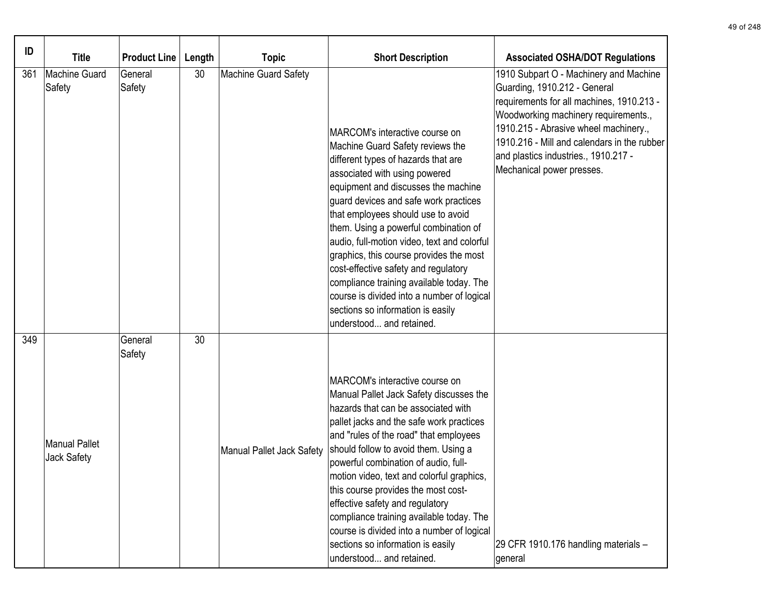| ID  | <b>Title</b>                        | <b>Product Line</b> | Length | <b>Topic</b>              | <b>Short Description</b>                                                                                                                                                                                                                                                                                                                                                                                                                                                                                                                                                                               | <b>Associated OSHA/DOT Regulations</b>                                                                                                                                                                                                                                                                                   |
|-----|-------------------------------------|---------------------|--------|---------------------------|--------------------------------------------------------------------------------------------------------------------------------------------------------------------------------------------------------------------------------------------------------------------------------------------------------------------------------------------------------------------------------------------------------------------------------------------------------------------------------------------------------------------------------------------------------------------------------------------------------|--------------------------------------------------------------------------------------------------------------------------------------------------------------------------------------------------------------------------------------------------------------------------------------------------------------------------|
| 361 | Machine Guard<br>Safety             | General<br>Safety   | 30     | Machine Guard Safety      | MARCOM's interactive course on<br>Machine Guard Safety reviews the<br>different types of hazards that are<br>associated with using powered<br>equipment and discusses the machine<br>guard devices and safe work practices<br>that employees should use to avoid<br>them. Using a powerful combination of<br>audio, full-motion video, text and colorful<br>graphics, this course provides the most<br>cost-effective safety and regulatory<br>compliance training available today. The<br>course is divided into a number of logical<br>sections so information is easily<br>understood and retained. | 1910 Subpart O - Machinery and Machine<br>Guarding, 1910.212 - General<br>requirements for all machines, 1910.213 -<br>Woodworking machinery requirements.,<br>1910.215 - Abrasive wheel machinery.,<br>1910.216 - Mill and calendars in the rubber<br>and plastics industries., 1910.217 -<br>Mechanical power presses. |
| 349 | <b>Manual Pallet</b><br>Jack Safety | General<br>Safety   | 30     | Manual Pallet Jack Safety | MARCOM's interactive course on<br>Manual Pallet Jack Safety discusses the<br>hazards that can be associated with<br>pallet jacks and the safe work practices<br>and "rules of the road" that employees<br>should follow to avoid them. Using a<br>powerful combination of audio, full-<br>motion video, text and colorful graphics,<br>this course provides the most cost-<br>effective safety and regulatory<br>compliance training available today. The<br>course is divided into a number of logical<br>sections so information is easily<br>understood and retained.                               | 29 CFR 1910.176 handling materials -<br>general                                                                                                                                                                                                                                                                          |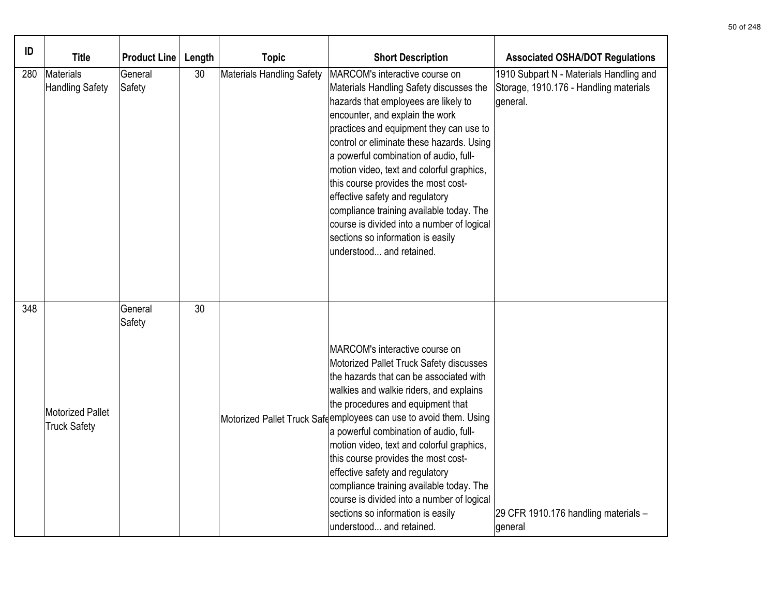| ID  | <b>Title</b>                            | <b>Product Line</b> | Length | <b>Topic</b>                     | <b>Short Description</b>                                                                                                                                                                                                                                                                                                                                                                                                                                                                                                                                                                              | <b>Associated OSHA/DOT Regulations</b>                                                        |
|-----|-----------------------------------------|---------------------|--------|----------------------------------|-------------------------------------------------------------------------------------------------------------------------------------------------------------------------------------------------------------------------------------------------------------------------------------------------------------------------------------------------------------------------------------------------------------------------------------------------------------------------------------------------------------------------------------------------------------------------------------------------------|-----------------------------------------------------------------------------------------------|
| 280 | Materials<br>Handling Safety            | General<br>Safety   | 30     | <b>Materials Handling Safety</b> | MARCOM's interactive course on<br>Materials Handling Safety discusses the<br>hazards that employees are likely to<br>encounter, and explain the work<br>practices and equipment they can use to<br>control or eliminate these hazards. Using<br>a powerful combination of audio, full-<br>motion video, text and colorful graphics,<br>this course provides the most cost-<br>effective safety and regulatory<br>compliance training available today. The<br>course is divided into a number of logical<br>sections so information is easily<br>understood and retained.                              | 1910 Subpart N - Materials Handling and<br>Storage, 1910.176 - Handling materials<br>general. |
| 348 | Motorized Pallet<br><b>Truck Safety</b> | General<br>Safety   | 30     |                                  | MARCOM's interactive course on<br>Motorized Pallet Truck Safety discusses<br>the hazards that can be associated with<br>walkies and walkie riders, and explains<br>the procedures and equipment that<br>Motorized Pallet Truck Safeemployees can use to avoid them. Using<br>a powerful combination of audio, full-<br>motion video, text and colorful graphics,<br>this course provides the most cost-<br>effective safety and regulatory<br>compliance training available today. The<br>course is divided into a number of logical<br>sections so information is easily<br>understood and retained. | 29 CFR 1910.176 handling materials -<br>general                                               |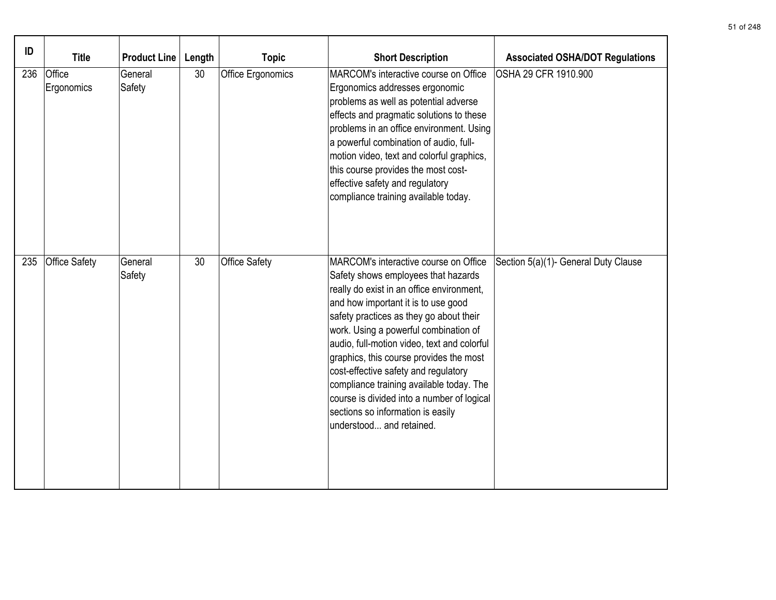| ID  | <b>Title</b>         | <b>Product Line</b> | Length | <b>Topic</b>         | <b>Short Description</b>                                                                                                                                                                                                                                                                                                                                                                                                                                                                                                                          | <b>Associated OSHA/DOT Regulations</b> |
|-----|----------------------|---------------------|--------|----------------------|---------------------------------------------------------------------------------------------------------------------------------------------------------------------------------------------------------------------------------------------------------------------------------------------------------------------------------------------------------------------------------------------------------------------------------------------------------------------------------------------------------------------------------------------------|----------------------------------------|
| 236 | Office<br>Ergonomics | General<br>Safety   | 30     | Office Ergonomics    | MARCOM's interactive course on Office<br>Ergonomics addresses ergonomic<br>problems as well as potential adverse<br>effects and pragmatic solutions to these<br>problems in an office environment. Using<br>a powerful combination of audio, full-<br>motion video, text and colorful graphics,<br>this course provides the most cost-<br>effective safety and regulatory<br>compliance training available today.                                                                                                                                 | OSHA 29 CFR 1910.900                   |
| 235 | <b>Office Safety</b> | General<br>Safety   | 30     | <b>Office Safety</b> | MARCOM's interactive course on Office<br>Safety shows employees that hazards<br>really do exist in an office environment,<br>and how important it is to use good<br>safety practices as they go about their<br>work. Using a powerful combination of<br>audio, full-motion video, text and colorful<br>graphics, this course provides the most<br>cost-effective safety and regulatory<br>compliance training available today. The<br>course is divided into a number of logical<br>sections so information is easily<br>understood and retained. | Section 5(a)(1)- General Duty Clause   |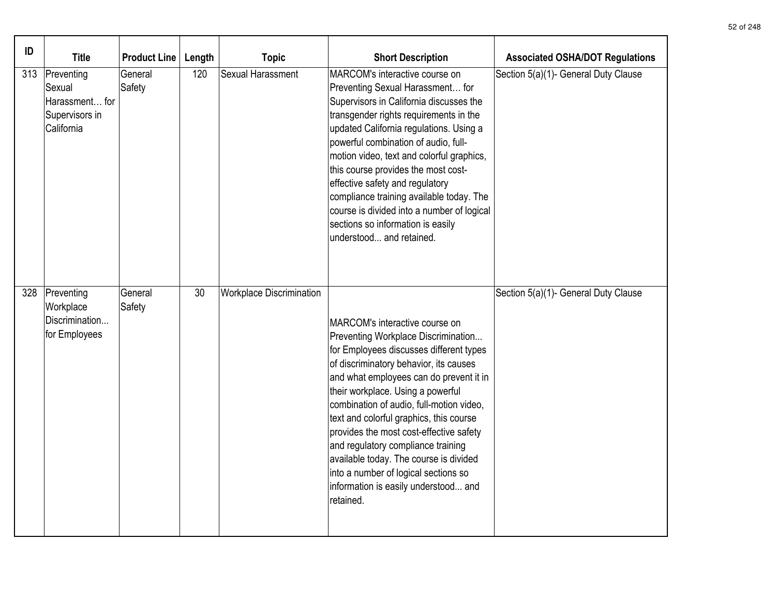| ID  | <b>Title</b>                                                           | <b>Product Line</b> | Length | <b>Topic</b>                    | <b>Short Description</b>                                                                                                                                                                                                                                                                                                                                                                                                                                                                                                                                  | <b>Associated OSHA/DOT Regulations</b> |
|-----|------------------------------------------------------------------------|---------------------|--------|---------------------------------|-----------------------------------------------------------------------------------------------------------------------------------------------------------------------------------------------------------------------------------------------------------------------------------------------------------------------------------------------------------------------------------------------------------------------------------------------------------------------------------------------------------------------------------------------------------|----------------------------------------|
| 313 | Preventing<br>Sexual<br>Harassment for<br>Supervisors in<br>California | General<br>Safety   | 120    | Sexual Harassment               | MARCOM's interactive course on<br>Preventing Sexual Harassment for<br>Supervisors in California discusses the<br>transgender rights requirements in the<br>updated California regulations. Using a<br>powerful combination of audio, full-<br>motion video, text and colorful graphics,<br>this course provides the most cost-<br>effective safety and regulatory<br>compliance training available today. The<br>course is divided into a number of logical<br>sections so information is easily<br>understood and retained.                              | Section 5(a)(1)- General Duty Clause   |
| 328 | Preventing<br>Workplace<br>Discrimination<br>for Employees             | General<br>Safety   | 30     | <b>Workplace Discrimination</b> | MARCOM's interactive course on<br>Preventing Workplace Discrimination<br>for Employees discusses different types<br>of discriminatory behavior, its causes<br>and what employees can do prevent it in<br>their workplace. Using a powerful<br>combination of audio, full-motion video,<br>text and colorful graphics, this course<br>provides the most cost-effective safety<br>and regulatory compliance training<br>available today. The course is divided<br>into a number of logical sections so<br>information is easily understood and<br>retained. | Section 5(a)(1)- General Duty Clause   |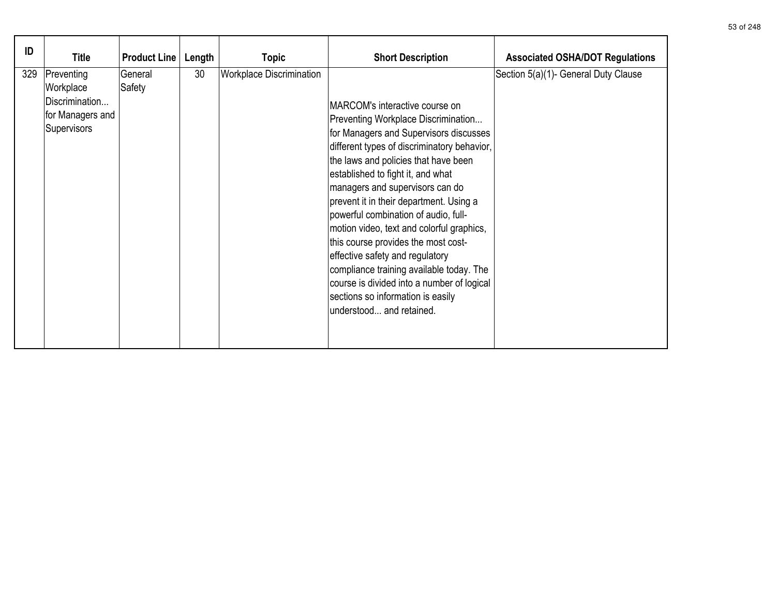| ID  | <b>Title</b>                                                                 | <b>Product Line</b> | Length | <b>Topic</b>                    | <b>Short Description</b>                                                                                                                                                                                                                                                                                                                                                                                                                                                                                                                                                                                                                            | <b>Associated OSHA/DOT Regulations</b> |
|-----|------------------------------------------------------------------------------|---------------------|--------|---------------------------------|-----------------------------------------------------------------------------------------------------------------------------------------------------------------------------------------------------------------------------------------------------------------------------------------------------------------------------------------------------------------------------------------------------------------------------------------------------------------------------------------------------------------------------------------------------------------------------------------------------------------------------------------------------|----------------------------------------|
| 329 | Preventing<br>Workplace<br>Discrimination<br>for Managers and<br>Supervisors | General<br>Safety   | 30     | <b>Workplace Discrimination</b> | MARCOM's interactive course on<br>Preventing Workplace Discrimination<br>for Managers and Supervisors discusses<br>different types of discriminatory behavior,<br>the laws and policies that have been<br>established to fight it, and what<br>managers and supervisors can do<br>prevent it in their department. Using a<br>powerful combination of audio, full-<br>motion video, text and colorful graphics,<br>this course provides the most cost-<br>effective safety and regulatory<br>compliance training available today. The<br>course is divided into a number of logical<br>sections so information is easily<br>understood and retained. | Section 5(a)(1)- General Duty Clause   |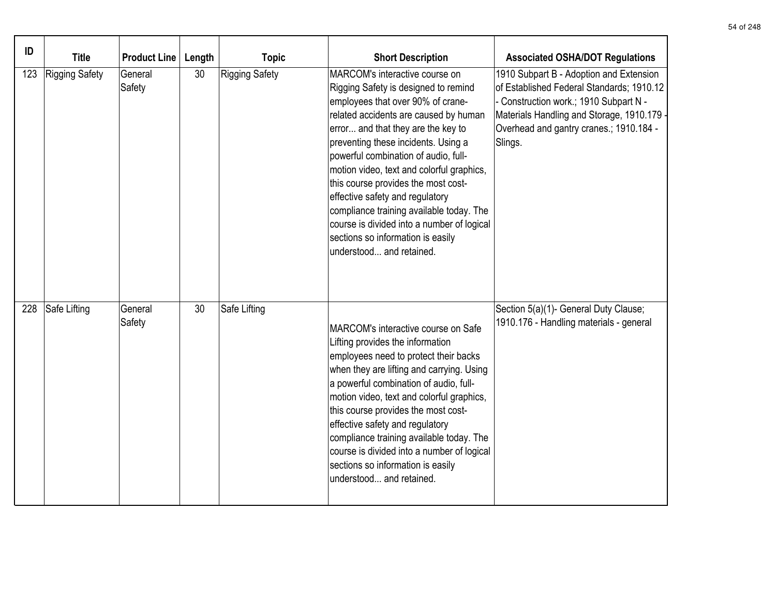| ID  | <b>Title</b>          | <b>Product Line</b> | Length | <b>Topic</b>          | <b>Short Description</b>                                                                                                                                                                                                                                                                                                                                                                                                                                                                                                                                    | <b>Associated OSHA/DOT Regulations</b>                                                                                                                                                                                           |
|-----|-----------------------|---------------------|--------|-----------------------|-------------------------------------------------------------------------------------------------------------------------------------------------------------------------------------------------------------------------------------------------------------------------------------------------------------------------------------------------------------------------------------------------------------------------------------------------------------------------------------------------------------------------------------------------------------|----------------------------------------------------------------------------------------------------------------------------------------------------------------------------------------------------------------------------------|
| 123 | <b>Rigging Safety</b> | General<br>Safety   | 30     | <b>Rigging Safety</b> | MARCOM's interactive course on<br>Rigging Safety is designed to remind<br>employees that over 90% of crane-<br>related accidents are caused by human<br>error and that they are the key to<br>preventing these incidents. Using a<br>powerful combination of audio, full-<br>motion video, text and colorful graphics,<br>this course provides the most cost-<br>effective safety and regulatory<br>compliance training available today. The<br>course is divided into a number of logical<br>sections so information is easily<br>understood and retained. | 1910 Subpart B - Adoption and Extension<br>of Established Federal Standards; 1910.12<br>Construction work.; 1910 Subpart N -<br>Materials Handling and Storage, 1910.179 -<br>Overhead and gantry cranes.; 1910.184 -<br>Slings. |
| 228 | Safe Lifting          | General<br>Safety   | 30     | Safe Lifting          | MARCOM's interactive course on Safe<br>Lifting provides the information<br>employees need to protect their backs<br>when they are lifting and carrying. Using<br>a powerful combination of audio, full-<br>motion video, text and colorful graphics,<br>this course provides the most cost-<br>effective safety and regulatory<br>compliance training available today. The<br>course is divided into a number of logical<br>sections so information is easily<br>understood and retained.                                                                   | Section 5(a)(1)- General Duty Clause;<br>1910.176 - Handling materials - general                                                                                                                                                 |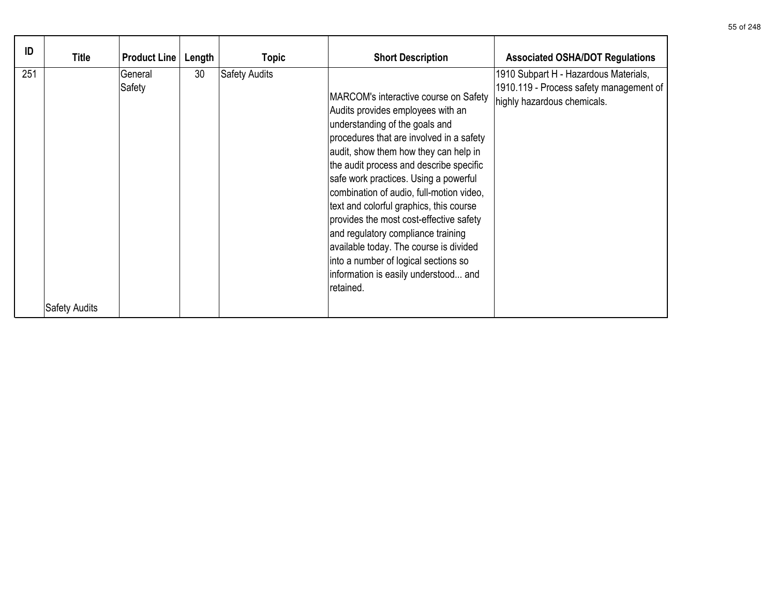| ID  | Title                | <b>Product Line</b> | Length | <b>Topic</b>         | <b>Short Description</b>                                                                                                                                                                                                                                                                                                                                                                                                                                                                                                                                                                             | <b>Associated OSHA/DOT Regulations</b>                                                                          |
|-----|----------------------|---------------------|--------|----------------------|------------------------------------------------------------------------------------------------------------------------------------------------------------------------------------------------------------------------------------------------------------------------------------------------------------------------------------------------------------------------------------------------------------------------------------------------------------------------------------------------------------------------------------------------------------------------------------------------------|-----------------------------------------------------------------------------------------------------------------|
| 251 |                      | General<br>Safety   | 30     | <b>Safety Audits</b> | MARCOM's interactive course on Safety<br>Audits provides employees with an<br>understanding of the goals and<br>procedures that are involved in a safety<br>audit, show them how they can help in<br>the audit process and describe specific<br>safe work practices. Using a powerful<br>combination of audio, full-motion video,<br>text and colorful graphics, this course<br>provides the most cost-effective safety<br>and regulatory compliance training<br>available today. The course is divided<br>into a number of logical sections so<br>information is easily understood and<br>retained. | 1910 Subpart H - Hazardous Materials,<br>1910.119 - Process safety management of<br>highly hazardous chemicals. |
|     | <b>Safety Audits</b> |                     |        |                      |                                                                                                                                                                                                                                                                                                                                                                                                                                                                                                                                                                                                      |                                                                                                                 |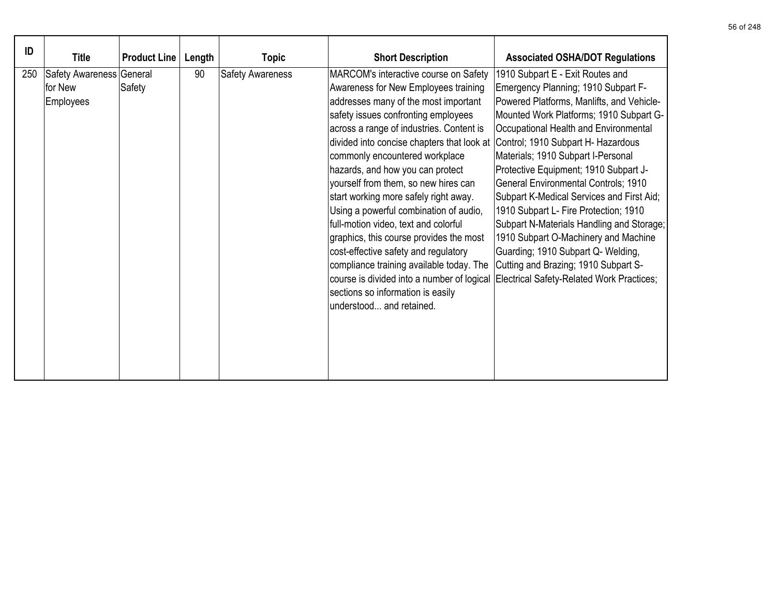| ID  | <b>Title</b>                                     | <b>Product Line</b> | Length | <b>Topic</b>            | <b>Short Description</b>                                                                                                                                                                                                                                                                                                                                                                                                                                                                                                                                                                                                                                                                                                                                                         | <b>Associated OSHA/DOT Regulations</b>                                                                                                                                                                                                                                                                                                                                                                                                                                                                                                                                                                                                       |
|-----|--------------------------------------------------|---------------------|--------|-------------------------|----------------------------------------------------------------------------------------------------------------------------------------------------------------------------------------------------------------------------------------------------------------------------------------------------------------------------------------------------------------------------------------------------------------------------------------------------------------------------------------------------------------------------------------------------------------------------------------------------------------------------------------------------------------------------------------------------------------------------------------------------------------------------------|----------------------------------------------------------------------------------------------------------------------------------------------------------------------------------------------------------------------------------------------------------------------------------------------------------------------------------------------------------------------------------------------------------------------------------------------------------------------------------------------------------------------------------------------------------------------------------------------------------------------------------------------|
| 250 | Safety Awareness General<br>for New<br>Employees | Safety              | 90     | <b>Safety Awareness</b> | MARCOM's interactive course on Safety<br>Awareness for New Employees training<br>addresses many of the most important<br>safety issues confronting employees<br>across a range of industries. Content is<br>divided into concise chapters that look at Control; 1910 Subpart H- Hazardous<br>commonly encountered workplace<br>hazards, and how you can protect<br>yourself from them, so new hires can<br>start working more safely right away.<br>Using a powerful combination of audio,<br>full-motion video, text and colorful<br>graphics, this course provides the most<br>cost-effective safety and regulatory<br>compliance training available today. The<br>course is divided into a number of logical<br>sections so information is easily<br>understood and retained. | 1910 Subpart E - Exit Routes and<br>Emergency Planning; 1910 Subpart F-<br>Powered Platforms, Manlifts, and Vehicle-<br>Mounted Work Platforms; 1910 Subpart G-<br>Occupational Health and Environmental<br>Materials; 1910 Subpart I-Personal<br>Protective Equipment; 1910 Subpart J-<br><b>General Environmental Controls; 1910</b><br>Subpart K-Medical Services and First Aid;<br>1910 Subpart L- Fire Protection; 1910<br>Subpart N-Materials Handling and Storage;<br>1910 Subpart O-Machinery and Machine<br>Guarding; 1910 Subpart Q- Welding,<br>Cutting and Brazing; 1910 Subpart S-<br>Electrical Safety-Related Work Practices; |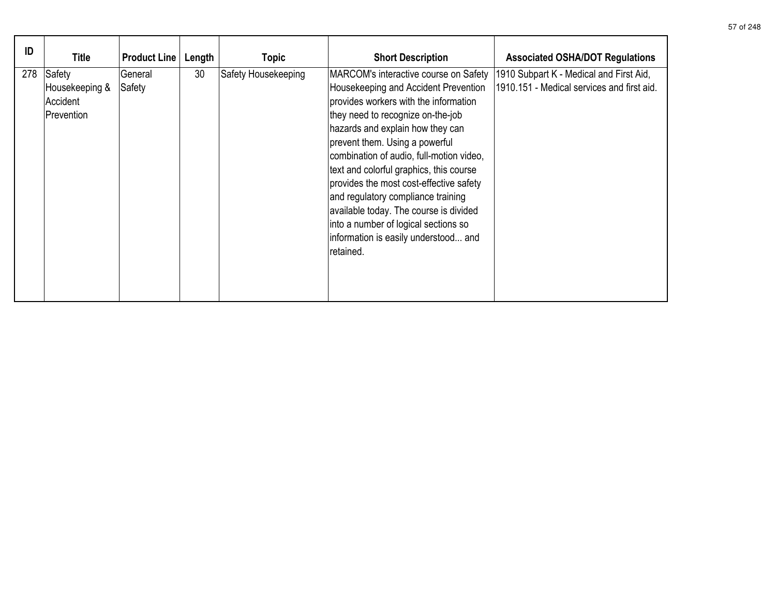| ID  | Title                                              | <b>Product Line</b> | Length | <b>Topic</b>        | <b>Short Description</b>                                                                                                                                                                                                                                                                                                                                                                                                                                                                                                                         | <b>Associated OSHA/DOT Regulations</b>                                                |
|-----|----------------------------------------------------|---------------------|--------|---------------------|--------------------------------------------------------------------------------------------------------------------------------------------------------------------------------------------------------------------------------------------------------------------------------------------------------------------------------------------------------------------------------------------------------------------------------------------------------------------------------------------------------------------------------------------------|---------------------------------------------------------------------------------------|
| 278 | Safety<br>Housekeeping &<br>Accident<br>Prevention | General<br>Safety   | 30     | Safety Housekeeping | MARCOM's interactive course on Safety<br>Housekeeping and Accident Prevention<br>provides workers with the information<br>they need to recognize on-the-job<br>hazards and explain how they can<br>prevent them. Using a powerful<br>combination of audio, full-motion video,<br>text and colorful graphics, this course<br>provides the most cost-effective safety<br>and regulatory compliance training<br>available today. The course is divided<br>into a number of logical sections so<br>information is easily understood and<br>retained. | 1910 Subpart K - Medical and First Aid,<br>1910.151 - Medical services and first aid. |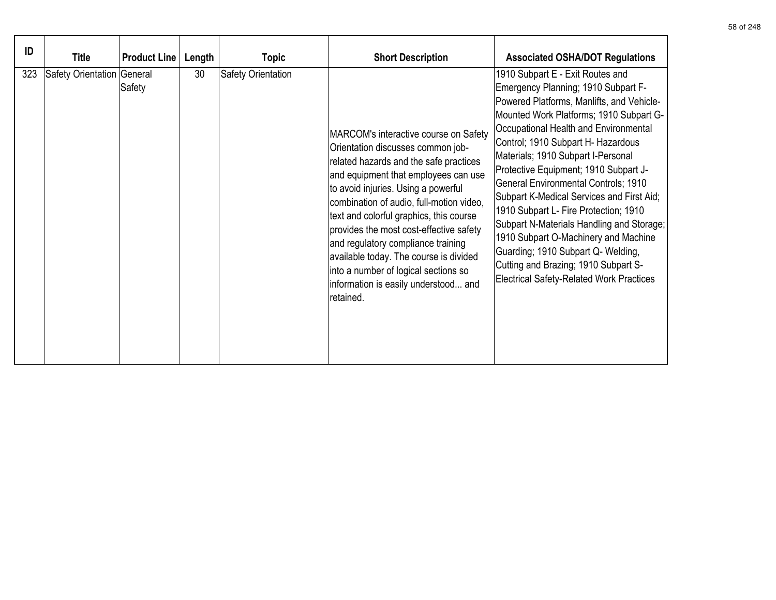| ID  | <b>Title</b>               | <b>Product Line</b> | Length | Topic              | <b>Short Description</b>                                                                                                                                                                                                                                                                                                                                                                                                                                                                                           | <b>Associated OSHA/DOT Regulations</b>                                                                                                                                                                                                                                                                                                                                                                                                                                                                                                                                                                                                                                            |
|-----|----------------------------|---------------------|--------|--------------------|--------------------------------------------------------------------------------------------------------------------------------------------------------------------------------------------------------------------------------------------------------------------------------------------------------------------------------------------------------------------------------------------------------------------------------------------------------------------------------------------------------------------|-----------------------------------------------------------------------------------------------------------------------------------------------------------------------------------------------------------------------------------------------------------------------------------------------------------------------------------------------------------------------------------------------------------------------------------------------------------------------------------------------------------------------------------------------------------------------------------------------------------------------------------------------------------------------------------|
| 323 | Safety Orientation General | Safety              | 30     | Safety Orientation | MARCOM's interactive course on Safety<br>Orientation discusses common job-<br>related hazards and the safe practices<br>and equipment that employees can use<br>to avoid injuries. Using a powerful<br>combination of audio, full-motion video,<br>text and colorful graphics, this course<br>provides the most cost-effective safety<br>and regulatory compliance training<br>available today. The course is divided<br>into a number of logical sections so<br>information is easily understood and<br>retained. | 1910 Subpart E - Exit Routes and<br>Emergency Planning; 1910 Subpart F-<br>Powered Platforms, Manlifts, and Vehicle-<br>Mounted Work Platforms; 1910 Subpart G-<br>Occupational Health and Environmental<br>Control; 1910 Subpart H- Hazardous<br>Materials; 1910 Subpart I-Personal<br>Protective Equipment; 1910 Subpart J-<br>General Environmental Controls; 1910<br>Subpart K-Medical Services and First Aid;<br>1910 Subpart L- Fire Protection; 1910<br>Subpart N-Materials Handling and Storage;<br>1910 Subpart O-Machinery and Machine<br>Guarding; 1910 Subpart Q- Welding,<br>Cutting and Brazing; 1910 Subpart S-<br><b>Electrical Safety-Related Work Practices</b> |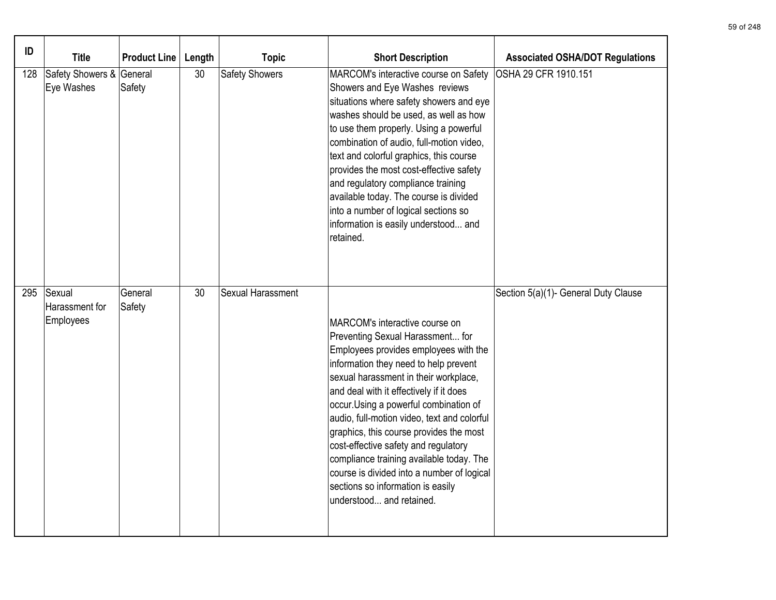| ID  | <b>Title</b>                           | <b>Product Line</b> | Length | <b>Topic</b>      | <b>Short Description</b>                                                                                                                                                                                                                                                                                                                                                                                                                                                                                                                                                        | <b>Associated OSHA/DOT Regulations</b> |
|-----|----------------------------------------|---------------------|--------|-------------------|---------------------------------------------------------------------------------------------------------------------------------------------------------------------------------------------------------------------------------------------------------------------------------------------------------------------------------------------------------------------------------------------------------------------------------------------------------------------------------------------------------------------------------------------------------------------------------|----------------------------------------|
| 128 | Safety Showers & General<br>Eye Washes | Safety              | 30     | Safety Showers    | MARCOM's interactive course on Safety<br>Showers and Eye Washes reviews<br>situations where safety showers and eye<br>washes should be used, as well as how<br>to use them properly. Using a powerful<br>combination of audio, full-motion video,<br>text and colorful graphics, this course<br>provides the most cost-effective safety<br>and regulatory compliance training<br>available today. The course is divided<br>into a number of logical sections so<br>information is easily understood and<br>retained.                                                            | OSHA 29 CFR 1910.151                   |
| 295 | Sexual<br>Harassment for<br>Employees  | General<br>Safety   | 30     | Sexual Harassment | MARCOM's interactive course on<br>Preventing Sexual Harassment for<br>Employees provides employees with the<br>information they need to help prevent<br>sexual harassment in their workplace,<br>and deal with it effectively if it does<br>occur. Using a powerful combination of<br>audio, full-motion video, text and colorful<br>graphics, this course provides the most<br>cost-effective safety and regulatory<br>compliance training available today. The<br>course is divided into a number of logical<br>sections so information is easily<br>understood and retained. | Section 5(a)(1)- General Duty Clause   |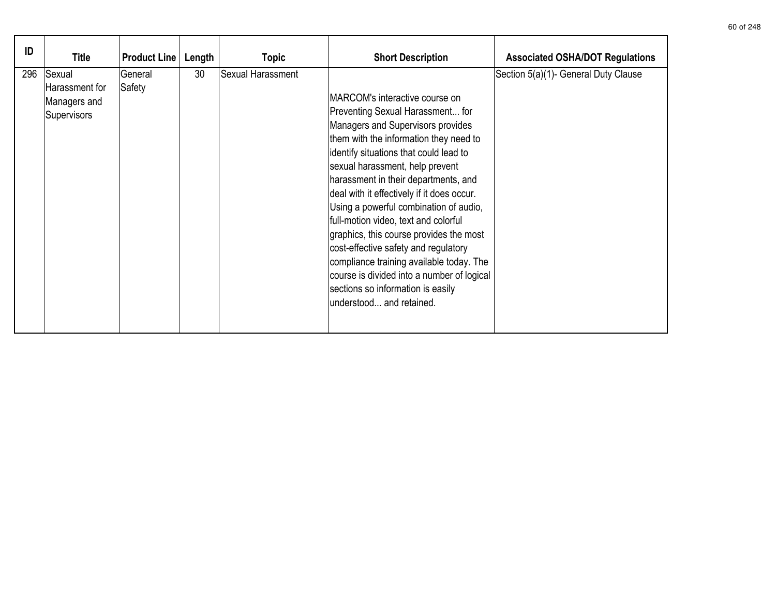| ID  | <b>Title</b>                                            | <b>Product Line</b> | Length | <b>Topic</b>      | <b>Short Description</b>                                                                                                                                                                                                                                                                                                                                                                                                                                                                                                                                                                                                                             | <b>Associated OSHA/DOT Regulations</b> |
|-----|---------------------------------------------------------|---------------------|--------|-------------------|------------------------------------------------------------------------------------------------------------------------------------------------------------------------------------------------------------------------------------------------------------------------------------------------------------------------------------------------------------------------------------------------------------------------------------------------------------------------------------------------------------------------------------------------------------------------------------------------------------------------------------------------------|----------------------------------------|
| 296 | Sexual<br>Harassment for<br>Managers and<br>Supervisors | General<br>Safety   | 30     | Sexual Harassment | MARCOM's interactive course on<br>Preventing Sexual Harassment for<br>Managers and Supervisors provides<br>them with the information they need to<br>identify situations that could lead to<br>sexual harassment, help prevent<br>harassment in their departments, and<br>deal with it effectively if it does occur.<br>Using a powerful combination of audio,<br>full-motion video, text and colorful<br>graphics, this course provides the most<br>cost-effective safety and regulatory<br>compliance training available today. The<br>course is divided into a number of logical<br>sections so information is easily<br>understood and retained. | Section 5(a)(1)- General Duty Clause   |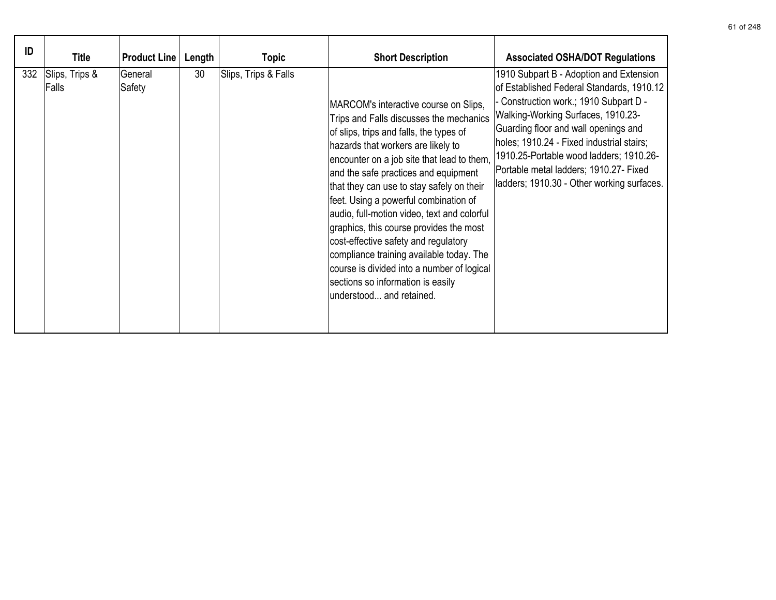| ID  | <b>Title</b>            | <b>Product Line</b> | Length | Topic                | <b>Short Description</b>                                                                                                                                                                                                                                                                                                                                                                                                                                                                                                                                                                                                                   | <b>Associated OSHA/DOT Regulations</b>                                                                                                                                                                                                                                                                                                                                                       |
|-----|-------------------------|---------------------|--------|----------------------|--------------------------------------------------------------------------------------------------------------------------------------------------------------------------------------------------------------------------------------------------------------------------------------------------------------------------------------------------------------------------------------------------------------------------------------------------------------------------------------------------------------------------------------------------------------------------------------------------------------------------------------------|----------------------------------------------------------------------------------------------------------------------------------------------------------------------------------------------------------------------------------------------------------------------------------------------------------------------------------------------------------------------------------------------|
| 332 | Slips, Trips &<br>Falls | General<br>Safety   | 30     | Slips, Trips & Falls | MARCOM's interactive course on Slips,<br>Trips and Falls discusses the mechanics<br>of slips, trips and falls, the types of<br>hazards that workers are likely to<br>encounter on a job site that lead to them,<br>and the safe practices and equipment<br>that they can use to stay safely on their<br>feet. Using a powerful combination of<br>audio, full-motion video, text and colorful<br>graphics, this course provides the most<br>cost-effective safety and regulatory<br>compliance training available today. The<br>course is divided into a number of logical<br>sections so information is easily<br>understood and retained. | 1910 Subpart B - Adoption and Extension<br>of Established Federal Standards, 1910.12<br>- Construction work.; 1910 Subpart D -<br>Walking-Working Surfaces, 1910.23-<br>Guarding floor and wall openings and<br>holes; 1910.24 - Fixed industrial stairs;<br>1910.25-Portable wood ladders; 1910.26-<br>Portable metal ladders; 1910.27- Fixed<br>ladders; 1910.30 - Other working surfaces. |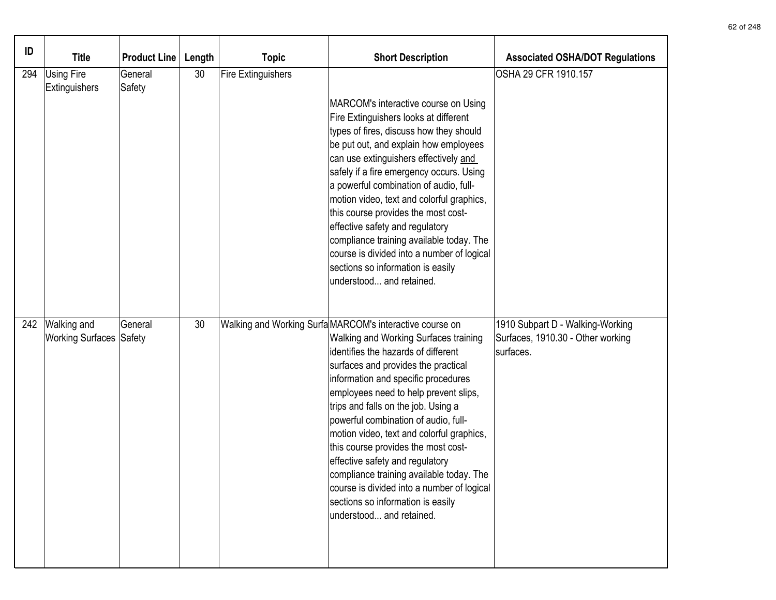| ID  | <b>Title</b>                                         | <b>Product Line</b> | Length | <b>Topic</b>              | <b>Short Description</b>                                                                                                                                                                                                                                                                                                                                                                                                                                                                                                                                                                                                         | <b>Associated OSHA/DOT Regulations</b>                                             |
|-----|------------------------------------------------------|---------------------|--------|---------------------------|----------------------------------------------------------------------------------------------------------------------------------------------------------------------------------------------------------------------------------------------------------------------------------------------------------------------------------------------------------------------------------------------------------------------------------------------------------------------------------------------------------------------------------------------------------------------------------------------------------------------------------|------------------------------------------------------------------------------------|
| 294 | <b>Using Fire</b><br>Extinguishers                   | General<br>Safety   | 30     | <b>Fire Extinguishers</b> | MARCOM's interactive course on Using<br>Fire Extinguishers looks at different<br>types of fires, discuss how they should<br>be put out, and explain how employees<br>can use extinguishers effectively and<br>safely if a fire emergency occurs. Using<br>a powerful combination of audio, full-<br>motion video, text and colorful graphics,<br>this course provides the most cost-<br>effective safety and regulatory<br>compliance training available today. The<br>course is divided into a number of logical<br>sections so information is easily<br>understood and retained.                                               | OSHA 29 CFR 1910.157                                                               |
| 242 | <b>Walking and</b><br><b>Working Surfaces Safety</b> | General             | 30     |                           | Walking and Working Surfa MARCOM's interactive course on<br>Walking and Working Surfaces training<br>identifies the hazards of different<br>surfaces and provides the practical<br>information and specific procedures<br>employees need to help prevent slips,<br>trips and falls on the job. Using a<br>powerful combination of audio, full-<br>motion video, text and colorful graphics,<br>this course provides the most cost-<br>effective safety and regulatory<br>compliance training available today. The<br>course is divided into a number of logical<br>sections so information is easily<br>understood and retained. | 1910 Subpart D - Walking-Working<br>Surfaces, 1910.30 - Other working<br>surfaces. |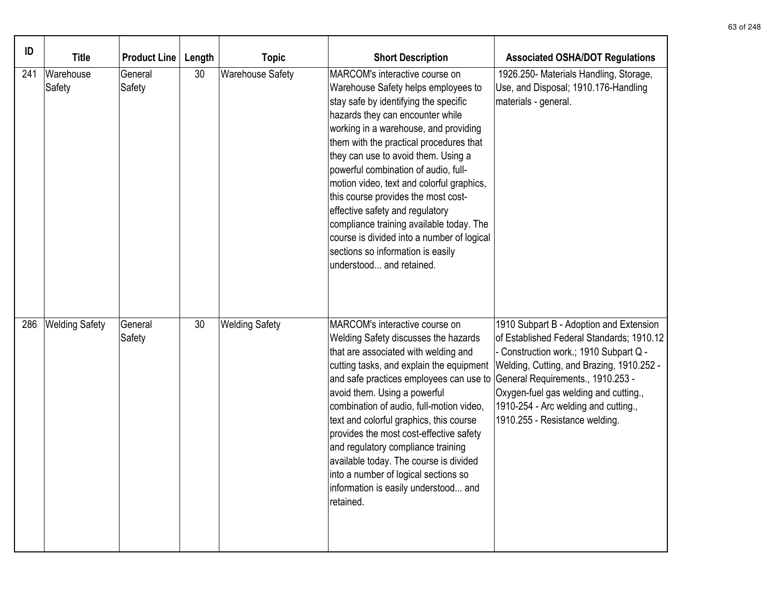| ID  | <b>Title</b>          | <b>Product Line</b> | Length | <b>Topic</b>            | <b>Short Description</b>                                                                                                                                                                                                                                                                                                                                                                                                                                                                                                                                                                                | <b>Associated OSHA/DOT Regulations</b>                                                                                                                                                                                                                                                                                            |
|-----|-----------------------|---------------------|--------|-------------------------|---------------------------------------------------------------------------------------------------------------------------------------------------------------------------------------------------------------------------------------------------------------------------------------------------------------------------------------------------------------------------------------------------------------------------------------------------------------------------------------------------------------------------------------------------------------------------------------------------------|-----------------------------------------------------------------------------------------------------------------------------------------------------------------------------------------------------------------------------------------------------------------------------------------------------------------------------------|
| 241 | Warehouse<br>Safety   | General<br>Safety   | 30     | <b>Warehouse Safety</b> | MARCOM's interactive course on<br>Warehouse Safety helps employees to<br>stay safe by identifying the specific<br>hazards they can encounter while<br>working in a warehouse, and providing<br>them with the practical procedures that<br>they can use to avoid them. Using a<br>powerful combination of audio, full-<br>motion video, text and colorful graphics,<br>this course provides the most cost-<br>effective safety and regulatory<br>compliance training available today. The<br>course is divided into a number of logical<br>sections so information is easily<br>understood and retained. | 1926.250- Materials Handling, Storage,<br>Use, and Disposal; 1910.176-Handling<br>materials - general.                                                                                                                                                                                                                            |
| 286 | <b>Welding Safety</b> | General<br>Safety   | 30     | <b>Welding Safety</b>   | MARCOM's interactive course on<br><b>Welding Safety discusses the hazards</b><br>that are associated with welding and<br>cutting tasks, and explain the equipment<br>and safe practices employees can use to<br>avoid them. Using a powerful<br>combination of audio, full-motion video,<br>text and colorful graphics, this course<br>provides the most cost-effective safety<br>and regulatory compliance training<br>available today. The course is divided<br>into a number of logical sections so<br>information is easily understood and<br>retained.                                             | 1910 Subpart B - Adoption and Extension<br>of Established Federal Standards; 1910.12<br>Construction work.; 1910 Subpart Q -<br>Welding, Cutting, and Brazing, 1910.252 -<br>General Requirements., 1910.253 -<br>Oxygen-fuel gas welding and cutting.,<br>1910-254 - Arc welding and cutting.,<br>1910.255 - Resistance welding. |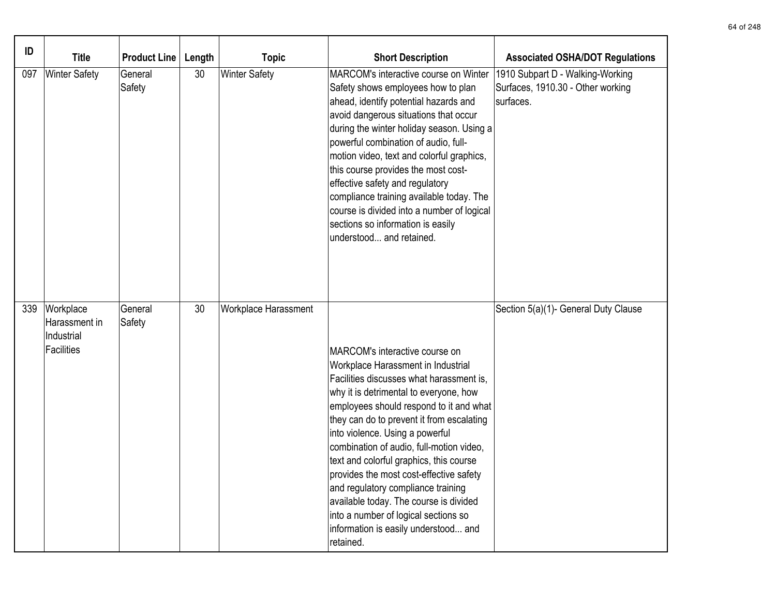| ID  | <b>Title</b>                                                  | <b>Product Line</b> | Length | <b>Topic</b>         | <b>Short Description</b>                                                                                                                                                                                                                                                                                                                                                                                                                                                                                                                                                                             | <b>Associated OSHA/DOT Regulations</b>                                             |
|-----|---------------------------------------------------------------|---------------------|--------|----------------------|------------------------------------------------------------------------------------------------------------------------------------------------------------------------------------------------------------------------------------------------------------------------------------------------------------------------------------------------------------------------------------------------------------------------------------------------------------------------------------------------------------------------------------------------------------------------------------------------------|------------------------------------------------------------------------------------|
| 097 | <b>Winter Safety</b>                                          | General<br>Safety   | 30     | <b>Winter Safety</b> | MARCOM's interactive course on Winter<br>Safety shows employees how to plan<br>ahead, identify potential hazards and<br>avoid dangerous situations that occur<br>during the winter holiday season. Using a<br>powerful combination of audio, full-<br>motion video, text and colorful graphics,<br>this course provides the most cost-<br>effective safety and regulatory<br>compliance training available today. The<br>course is divided into a number of logical<br>sections so information is easily<br>understood and retained.                                                                 | 1910 Subpart D - Walking-Working<br>Surfaces, 1910.30 - Other working<br>surfaces. |
| 339 | Workplace<br>Harassment in<br>Industrial<br><b>Facilities</b> | General<br>Safety   | 30     | Workplace Harassment | MARCOM's interactive course on<br>Workplace Harassment in Industrial<br>Facilities discusses what harassment is,<br>why it is detrimental to everyone, how<br>employees should respond to it and what<br>they can do to prevent it from escalating<br>into violence. Using a powerful<br>combination of audio, full-motion video,<br>text and colorful graphics, this course<br>provides the most cost-effective safety<br>and regulatory compliance training<br>available today. The course is divided<br>into a number of logical sections so<br>information is easily understood and<br>retained. | Section 5(a)(1)- General Duty Clause                                               |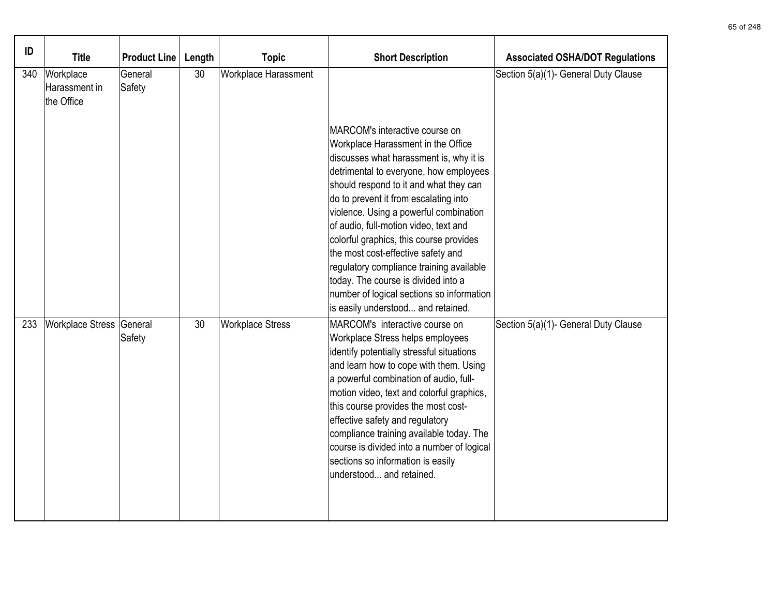| ID  | <b>Title</b>                             | <b>Product Line</b> | Length | <b>Topic</b>            | <b>Short Description</b>                                                                                                                                                                                                                                                                                                                                                                                                                                                              | <b>Associated OSHA/DOT Regulations</b> |
|-----|------------------------------------------|---------------------|--------|-------------------------|---------------------------------------------------------------------------------------------------------------------------------------------------------------------------------------------------------------------------------------------------------------------------------------------------------------------------------------------------------------------------------------------------------------------------------------------------------------------------------------|----------------------------------------|
| 340 | Workplace<br>Harassment in<br>the Office | General<br>Safety   | 30     | Workplace Harassment    | MARCOM's interactive course on<br>Workplace Harassment in the Office<br>discusses what harassment is, why it is                                                                                                                                                                                                                                                                                                                                                                       | Section 5(a)(1)- General Duty Clause   |
|     |                                          |                     |        |                         | detrimental to everyone, how employees<br>should respond to it and what they can<br>do to prevent it from escalating into<br>violence. Using a powerful combination<br>of audio, full-motion video, text and<br>colorful graphics, this course provides<br>the most cost-effective safety and<br>regulatory compliance training available<br>today. The course is divided into a<br>number of logical sections so information<br>is easily understood and retained.                   |                                        |
| 233 | Workplace Stress General                 | Safety              | 30     | <b>Workplace Stress</b> | MARCOM's interactive course on<br>Workplace Stress helps employees<br>identify potentially stressful situations<br>and learn how to cope with them. Using<br>a powerful combination of audio, full-<br>motion video, text and colorful graphics,<br>this course provides the most cost-<br>effective safety and regulatory<br>compliance training available today. The<br>course is divided into a number of logical<br>sections so information is easily<br>understood and retained. | Section 5(a)(1)- General Duty Clause   |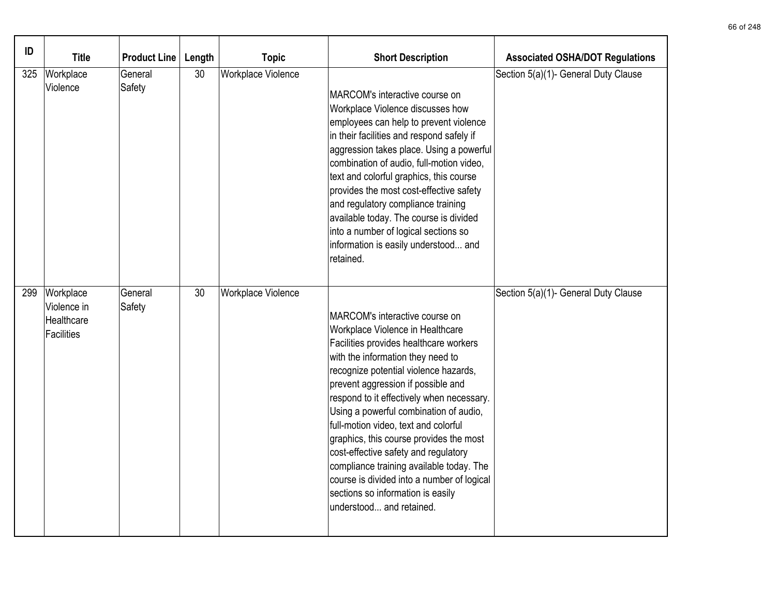| ID  | <b>Title</b>                                         | <b>Product Line</b> | Length | <b>Topic</b>       | <b>Short Description</b>                                                                                                                                                                                                                                                                                                                                                                                                                                                                                                                                                                                      | <b>Associated OSHA/DOT Regulations</b> |
|-----|------------------------------------------------------|---------------------|--------|--------------------|---------------------------------------------------------------------------------------------------------------------------------------------------------------------------------------------------------------------------------------------------------------------------------------------------------------------------------------------------------------------------------------------------------------------------------------------------------------------------------------------------------------------------------------------------------------------------------------------------------------|----------------------------------------|
| 325 | Workplace<br>Violence                                | General<br>Safety   | 30     | Workplace Violence | MARCOM's interactive course on<br>Workplace Violence discusses how<br>employees can help to prevent violence<br>in their facilities and respond safely if<br>aggression takes place. Using a powerful<br>combination of audio, full-motion video,<br>text and colorful graphics, this course<br>provides the most cost-effective safety<br>and regulatory compliance training<br>available today. The course is divided<br>into a number of logical sections so<br>information is easily understood and<br>retained.                                                                                          | Section 5(a)(1)- General Duty Clause   |
| 299 | Workplace<br>Violence in<br>Healthcare<br>Facilities | General<br>Safety   | 30     | Workplace Violence | MARCOM's interactive course on<br>Workplace Violence in Healthcare<br>Facilities provides healthcare workers<br>with the information they need to<br>recognize potential violence hazards,<br>prevent aggression if possible and<br>respond to it effectively when necessary.<br>Using a powerful combination of audio,<br>full-motion video, text and colorful<br>graphics, this course provides the most<br>cost-effective safety and regulatory<br>compliance training available today. The<br>course is divided into a number of logical<br>sections so information is easily<br>understood and retained. | Section 5(a)(1)- General Duty Clause   |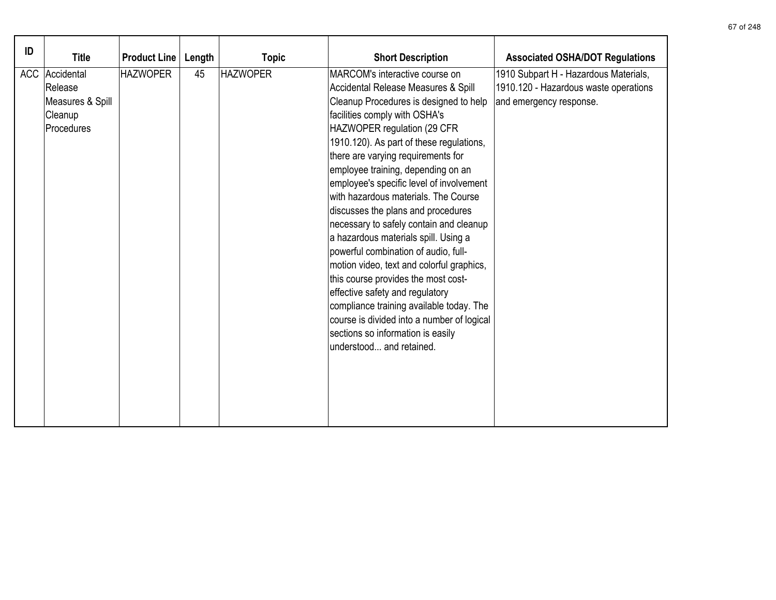| ID<br><b>Title</b>                                                               | <b>Product Line</b> | Length | <b>Topic</b>    | <b>Short Description</b>                                                                                                                                                                                                                                                                                                                                                                                                                                                                                                                                                                                                                                                                                                                                                                                                                       | <b>Associated OSHA/DOT Regulations</b>                                                                    |
|----------------------------------------------------------------------------------|---------------------|--------|-----------------|------------------------------------------------------------------------------------------------------------------------------------------------------------------------------------------------------------------------------------------------------------------------------------------------------------------------------------------------------------------------------------------------------------------------------------------------------------------------------------------------------------------------------------------------------------------------------------------------------------------------------------------------------------------------------------------------------------------------------------------------------------------------------------------------------------------------------------------------|-----------------------------------------------------------------------------------------------------------|
| <b>ACC</b><br>Accidental<br>Release<br>Measures & Spill<br>Cleanup<br>Procedures | <b>HAZWOPER</b>     | 45     | <b>HAZWOPER</b> | MARCOM's interactive course on<br>Accidental Release Measures & Spill<br>Cleanup Procedures is designed to help<br>facilities comply with OSHA's<br>HAZWOPER regulation (29 CFR<br>1910.120). As part of these regulations,<br>there are varying requirements for<br>employee training, depending on an<br>employee's specific level of involvement<br>with hazardous materials. The Course<br>discusses the plans and procedures<br>necessary to safely contain and cleanup<br>a hazardous materials spill. Using a<br>powerful combination of audio, full-<br>motion video, text and colorful graphics,<br>this course provides the most cost-<br>effective safety and regulatory<br>compliance training available today. The<br>course is divided into a number of logical<br>sections so information is easily<br>understood and retained. | 1910 Subpart H - Hazardous Materials,<br>1910.120 - Hazardous waste operations<br>and emergency response. |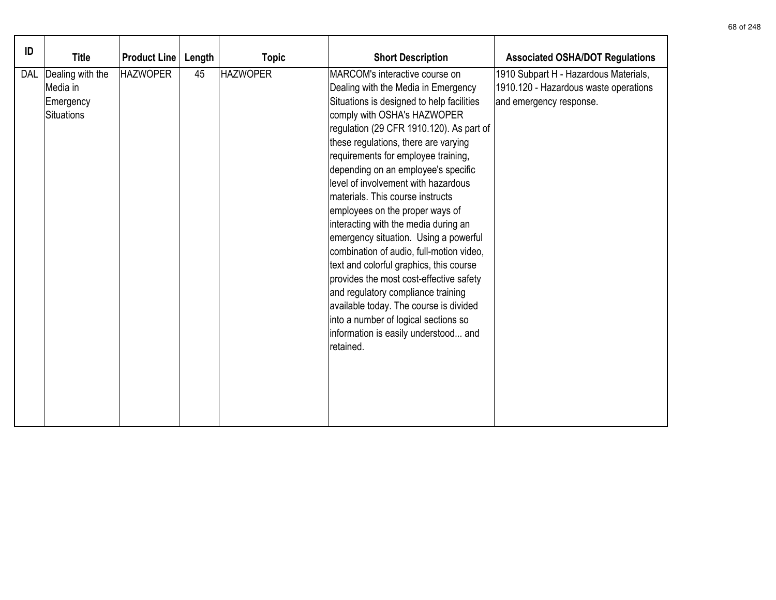| ID         | <b>Title</b>                                                   | <b>Product Line</b> | Length | <b>Topic</b>    | <b>Short Description</b>                                                                                                                                                                                                                                                                                                                                                                                                                                                                                                                                                                                                                                                                                                                                                                                                          | <b>Associated OSHA/DOT Regulations</b>                                                                    |
|------------|----------------------------------------------------------------|---------------------|--------|-----------------|-----------------------------------------------------------------------------------------------------------------------------------------------------------------------------------------------------------------------------------------------------------------------------------------------------------------------------------------------------------------------------------------------------------------------------------------------------------------------------------------------------------------------------------------------------------------------------------------------------------------------------------------------------------------------------------------------------------------------------------------------------------------------------------------------------------------------------------|-----------------------------------------------------------------------------------------------------------|
| <b>DAL</b> | Dealing with the<br>Media in<br>Emergency<br><b>Situations</b> | <b>HAZWOPER</b>     | 45     | <b>HAZWOPER</b> | MARCOM's interactive course on<br>Dealing with the Media in Emergency<br>Situations is designed to help facilities<br>comply with OSHA's HAZWOPER<br>regulation (29 CFR 1910.120). As part of<br>these regulations, there are varying<br>requirements for employee training,<br>depending on an employee's specific<br>level of involvement with hazardous<br>materials. This course instructs<br>employees on the proper ways of<br>interacting with the media during an<br>emergency situation. Using a powerful<br>combination of audio, full-motion video,<br>text and colorful graphics, this course<br>provides the most cost-effective safety<br>and regulatory compliance training<br>available today. The course is divided<br>into a number of logical sections so<br>information is easily understood and<br>retained. | 1910 Subpart H - Hazardous Materials,<br>1910.120 - Hazardous waste operations<br>and emergency response. |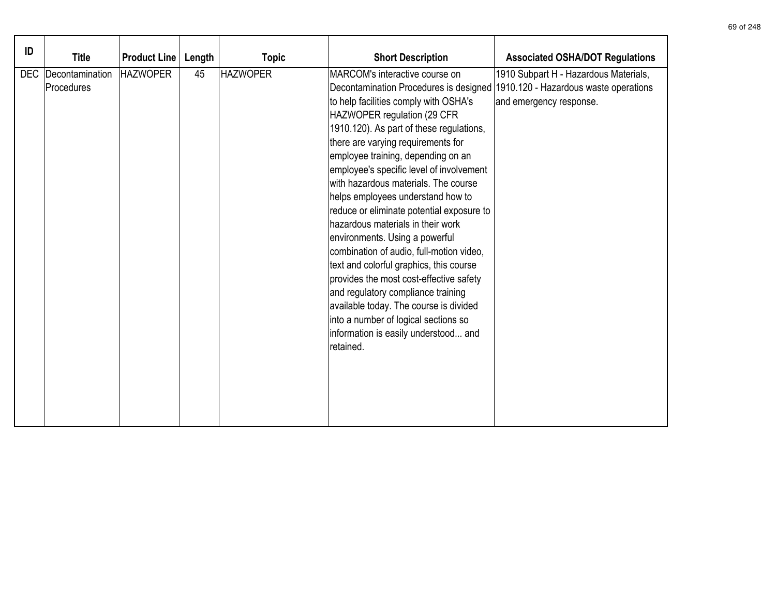| ID | <b>Title</b>                      | <b>Product Line</b> | Length | <b>Topic</b>    | <b>Short Description</b>                                                                                                                                                                                                                                                                                                                                                                                                                                                                                                                                                                                                                                                                                                                                                                                                                                                   | <b>Associated OSHA/DOT Regulations</b>                           |
|----|-----------------------------------|---------------------|--------|-----------------|----------------------------------------------------------------------------------------------------------------------------------------------------------------------------------------------------------------------------------------------------------------------------------------------------------------------------------------------------------------------------------------------------------------------------------------------------------------------------------------------------------------------------------------------------------------------------------------------------------------------------------------------------------------------------------------------------------------------------------------------------------------------------------------------------------------------------------------------------------------------------|------------------------------------------------------------------|
|    | DEC Decontamination<br>Procedures | <b>HAZWOPER</b>     | 45     | <b>HAZWOPER</b> | MARCOM's interactive course on<br>Decontamination Procedures is designed 1910.120 - Hazardous waste operations<br>to help facilities comply with OSHA's<br>HAZWOPER regulation (29 CFR<br>1910.120). As part of these regulations,<br>there are varying requirements for<br>employee training, depending on an<br>employee's specific level of involvement<br>with hazardous materials. The course<br>helps employees understand how to<br>reduce or eliminate potential exposure to<br>hazardous materials in their work<br>environments. Using a powerful<br>combination of audio, full-motion video,<br>text and colorful graphics, this course<br>provides the most cost-effective safety<br>and regulatory compliance training<br>available today. The course is divided<br>into a number of logical sections so<br>information is easily understood and<br>retained. | 1910 Subpart H - Hazardous Materials,<br>and emergency response. |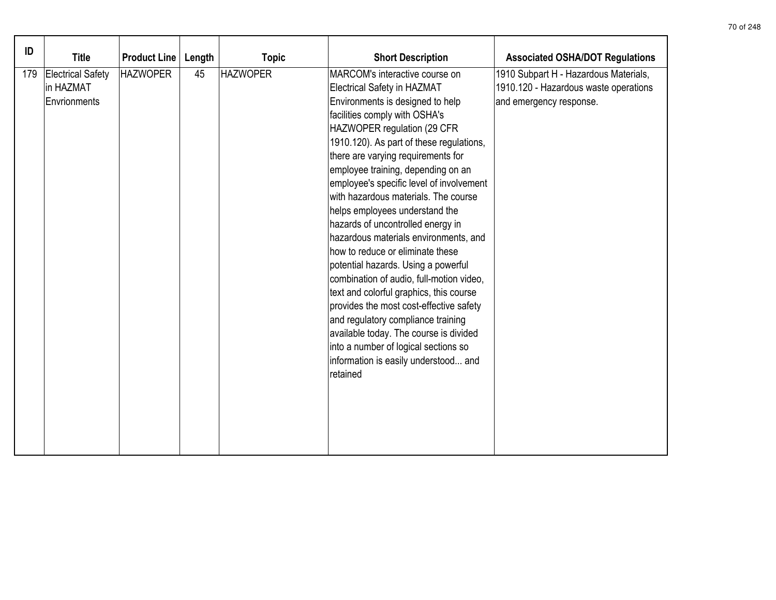| ID  | <b>Title</b>                                          | <b>Product Line</b> | Length | <b>Topic</b>    | <b>Short Description</b>                                                                                                                                                                                                                                                                                                                                                                                                                                                                                                                                                                                                                                                                                                                                                                                                                                                                      | <b>Associated OSHA/DOT Regulations</b>                                                                    |
|-----|-------------------------------------------------------|---------------------|--------|-----------------|-----------------------------------------------------------------------------------------------------------------------------------------------------------------------------------------------------------------------------------------------------------------------------------------------------------------------------------------------------------------------------------------------------------------------------------------------------------------------------------------------------------------------------------------------------------------------------------------------------------------------------------------------------------------------------------------------------------------------------------------------------------------------------------------------------------------------------------------------------------------------------------------------|-----------------------------------------------------------------------------------------------------------|
| 179 | <b>Electrical Safety</b><br>in HAZMAT<br>Envrionments | <b>HAZWOPER</b>     | 45     | <b>HAZWOPER</b> | MARCOM's interactive course on<br><b>Electrical Safety in HAZMAT</b><br>Environments is designed to help<br>facilities comply with OSHA's<br>HAZWOPER regulation (29 CFR<br>1910.120). As part of these regulations,<br>there are varying requirements for<br>employee training, depending on an<br>employee's specific level of involvement<br>with hazardous materials. The course<br>helps employees understand the<br>hazards of uncontrolled energy in<br>hazardous materials environments, and<br>how to reduce or eliminate these<br>potential hazards. Using a powerful<br>combination of audio, full-motion video,<br>text and colorful graphics, this course<br>provides the most cost-effective safety<br>and regulatory compliance training<br>available today. The course is divided<br>into a number of logical sections so<br>information is easily understood and<br>retained | 1910 Subpart H - Hazardous Materials,<br>1910.120 - Hazardous waste operations<br>and emergency response. |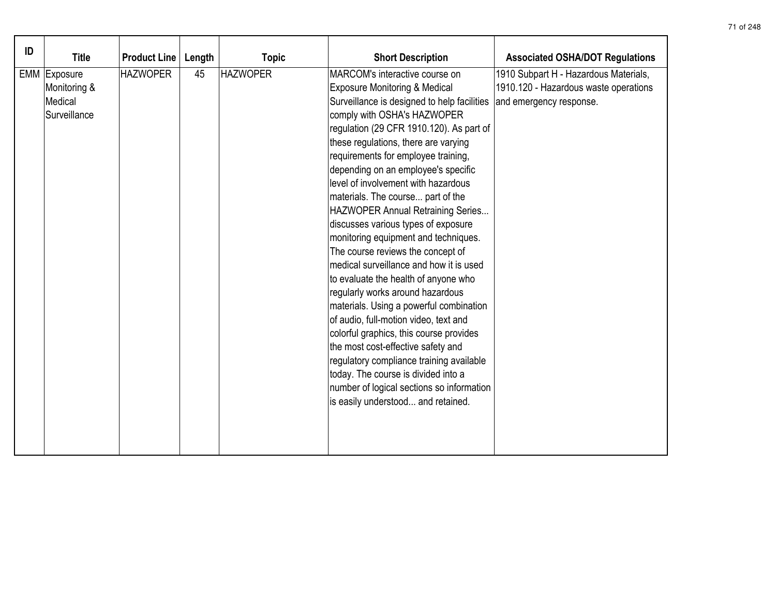| ID |                                                         |                     |        |                 |                                                                                                                                                                                                                                                                                                                                                                                                                                                                                                                                                                                                                                                                                                                                                                                                                                                                                                                                                                                                                                   |                                                                                                           |
|----|---------------------------------------------------------|---------------------|--------|-----------------|-----------------------------------------------------------------------------------------------------------------------------------------------------------------------------------------------------------------------------------------------------------------------------------------------------------------------------------------------------------------------------------------------------------------------------------------------------------------------------------------------------------------------------------------------------------------------------------------------------------------------------------------------------------------------------------------------------------------------------------------------------------------------------------------------------------------------------------------------------------------------------------------------------------------------------------------------------------------------------------------------------------------------------------|-----------------------------------------------------------------------------------------------------------|
|    | <b>Title</b>                                            | <b>Product Line</b> | Length | <b>Topic</b>    | <b>Short Description</b>                                                                                                                                                                                                                                                                                                                                                                                                                                                                                                                                                                                                                                                                                                                                                                                                                                                                                                                                                                                                          | <b>Associated OSHA/DOT Regulations</b>                                                                    |
|    | EMM Exposure<br>Monitoring &<br>Medical<br>Surveillance | <b>HAZWOPER</b>     | 45     | <b>HAZWOPER</b> | MARCOM's interactive course on<br><b>Exposure Monitoring &amp; Medical</b><br>Surveillance is designed to help facilities<br>comply with OSHA's HAZWOPER<br>regulation (29 CFR 1910.120). As part of<br>these regulations, there are varying<br>requirements for employee training,<br>depending on an employee's specific<br>level of involvement with hazardous<br>materials. The course part of the<br>HAZWOPER Annual Retraining Series<br>discusses various types of exposure<br>monitoring equipment and techniques.<br>The course reviews the concept of<br>medical surveillance and how it is used<br>to evaluate the health of anyone who<br>regularly works around hazardous<br>materials. Using a powerful combination<br>of audio, full-motion video, text and<br>colorful graphics, this course provides<br>the most cost-effective safety and<br>regulatory compliance training available<br>today. The course is divided into a<br>number of logical sections so information<br>is easily understood and retained. | 1910 Subpart H - Hazardous Materials,<br>1910.120 - Hazardous waste operations<br>and emergency response. |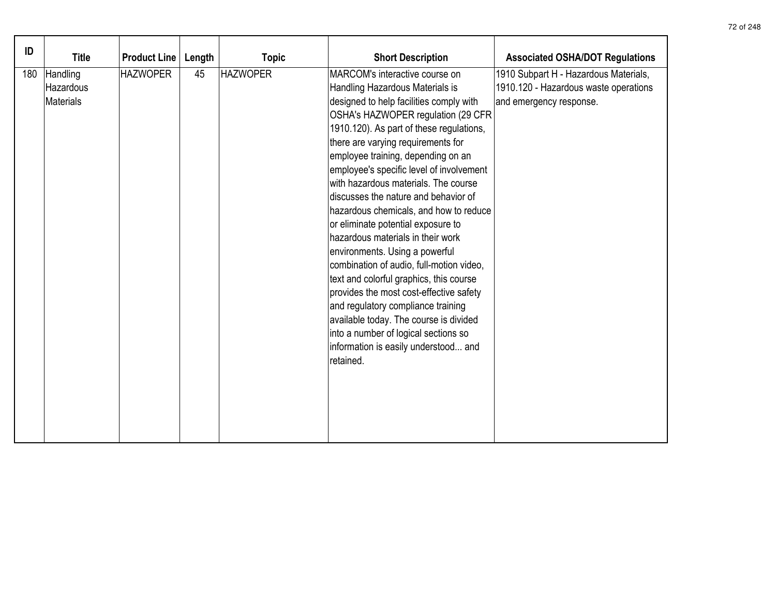| ID  | <b>Title</b>                       | <b>Product Line</b> | Length | <b>Topic</b>    | <b>Short Description</b>                                                                                                                                                                                                                                                                                                                                                                                                                                                                                                                                                                                                                                                                                                                                                                                                                                                     | <b>Associated OSHA/DOT Regulations</b>                                                                    |
|-----|------------------------------------|---------------------|--------|-----------------|------------------------------------------------------------------------------------------------------------------------------------------------------------------------------------------------------------------------------------------------------------------------------------------------------------------------------------------------------------------------------------------------------------------------------------------------------------------------------------------------------------------------------------------------------------------------------------------------------------------------------------------------------------------------------------------------------------------------------------------------------------------------------------------------------------------------------------------------------------------------------|-----------------------------------------------------------------------------------------------------------|
| 180 | Handling<br>Hazardous<br>Materials | <b>HAZWOPER</b>     | 45     | <b>HAZWOPER</b> | MARCOM's interactive course on<br>Handling Hazardous Materials is<br>designed to help facilities comply with<br>OSHA's HAZWOPER regulation (29 CFR<br>1910.120). As part of these regulations,<br>there are varying requirements for<br>employee training, depending on an<br>employee's specific level of involvement<br>with hazardous materials. The course<br>discusses the nature and behavior of<br>hazardous chemicals, and how to reduce<br>or eliminate potential exposure to<br>hazardous materials in their work<br>environments. Using a powerful<br>combination of audio, full-motion video,<br>text and colorful graphics, this course<br>provides the most cost-effective safety<br>and regulatory compliance training<br>available today. The course is divided<br>into a number of logical sections so<br>information is easily understood and<br>retained. | 1910 Subpart H - Hazardous Materials,<br>1910.120 - Hazardous waste operations<br>and emergency response. |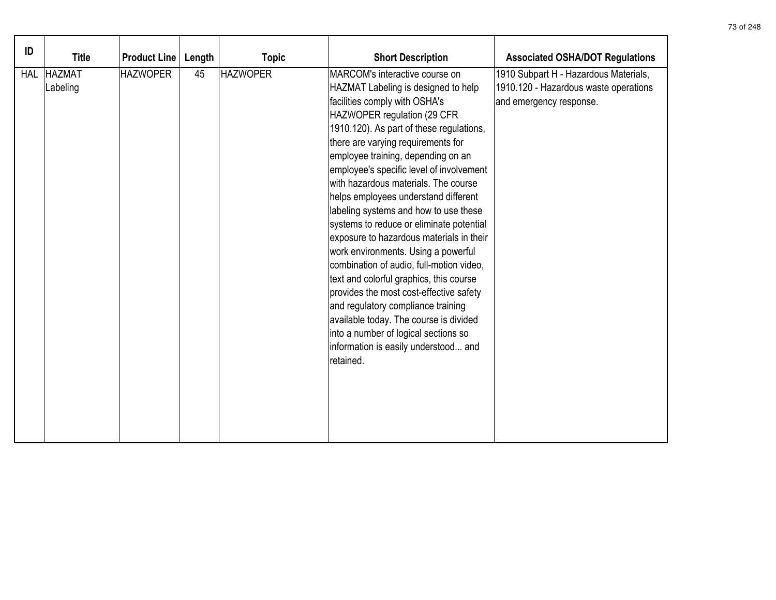| ID         | <b>Title</b>              | <b>Product Line</b> | Length | <b>Topic</b>    | <b>Short Description</b>                                                                                                                                                                                                                                                                                                                                                                                                                                                                                                                                                                                                                                                                                                                                                                                                                                                         | <b>Associated OSHA/DOT Regulations</b>                                                                    |
|------------|---------------------------|---------------------|--------|-----------------|----------------------------------------------------------------------------------------------------------------------------------------------------------------------------------------------------------------------------------------------------------------------------------------------------------------------------------------------------------------------------------------------------------------------------------------------------------------------------------------------------------------------------------------------------------------------------------------------------------------------------------------------------------------------------------------------------------------------------------------------------------------------------------------------------------------------------------------------------------------------------------|-----------------------------------------------------------------------------------------------------------|
| <b>HAL</b> | <b>HAZMAT</b><br>Labeling | <b>HAZWOPER</b>     | 45     | <b>HAZWOPER</b> | MARCOM's interactive course on<br>HAZMAT Labeling is designed to help<br>facilities comply with OSHA's<br>HAZWOPER regulation (29 CFR<br>1910.120). As part of these regulations,<br>there are varying requirements for<br>employee training, depending on an<br>employee's specific level of involvement<br>with hazardous materials. The course<br>helps employees understand different<br>labeling systems and how to use these<br>systems to reduce or eliminate potential<br>exposure to hazardous materials in their<br>work environments. Using a powerful<br>combination of audio, full-motion video,<br>text and colorful graphics, this course<br>provides the most cost-effective safety<br>and regulatory compliance training<br>available today. The course is divided<br>into a number of logical sections so<br>information is easily understood and<br>retained. | 1910 Subpart H - Hazardous Materials,<br>1910.120 - Hazardous waste operations<br>and emergency response. |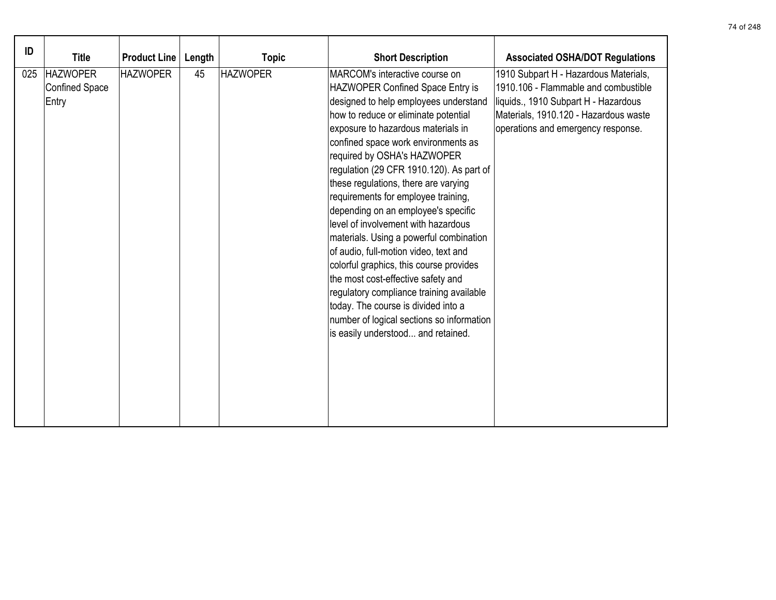| ID  | <b>Title</b>                                      | <b>Product Line</b> | Length | <b>Topic</b>    | <b>Short Description</b>                                                                                                                                                                                                                                                                                                                                                                                                                                                                                                                                                                                                                                                                                                                                                                                            | <b>Associated OSHA/DOT Regulations</b>                                                                                                                                                               |
|-----|---------------------------------------------------|---------------------|--------|-----------------|---------------------------------------------------------------------------------------------------------------------------------------------------------------------------------------------------------------------------------------------------------------------------------------------------------------------------------------------------------------------------------------------------------------------------------------------------------------------------------------------------------------------------------------------------------------------------------------------------------------------------------------------------------------------------------------------------------------------------------------------------------------------------------------------------------------------|------------------------------------------------------------------------------------------------------------------------------------------------------------------------------------------------------|
| 025 | <b>HAZWOPER</b><br><b>Confined Space</b><br>Entry | <b>HAZWOPER</b>     | 45     | <b>HAZWOPER</b> | MARCOM's interactive course on<br>HAZWOPER Confined Space Entry is<br>designed to help employees understand<br>how to reduce or eliminate potential<br>exposure to hazardous materials in<br>confined space work environments as<br>required by OSHA's HAZWOPER<br>regulation (29 CFR 1910.120). As part of<br>these regulations, there are varying<br>requirements for employee training,<br>depending on an employee's specific<br>level of involvement with hazardous<br>materials. Using a powerful combination<br>of audio, full-motion video, text and<br>colorful graphics, this course provides<br>the most cost-effective safety and<br>regulatory compliance training available<br>today. The course is divided into a<br>number of logical sections so information<br>is easily understood and retained. | 1910 Subpart H - Hazardous Materials,<br>1910.106 - Flammable and combustible<br>liquids., 1910 Subpart H - Hazardous<br>Materials, 1910.120 - Hazardous waste<br>operations and emergency response. |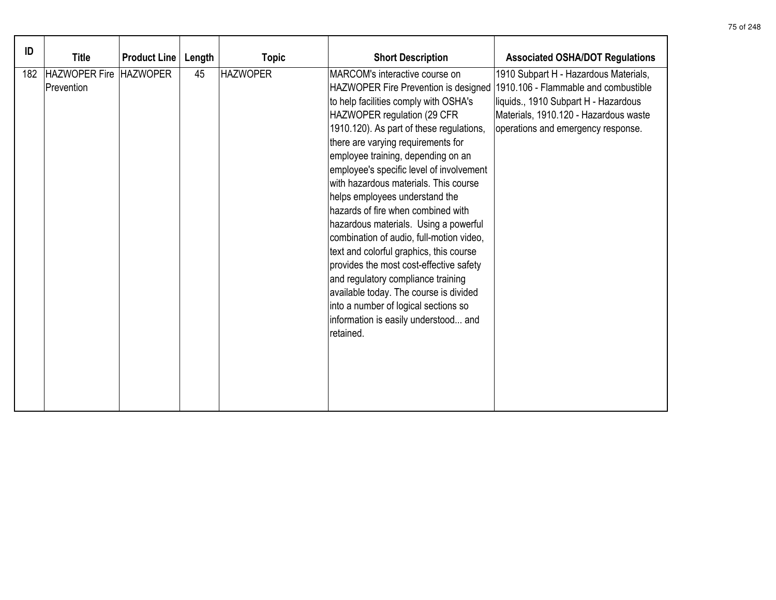| ID |                            |                     |        |                 |                                          |                                        |
|----|----------------------------|---------------------|--------|-----------------|------------------------------------------|----------------------------------------|
|    | <b>Title</b>               | <b>Product Line</b> | Length | <b>Topic</b>    | <b>Short Description</b>                 | <b>Associated OSHA/DOT Regulations</b> |
|    | 182 HAZWOPER Fire HAZWOPER |                     | 45     | <b>HAZWOPER</b> | MARCOM's interactive course on           | 1910 Subpart H - Hazardous Materials,  |
|    | Prevention                 |                     |        |                 | HAZWOPER Fire Prevention is designed     | 1910.106 - Flammable and combustible   |
|    |                            |                     |        |                 | to help facilities comply with OSHA's    | liquids., 1910 Subpart H - Hazardous   |
|    |                            |                     |        |                 | HAZWOPER regulation (29 CFR              | Materials, 1910.120 - Hazardous waste  |
|    |                            |                     |        |                 | 1910.120). As part of these regulations, | operations and emergency response.     |
|    |                            |                     |        |                 | there are varying requirements for       |                                        |
|    |                            |                     |        |                 | employee training, depending on an       |                                        |
|    |                            |                     |        |                 | employee's specific level of involvement |                                        |
|    |                            |                     |        |                 | with hazardous materials. This course    |                                        |
|    |                            |                     |        |                 | helps employees understand the           |                                        |
|    |                            |                     |        |                 | hazards of fire when combined with       |                                        |
|    |                            |                     |        |                 | hazardous materials. Using a powerful    |                                        |
|    |                            |                     |        |                 | combination of audio, full-motion video, |                                        |
|    |                            |                     |        |                 | text and colorful graphics, this course  |                                        |
|    |                            |                     |        |                 | provides the most cost-effective safety  |                                        |
|    |                            |                     |        |                 | and regulatory compliance training       |                                        |
|    |                            |                     |        |                 | available today. The course is divided   |                                        |
|    |                            |                     |        |                 | into a number of logical sections so     |                                        |
|    |                            |                     |        |                 | information is easily understood and     |                                        |
|    |                            |                     |        |                 | retained.                                |                                        |
|    |                            |                     |        |                 |                                          |                                        |
|    |                            |                     |        |                 |                                          |                                        |
|    |                            |                     |        |                 |                                          |                                        |
|    |                            |                     |        |                 |                                          |                                        |
|    |                            |                     |        |                 |                                          |                                        |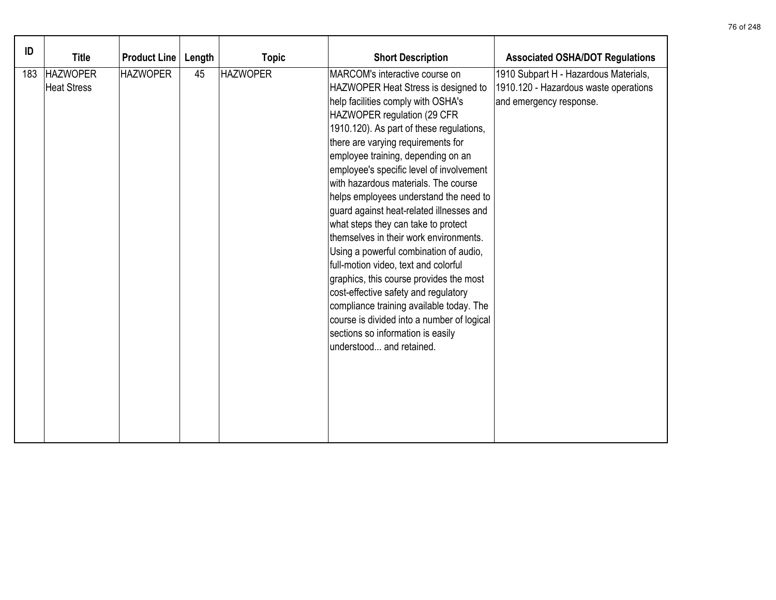| ID  | <b>Title</b>                          | <b>Product Line</b> | Length | <b>Topic</b>    | <b>Short Description</b>                                                                                                                                                                                                                                                                                                                                                                                                                                                                                                                                                                                                                                                                                                                                                                                                                                      | <b>Associated OSHA/DOT Regulations</b>                                                                    |
|-----|---------------------------------------|---------------------|--------|-----------------|---------------------------------------------------------------------------------------------------------------------------------------------------------------------------------------------------------------------------------------------------------------------------------------------------------------------------------------------------------------------------------------------------------------------------------------------------------------------------------------------------------------------------------------------------------------------------------------------------------------------------------------------------------------------------------------------------------------------------------------------------------------------------------------------------------------------------------------------------------------|-----------------------------------------------------------------------------------------------------------|
| 183 | <b>HAZWOPER</b><br><b>Heat Stress</b> | <b>HAZWOPER</b>     | 45     | <b>HAZWOPER</b> | MARCOM's interactive course on<br>HAZWOPER Heat Stress is designed to<br>help facilities comply with OSHA's<br>HAZWOPER regulation (29 CFR<br>1910.120). As part of these regulations,<br>there are varying requirements for<br>employee training, depending on an<br>employee's specific level of involvement<br>with hazardous materials. The course<br>helps employees understand the need to<br>guard against heat-related illnesses and<br>what steps they can take to protect<br>themselves in their work environments.<br>Using a powerful combination of audio,<br>full-motion video, text and colorful<br>graphics, this course provides the most<br>cost-effective safety and regulatory<br>compliance training available today. The<br>course is divided into a number of logical<br>sections so information is easily<br>understood and retained. | 1910 Subpart H - Hazardous Materials,<br>1910.120 - Hazardous waste operations<br>and emergency response. |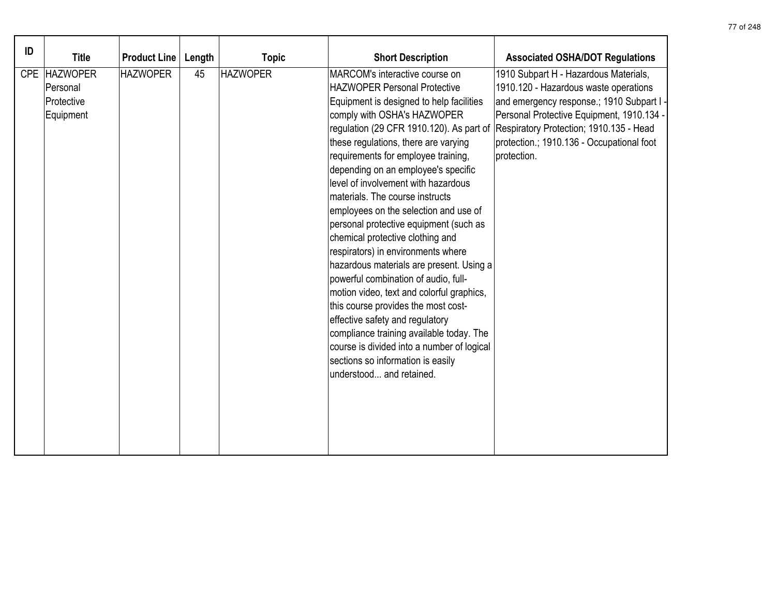| ID |                                                     |                     |        |                 |                                                                                                                                                                                                                                                                                                                                                                                                                                                                                                                                                                                                                                                                                                                                                                                                                                                                                                                                 |                                                                                                                                                                                                                                                                               |
|----|-----------------------------------------------------|---------------------|--------|-----------------|---------------------------------------------------------------------------------------------------------------------------------------------------------------------------------------------------------------------------------------------------------------------------------------------------------------------------------------------------------------------------------------------------------------------------------------------------------------------------------------------------------------------------------------------------------------------------------------------------------------------------------------------------------------------------------------------------------------------------------------------------------------------------------------------------------------------------------------------------------------------------------------------------------------------------------|-------------------------------------------------------------------------------------------------------------------------------------------------------------------------------------------------------------------------------------------------------------------------------|
|    | <b>Title</b>                                        | <b>Product Line</b> | Length | <b>Topic</b>    | <b>Short Description</b>                                                                                                                                                                                                                                                                                                                                                                                                                                                                                                                                                                                                                                                                                                                                                                                                                                                                                                        | <b>Associated OSHA/DOT Regulations</b>                                                                                                                                                                                                                                        |
|    | CPE HAZWOPER<br>Personal<br>Protective<br>Equipment | <b>HAZWOPER</b>     | 45     | <b>HAZWOPER</b> | MARCOM's interactive course on<br><b>HAZWOPER Personal Protective</b><br>Equipment is designed to help facilities<br>comply with OSHA's HAZWOPER<br>regulation (29 CFR 1910.120). As part of<br>these regulations, there are varying<br>requirements for employee training,<br>depending on an employee's specific<br>level of involvement with hazardous<br>materials. The course instructs<br>employees on the selection and use of<br>personal protective equipment (such as<br>chemical protective clothing and<br>respirators) in environments where<br>hazardous materials are present. Using a<br>powerful combination of audio, full-<br>motion video, text and colorful graphics,<br>this course provides the most cost-<br>effective safety and regulatory<br>compliance training available today. The<br>course is divided into a number of logical<br>sections so information is easily<br>understood and retained. | 1910 Subpart H - Hazardous Materials,<br>1910.120 - Hazardous waste operations<br>and emergency response.; 1910 Subpart I<br>Personal Protective Equipment, 1910.134 -<br>Respiratory Protection; 1910.135 - Head<br>protection.; 1910.136 - Occupational foot<br>protection. |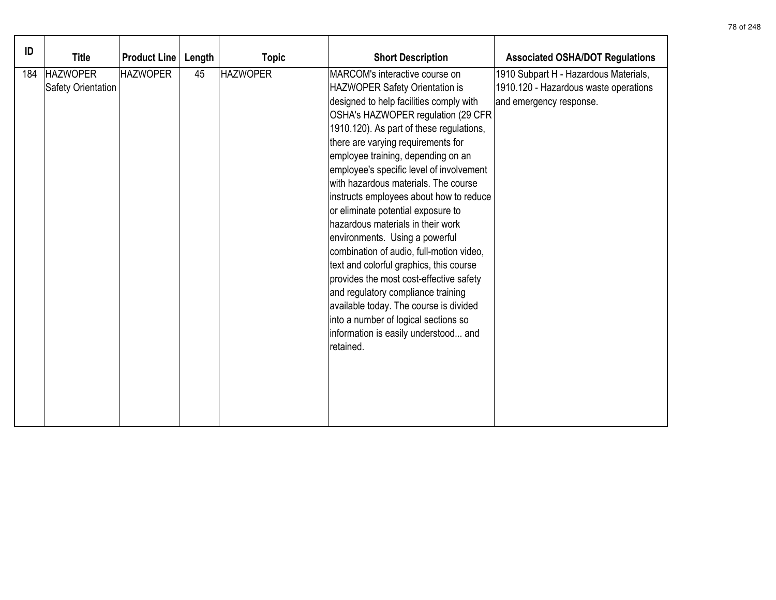| ID  | <b>Title</b>                          | <b>Product Line</b> | Length | <b>Topic</b>    | <b>Short Description</b>                                                                                                                                                                                                                                                                                                                                                                                                                                                                                                                                                                                                                                                                                                                                                                                                             | <b>Associated OSHA/DOT Regulations</b>                                                                    |
|-----|---------------------------------------|---------------------|--------|-----------------|--------------------------------------------------------------------------------------------------------------------------------------------------------------------------------------------------------------------------------------------------------------------------------------------------------------------------------------------------------------------------------------------------------------------------------------------------------------------------------------------------------------------------------------------------------------------------------------------------------------------------------------------------------------------------------------------------------------------------------------------------------------------------------------------------------------------------------------|-----------------------------------------------------------------------------------------------------------|
| 184 | <b>HAZWOPER</b><br>Safety Orientation | <b>HAZWOPER</b>     | 45     | <b>HAZWOPER</b> | MARCOM's interactive course on<br>HAZWOPER Safety Orientation is<br>designed to help facilities comply with<br>OSHA's HAZWOPER regulation (29 CFR<br>1910.120). As part of these regulations,<br>there are varying requirements for<br>employee training, depending on an<br>employee's specific level of involvement<br>with hazardous materials. The course<br>instructs employees about how to reduce<br>or eliminate potential exposure to<br>hazardous materials in their work<br>environments. Using a powerful<br>combination of audio, full-motion video,<br>text and colorful graphics, this course<br>provides the most cost-effective safety<br>and regulatory compliance training<br>available today. The course is divided<br>into a number of logical sections so<br>information is easily understood and<br>retained. | 1910 Subpart H - Hazardous Materials,<br>1910.120 - Hazardous waste operations<br>and emergency response. |
|     |                                       |                     |        |                 |                                                                                                                                                                                                                                                                                                                                                                                                                                                                                                                                                                                                                                                                                                                                                                                                                                      |                                                                                                           |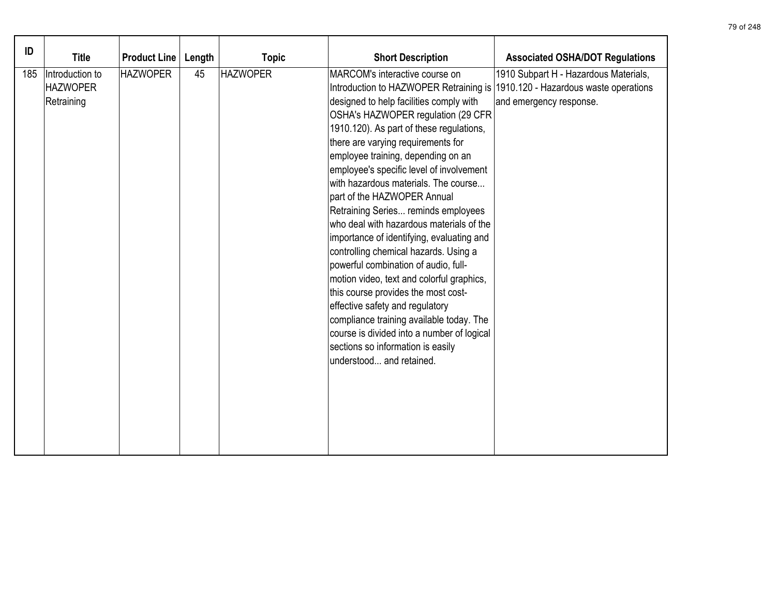| ID  | <b>Title</b>                                     | <b>Product Line</b> | Length | <b>Topic</b>    | <b>Short Description</b>                                                                                                                                                                                                                                                                                                                                                                                                                                                                                                                                                                                                                                                                                                                                                                                                                                                                                | <b>Associated OSHA/DOT Regulations</b>                                                                    |
|-----|--------------------------------------------------|---------------------|--------|-----------------|---------------------------------------------------------------------------------------------------------------------------------------------------------------------------------------------------------------------------------------------------------------------------------------------------------------------------------------------------------------------------------------------------------------------------------------------------------------------------------------------------------------------------------------------------------------------------------------------------------------------------------------------------------------------------------------------------------------------------------------------------------------------------------------------------------------------------------------------------------------------------------------------------------|-----------------------------------------------------------------------------------------------------------|
| 185 | Introduction to<br><b>HAZWOPER</b><br>Retraining | <b>HAZWOPER</b>     | 45     | <b>HAZWOPER</b> | MARCOM's interactive course on<br>Introduction to HAZWOPER Retraining is<br>designed to help facilities comply with<br>OSHA's HAZWOPER regulation (29 CFR<br>1910.120). As part of these regulations,<br>there are varying requirements for<br>employee training, depending on an<br>employee's specific level of involvement<br>with hazardous materials. The course<br>part of the HAZWOPER Annual<br>Retraining Series reminds employees<br>who deal with hazardous materials of the<br>importance of identifying, evaluating and<br>controlling chemical hazards. Using a<br>powerful combination of audio, full-<br>motion video, text and colorful graphics,<br>this course provides the most cost-<br>effective safety and regulatory<br>compliance training available today. The<br>course is divided into a number of logical<br>sections so information is easily<br>understood and retained. | 1910 Subpart H - Hazardous Materials,<br>1910.120 - Hazardous waste operations<br>and emergency response. |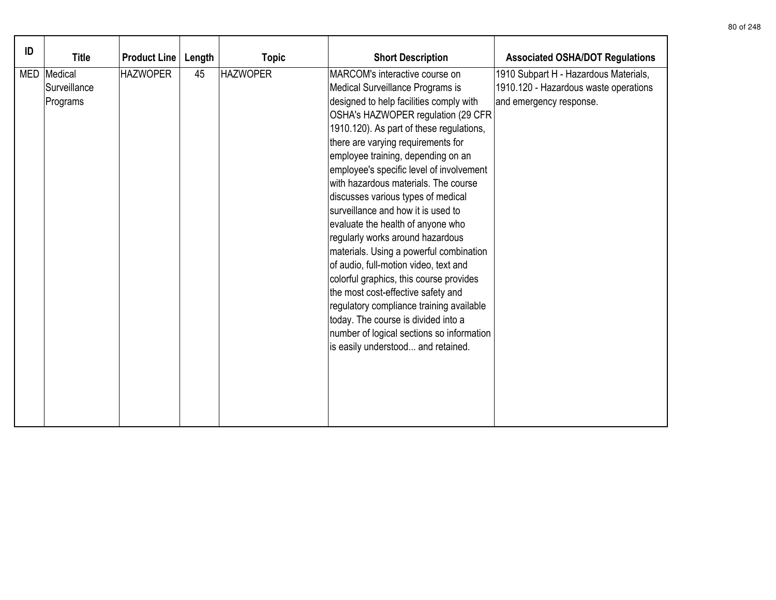| ID | <b>Title</b>                              | <b>Product Line</b> | Length | <b>Topic</b>    | <b>Short Description</b>                                                                                                                                                                                                                                                                                                                                                                                                                                                                                                                                                                                                                                                                                                                                                                                                                                        | <b>Associated OSHA/DOT Regulations</b>                                                                    |
|----|-------------------------------------------|---------------------|--------|-----------------|-----------------------------------------------------------------------------------------------------------------------------------------------------------------------------------------------------------------------------------------------------------------------------------------------------------------------------------------------------------------------------------------------------------------------------------------------------------------------------------------------------------------------------------------------------------------------------------------------------------------------------------------------------------------------------------------------------------------------------------------------------------------------------------------------------------------------------------------------------------------|-----------------------------------------------------------------------------------------------------------|
|    | MED   Medical<br>Surveillance<br>Programs | <b>HAZWOPER</b>     | 45     | <b>HAZWOPER</b> | MARCOM's interactive course on<br>Medical Surveillance Programs is<br>designed to help facilities comply with<br>OSHA's HAZWOPER regulation (29 CFR<br>1910.120). As part of these regulations,<br>there are varying requirements for<br>employee training, depending on an<br>employee's specific level of involvement<br>with hazardous materials. The course<br>discusses various types of medical<br>surveillance and how it is used to<br>evaluate the health of anyone who<br>regularly works around hazardous<br>materials. Using a powerful combination<br>of audio, full-motion video, text and<br>colorful graphics, this course provides<br>the most cost-effective safety and<br>regulatory compliance training available<br>today. The course is divided into a<br>number of logical sections so information<br>is easily understood and retained. | 1910 Subpart H - Hazardous Materials,<br>1910.120 - Hazardous waste operations<br>and emergency response. |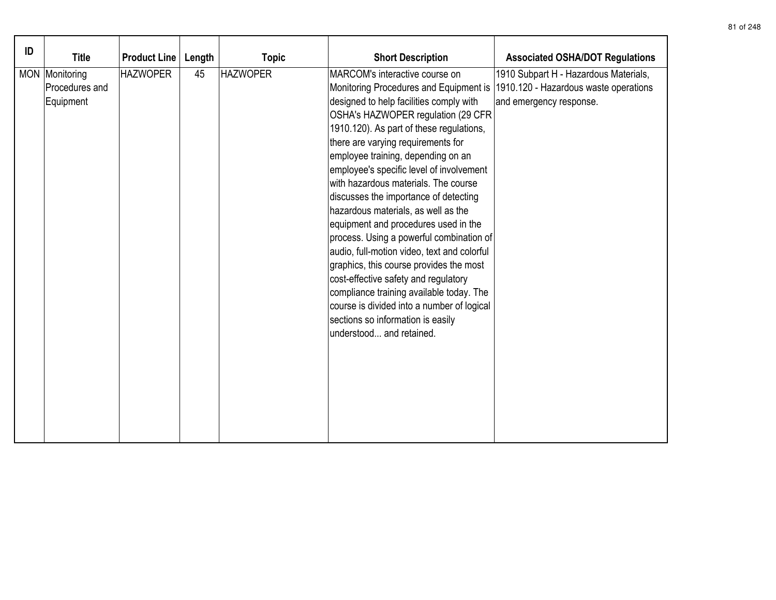| ID | <b>Title</b>                                  | <b>Product Line</b> | Length | <b>Topic</b>    | <b>Short Description</b>                                                                                                                                                                                                                                                                                                                                                                                                                                                                                                                                                                                                                                                                                                                                                                                                                | <b>Associated OSHA/DOT Regulations</b>                                                                    |
|----|-----------------------------------------------|---------------------|--------|-----------------|-----------------------------------------------------------------------------------------------------------------------------------------------------------------------------------------------------------------------------------------------------------------------------------------------------------------------------------------------------------------------------------------------------------------------------------------------------------------------------------------------------------------------------------------------------------------------------------------------------------------------------------------------------------------------------------------------------------------------------------------------------------------------------------------------------------------------------------------|-----------------------------------------------------------------------------------------------------------|
|    | MON Monitoring<br>Procedures and<br>Equipment | <b>HAZWOPER</b>     | 45     | <b>HAZWOPER</b> | MARCOM's interactive course on<br>Monitoring Procedures and Equipment is<br>designed to help facilities comply with<br>OSHA's HAZWOPER regulation (29 CFR)<br>1910.120). As part of these regulations,<br>there are varying requirements for<br>employee training, depending on an<br>employee's specific level of involvement<br>with hazardous materials. The course<br>discusses the importance of detecting<br>hazardous materials, as well as the<br>equipment and procedures used in the<br>process. Using a powerful combination of<br>audio, full-motion video, text and colorful<br>graphics, this course provides the most<br>cost-effective safety and regulatory<br>compliance training available today. The<br>course is divided into a number of logical<br>sections so information is easily<br>understood and retained. | 1910 Subpart H - Hazardous Materials,<br>1910.120 - Hazardous waste operations<br>and emergency response. |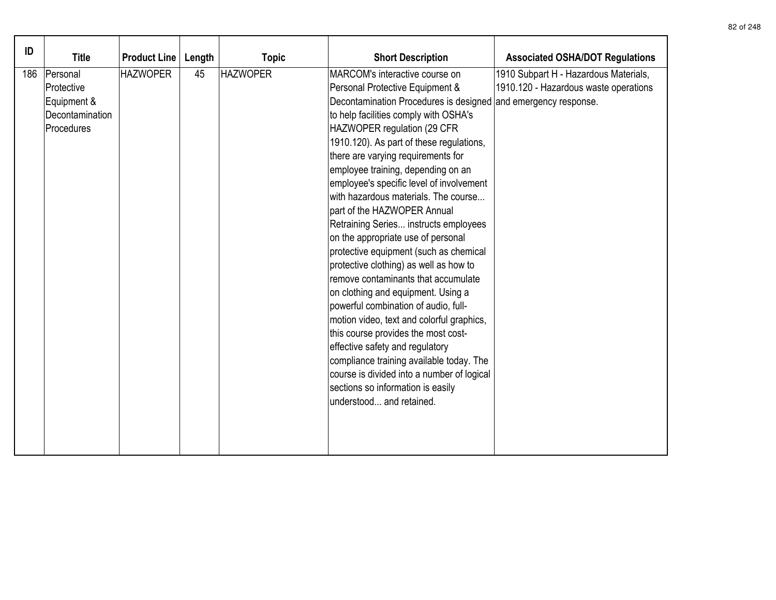| ID<br>186 | <b>Title</b><br>Personal<br>Protective<br>Equipment &<br>Decontamination<br>Procedures | <b>Product Line</b><br><b>HAZWOPER</b> | Length<br>45 | <b>Topic</b><br><b>HAZWOPER</b> | <b>Short Description</b><br>MARCOM's interactive course on<br>Personal Protective Equipment &<br>Decontamination Procedures is designed and emergency response.<br>to help facilities comply with OSHA's<br>HAZWOPER regulation (29 CFR<br>1910.120). As part of these regulations,<br>there are varying requirements for<br>employee training, depending on an<br>employee's specific level of involvement<br>with hazardous materials. The course<br>part of the HAZWOPER Annual<br>Retraining Series instructs employees<br>on the appropriate use of personal<br>protective equipment (such as chemical<br>protective clothing) as well as how to<br>remove contaminants that accumulate<br>on clothing and equipment. Using a<br>powerful combination of audio, full-<br>motion video, text and colorful graphics,<br>this course provides the most cost-<br>effective safety and regulatory<br>compliance training available today. The<br>course is divided into a number of logical<br>sections so information is easily<br>understood and retained. | <b>Associated OSHA/DOT Regulations</b><br>1910 Subpart H - Hazardous Materials,<br>1910.120 - Hazardous waste operations |
|-----------|----------------------------------------------------------------------------------------|----------------------------------------|--------------|---------------------------------|--------------------------------------------------------------------------------------------------------------------------------------------------------------------------------------------------------------------------------------------------------------------------------------------------------------------------------------------------------------------------------------------------------------------------------------------------------------------------------------------------------------------------------------------------------------------------------------------------------------------------------------------------------------------------------------------------------------------------------------------------------------------------------------------------------------------------------------------------------------------------------------------------------------------------------------------------------------------------------------------------------------------------------------------------------------|--------------------------------------------------------------------------------------------------------------------------|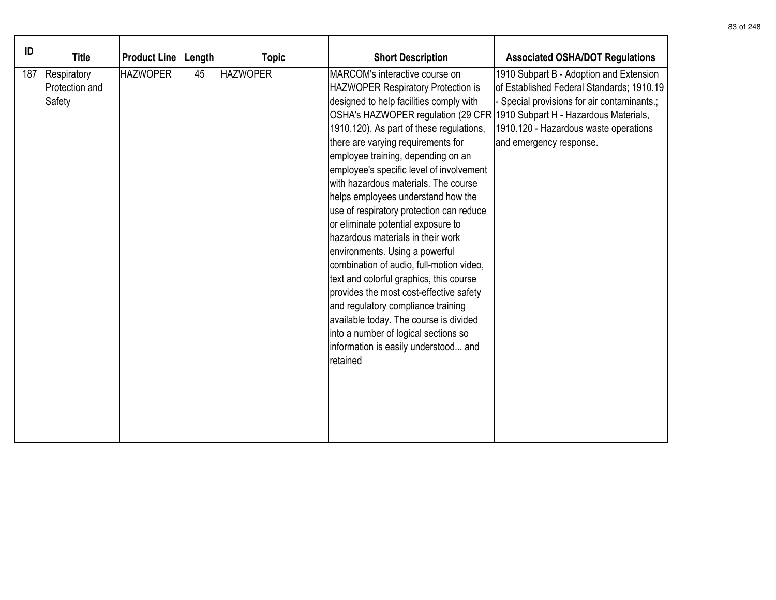| ID  | <b>Title</b>                            | <b>Product Line</b> | Length | <b>Topic</b>    | <b>Short Description</b>                                                                                                                                                                                                                                                                                                                                                                                                                                                                                                                                                                                                                                                                                                                                                                                                                                                               | <b>Associated OSHA/DOT Regulations</b>                                                                                                                                                                                                         |
|-----|-----------------------------------------|---------------------|--------|-----------------|----------------------------------------------------------------------------------------------------------------------------------------------------------------------------------------------------------------------------------------------------------------------------------------------------------------------------------------------------------------------------------------------------------------------------------------------------------------------------------------------------------------------------------------------------------------------------------------------------------------------------------------------------------------------------------------------------------------------------------------------------------------------------------------------------------------------------------------------------------------------------------------|------------------------------------------------------------------------------------------------------------------------------------------------------------------------------------------------------------------------------------------------|
| 187 | Respiratory<br>Protection and<br>Safety | <b>HAZWOPER</b>     | 45     | <b>HAZWOPER</b> | MARCOM's interactive course on<br><b>HAZWOPER Respiratory Protection is</b><br>designed to help facilities comply with<br>OSHA's HAZWOPER regulation (29 CFR)<br>1910.120). As part of these regulations,<br>there are varying requirements for<br>employee training, depending on an<br>employee's specific level of involvement<br>with hazardous materials. The course<br>helps employees understand how the<br>use of respiratory protection can reduce<br>or eliminate potential exposure to<br>hazardous materials in their work<br>environments. Using a powerful<br>combination of audio, full-motion video,<br>text and colorful graphics, this course<br>provides the most cost-effective safety<br>and regulatory compliance training<br>available today. The course is divided<br>into a number of logical sections so<br>information is easily understood and<br>retained | 1910 Subpart B - Adoption and Extension<br>of Established Federal Standards; 1910.19<br>Special provisions for air contaminants.;<br>1910 Subpart H - Hazardous Materials,<br>1910.120 - Hazardous waste operations<br>and emergency response. |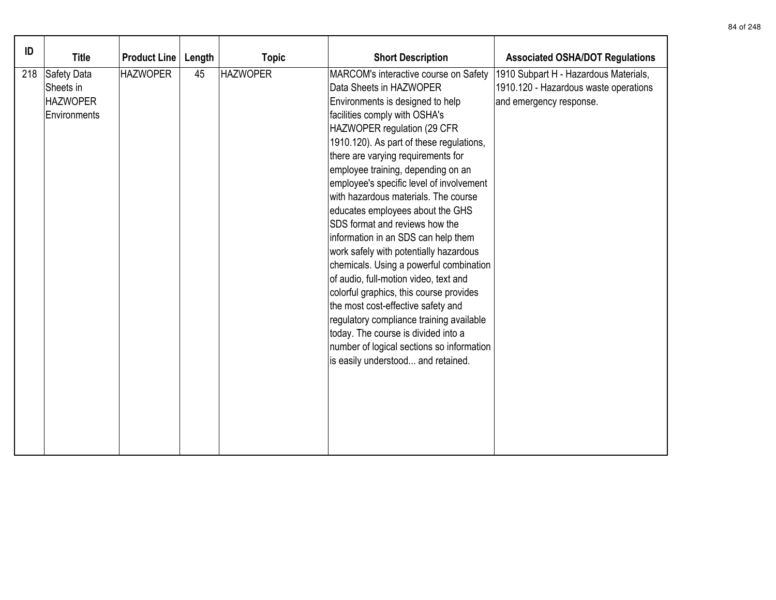| ID  |                 |                     |        |                 |                                           |                                        |
|-----|-----------------|---------------------|--------|-----------------|-------------------------------------------|----------------------------------------|
|     | <b>Title</b>    | <b>Product Line</b> | Length | <b>Topic</b>    | <b>Short Description</b>                  | <b>Associated OSHA/DOT Regulations</b> |
| 218 | Safety Data     | <b>HAZWOPER</b>     | 45     | <b>HAZWOPER</b> | MARCOM's interactive course on Safety     | 1910 Subpart H - Hazardous Materials,  |
|     | Sheets in       |                     |        |                 | Data Sheets in HAZWOPER                   | 1910.120 - Hazardous waste operations  |
|     | <b>HAZWOPER</b> |                     |        |                 | Environments is designed to help          | and emergency response.                |
|     | Environments    |                     |        |                 | facilities comply with OSHA's             |                                        |
|     |                 |                     |        |                 | HAZWOPER regulation (29 CFR               |                                        |
|     |                 |                     |        |                 | 1910.120). As part of these regulations,  |                                        |
|     |                 |                     |        |                 | there are varying requirements for        |                                        |
|     |                 |                     |        |                 | employee training, depending on an        |                                        |
|     |                 |                     |        |                 | employee's specific level of involvement  |                                        |
|     |                 |                     |        |                 | with hazardous materials. The course      |                                        |
|     |                 |                     |        |                 | educates employees about the GHS          |                                        |
|     |                 |                     |        |                 | SDS format and reviews how the            |                                        |
|     |                 |                     |        |                 | information in an SDS can help them       |                                        |
|     |                 |                     |        |                 | work safely with potentially hazardous    |                                        |
|     |                 |                     |        |                 | chemicals. Using a powerful combination   |                                        |
|     |                 |                     |        |                 | of audio, full-motion video, text and     |                                        |
|     |                 |                     |        |                 | colorful graphics, this course provides   |                                        |
|     |                 |                     |        |                 | the most cost-effective safety and        |                                        |
|     |                 |                     |        |                 | regulatory compliance training available  |                                        |
|     |                 |                     |        |                 | today. The course is divided into a       |                                        |
|     |                 |                     |        |                 | number of logical sections so information |                                        |
|     |                 |                     |        |                 | is easily understood and retained.        |                                        |
|     |                 |                     |        |                 |                                           |                                        |
|     |                 |                     |        |                 |                                           |                                        |
|     |                 |                     |        |                 |                                           |                                        |
|     |                 |                     |        |                 |                                           |                                        |
|     |                 |                     |        |                 |                                           |                                        |
|     |                 |                     |        |                 |                                           |                                        |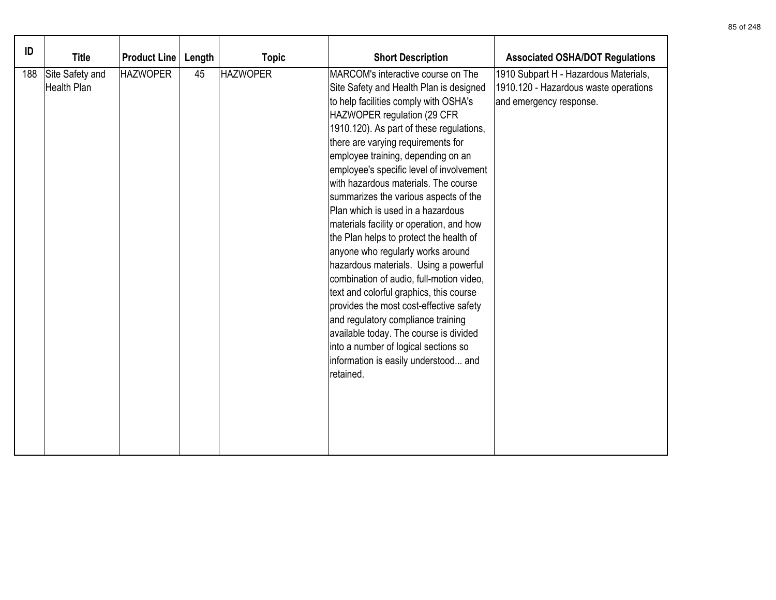| ID  | <b>Title</b>                          | <b>Product Line</b> | Length | <b>Topic</b>    | <b>Short Description</b>                                                                                                                                                                                                                                                                                                                                                                                                                                                                                                                                                                                                                                                                                                                                                                                                                                                                                                            | <b>Associated OSHA/DOT Regulations</b>                                                                    |
|-----|---------------------------------------|---------------------|--------|-----------------|-------------------------------------------------------------------------------------------------------------------------------------------------------------------------------------------------------------------------------------------------------------------------------------------------------------------------------------------------------------------------------------------------------------------------------------------------------------------------------------------------------------------------------------------------------------------------------------------------------------------------------------------------------------------------------------------------------------------------------------------------------------------------------------------------------------------------------------------------------------------------------------------------------------------------------------|-----------------------------------------------------------------------------------------------------------|
| 188 | Site Safety and<br><b>Health Plan</b> | <b>HAZWOPER</b>     | 45     | <b>HAZWOPER</b> | MARCOM's interactive course on The<br>Site Safety and Health Plan is designed<br>to help facilities comply with OSHA's<br>HAZWOPER regulation (29 CFR<br>1910.120). As part of these regulations,<br>there are varying requirements for<br>employee training, depending on an<br>employee's specific level of involvement<br>with hazardous materials. The course<br>summarizes the various aspects of the<br>Plan which is used in a hazardous<br>materials facility or operation, and how<br>the Plan helps to protect the health of<br>anyone who regularly works around<br>hazardous materials. Using a powerful<br>combination of audio, full-motion video,<br>text and colorful graphics, this course<br>provides the most cost-effective safety<br>and regulatory compliance training<br>available today. The course is divided<br>into a number of logical sections so<br>information is easily understood and<br>retained. | 1910 Subpart H - Hazardous Materials,<br>1910.120 - Hazardous waste operations<br>and emergency response. |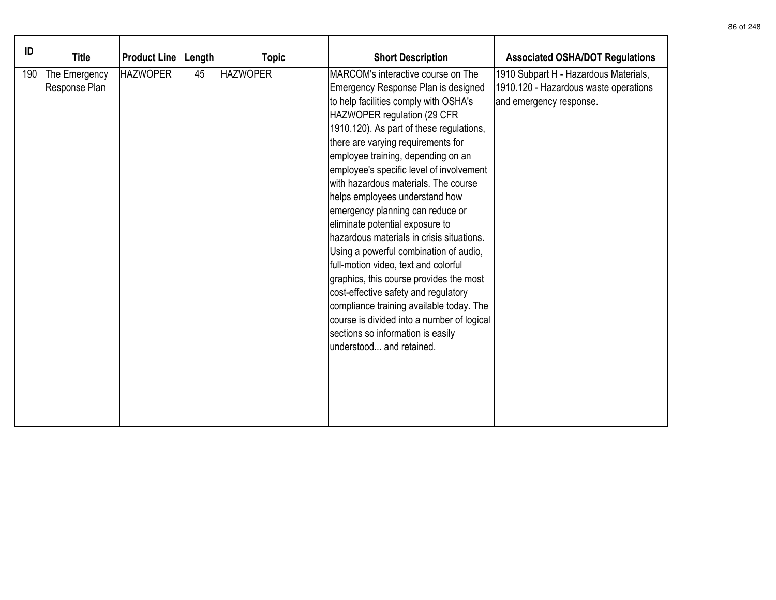| ID<br><b>Title</b><br><b>Product Line</b><br>Length<br><b>Topic</b> | <b>Short Description</b><br><b>Associated OSHA/DOT Regulations</b> |
|---------------------------------------------------------------------|--------------------------------------------------------------------|
| 45                                                                  | MARCOM's interactive course on The                                 |
| <b>HAZWOPER</b>                                                     | 1910 Subpart H - Hazardous Materials,                              |
| 190                                                                 | 1910.120 - Hazardous waste operations                              |
| <b>HAZWOPER</b>                                                     | Emergency Response Plan is designed                                |
| The Emergency                                                       | to help facilities comply with OSHA's                              |
| Response Plan                                                       | and emergency response.                                            |
| HAZWOPER regulation (29 CFR                                         | 1910.120). As part of these regulations,                           |
| there are varying requirements for                                  | employee training, depending on an                                 |
| helps employees understand how                                      | employee's specific level of involvement                           |
| emergency planning can reduce or                                    | with hazardous materials. The course                               |
| eliminate potential exposure to                                     | hazardous materials in crisis situations.                          |
| full-motion video, text and colorful                                | Using a powerful combination of audio,                             |
| cost-effective safety and regulatory                                | graphics, this course provides the most                            |
| sections so information is easily                                   | compliance training available today. The                           |
| lunderstood and retained.                                           | course is divided into a number of logical                         |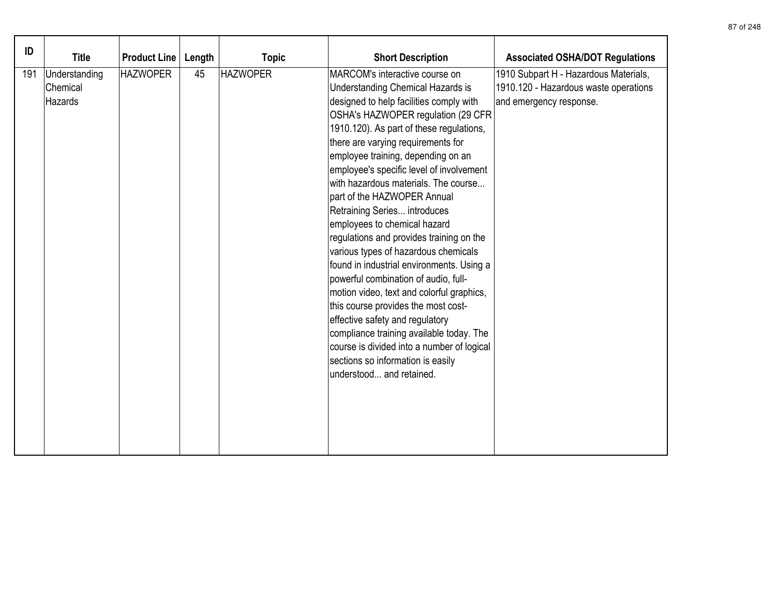| ID  | <b>Title</b>                         | <b>Product Line</b> | Length | <b>Topic</b>    | <b>Short Description</b>                                                                                                                                                                                                                                                                                                                                                                                                                                                                                                                                                                                                                                                                                                                                                                                                                                                                                                          | <b>Associated OSHA/DOT Regulations</b>                                                                    |
|-----|--------------------------------------|---------------------|--------|-----------------|-----------------------------------------------------------------------------------------------------------------------------------------------------------------------------------------------------------------------------------------------------------------------------------------------------------------------------------------------------------------------------------------------------------------------------------------------------------------------------------------------------------------------------------------------------------------------------------------------------------------------------------------------------------------------------------------------------------------------------------------------------------------------------------------------------------------------------------------------------------------------------------------------------------------------------------|-----------------------------------------------------------------------------------------------------------|
| 191 | Understanding<br>Chemical<br>Hazards | <b>HAZWOPER</b>     | 45     | <b>HAZWOPER</b> | MARCOM's interactive course on<br><b>Understanding Chemical Hazards is</b><br>designed to help facilities comply with<br>OSHA's HAZWOPER regulation (29 CFR<br>1910.120). As part of these regulations,<br>there are varying requirements for<br>employee training, depending on an<br>employee's specific level of involvement<br>with hazardous materials. The course<br>part of the HAZWOPER Annual<br>Retraining Series introduces<br>employees to chemical hazard<br>regulations and provides training on the<br>various types of hazardous chemicals<br>found in industrial environments. Using a<br>powerful combination of audio, full-<br>motion video, text and colorful graphics,<br>this course provides the most cost-<br>effective safety and regulatory<br>compliance training available today. The<br>course is divided into a number of logical<br>sections so information is easily<br>understood and retained. | 1910 Subpart H - Hazardous Materials,<br>1910.120 - Hazardous waste operations<br>and emergency response. |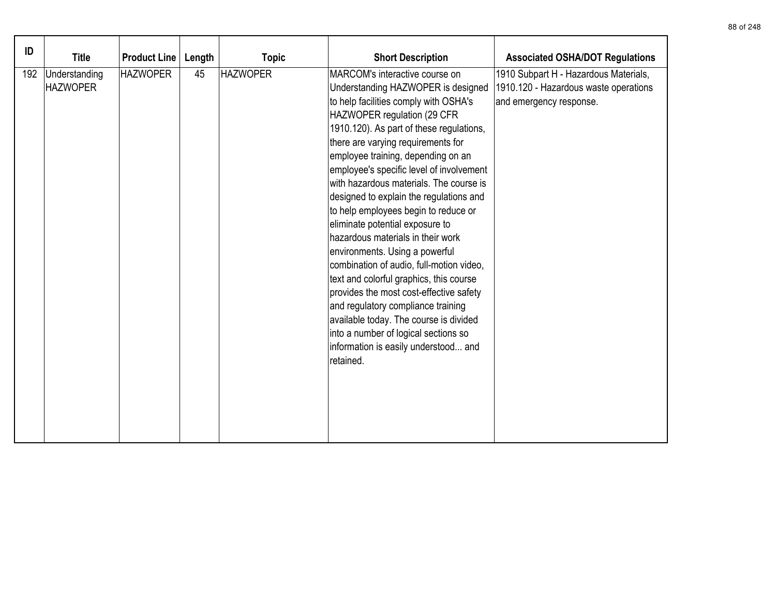| ID  | <b>Title</b>                     | <b>Product Line</b> | Length | <b>Topic</b>    | <b>Short Description</b>                                                                                                                                                                                                                                                                                                                                                                                                                                                                                                                                                                                                                                                                                                                                                                                                                                                | <b>Associated OSHA/DOT Regulations</b>                                                                    |
|-----|----------------------------------|---------------------|--------|-----------------|-------------------------------------------------------------------------------------------------------------------------------------------------------------------------------------------------------------------------------------------------------------------------------------------------------------------------------------------------------------------------------------------------------------------------------------------------------------------------------------------------------------------------------------------------------------------------------------------------------------------------------------------------------------------------------------------------------------------------------------------------------------------------------------------------------------------------------------------------------------------------|-----------------------------------------------------------------------------------------------------------|
| 192 | Understanding<br><b>HAZWOPER</b> | <b>HAZWOPER</b>     | 45     | <b>HAZWOPER</b> | MARCOM's interactive course on<br>Understanding HAZWOPER is designed<br>to help facilities comply with OSHA's<br>HAZWOPER regulation (29 CFR<br>1910.120). As part of these regulations,<br>there are varying requirements for<br>employee training, depending on an<br>employee's specific level of involvement<br>with hazardous materials. The course is<br>designed to explain the regulations and<br>to help employees begin to reduce or<br>eliminate potential exposure to<br>hazardous materials in their work<br>environments. Using a powerful<br>combination of audio, full-motion video,<br>text and colorful graphics, this course<br>provides the most cost-effective safety<br>and regulatory compliance training<br>available today. The course is divided<br>into a number of logical sections so<br>information is easily understood and<br>retained. | 1910 Subpart H - Hazardous Materials,<br>1910.120 - Hazardous waste operations<br>and emergency response. |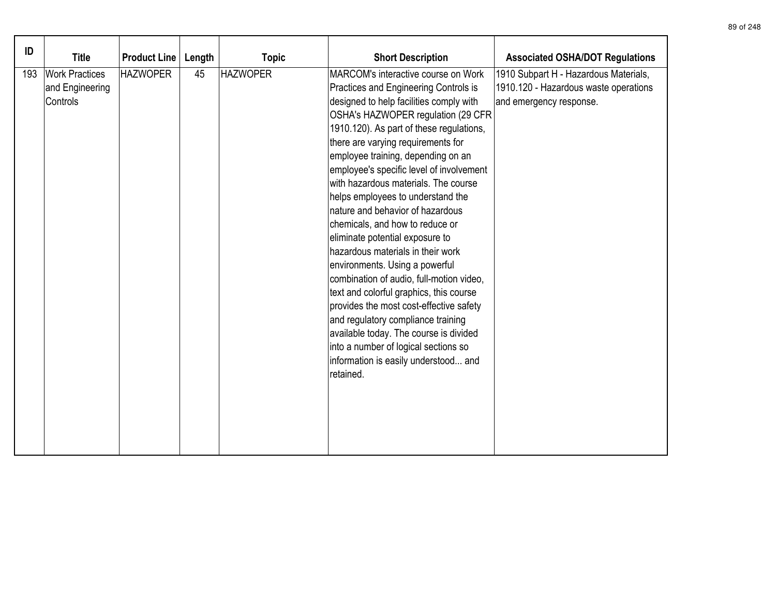| ID  |                                                      |                     |        |                 |                                                                                                                                                                                                                                                                                                                                                                                                                                                                                                                                                                                                                                                                                                                                                                                                                                                                                                                |                                                                                                           |
|-----|------------------------------------------------------|---------------------|--------|-----------------|----------------------------------------------------------------------------------------------------------------------------------------------------------------------------------------------------------------------------------------------------------------------------------------------------------------------------------------------------------------------------------------------------------------------------------------------------------------------------------------------------------------------------------------------------------------------------------------------------------------------------------------------------------------------------------------------------------------------------------------------------------------------------------------------------------------------------------------------------------------------------------------------------------------|-----------------------------------------------------------------------------------------------------------|
|     | <b>Title</b>                                         | <b>Product Line</b> | Length | <b>Topic</b>    | <b>Short Description</b>                                                                                                                                                                                                                                                                                                                                                                                                                                                                                                                                                                                                                                                                                                                                                                                                                                                                                       | <b>Associated OSHA/DOT Regulations</b>                                                                    |
| 193 | <b>Work Practices</b><br>and Engineering<br>Controls | <b>HAZWOPER</b>     | 45     | <b>HAZWOPER</b> | MARCOM's interactive course on Work<br>Practices and Engineering Controls is<br>designed to help facilities comply with<br>OSHA's HAZWOPER regulation (29 CFR<br>1910.120). As part of these regulations,<br>there are varying requirements for<br>employee training, depending on an<br>employee's specific level of involvement<br>with hazardous materials. The course<br>helps employees to understand the<br>nature and behavior of hazardous<br>chemicals, and how to reduce or<br>eliminate potential exposure to<br>hazardous materials in their work<br>environments. Using a powerful<br>combination of audio, full-motion video,<br>text and colorful graphics, this course<br>provides the most cost-effective safety<br>and regulatory compliance training<br>available today. The course is divided<br>into a number of logical sections so<br>information is easily understood and<br>retained. | 1910 Subpart H - Hazardous Materials,<br>1910.120 - Hazardous waste operations<br>and emergency response. |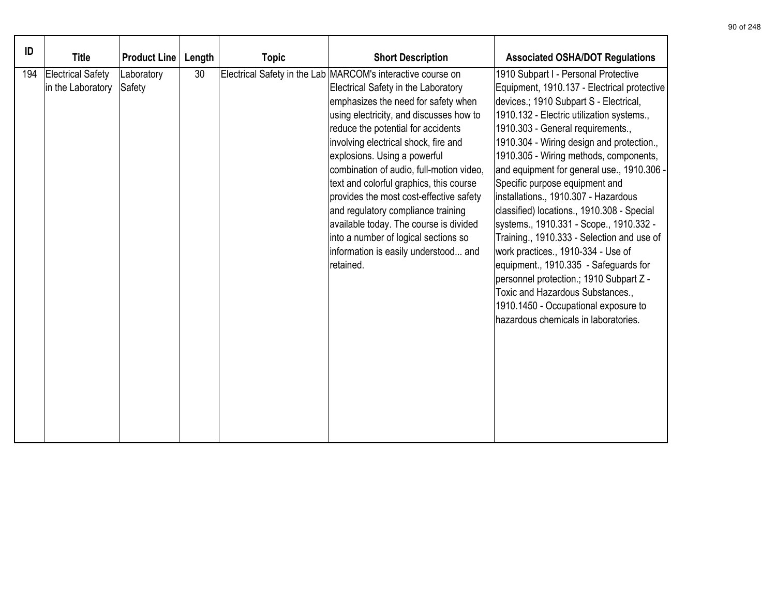| ID  | <b>Title</b>                                  | <b>Product Line</b>  | Length | <b>Topic</b> | <b>Short Description</b>                                                                                                                                                                                                                                                                                                                                                                                                                                                                                                                                                                                          | <b>Associated OSHA/DOT Regulations</b>                                                                                                                                                                                                                                                                                                                                                                                                                                                                                                                                                                                                                                                                                                                                                                              |
|-----|-----------------------------------------------|----------------------|--------|--------------|-------------------------------------------------------------------------------------------------------------------------------------------------------------------------------------------------------------------------------------------------------------------------------------------------------------------------------------------------------------------------------------------------------------------------------------------------------------------------------------------------------------------------------------------------------------------------------------------------------------------|---------------------------------------------------------------------------------------------------------------------------------------------------------------------------------------------------------------------------------------------------------------------------------------------------------------------------------------------------------------------------------------------------------------------------------------------------------------------------------------------------------------------------------------------------------------------------------------------------------------------------------------------------------------------------------------------------------------------------------------------------------------------------------------------------------------------|
| 194 | <b>Electrical Safety</b><br>in the Laboratory | Laboratory<br>Safety | 30     |              | Electrical Safety in the Lab MARCOM's interactive course on<br>Electrical Safety in the Laboratory<br>emphasizes the need for safety when<br>using electricity, and discusses how to<br>reduce the potential for accidents<br>involving electrical shock, fire and<br>explosions. Using a powerful<br>combination of audio, full-motion video,<br>text and colorful graphics, this course<br>provides the most cost-effective safety<br>and regulatory compliance training<br>available today. The course is divided<br>into a number of logical sections so<br>information is easily understood and<br>retained. | 1910 Subpart I - Personal Protective<br>Equipment, 1910.137 - Electrical protective<br>devices.; 1910 Subpart S - Electrical,<br>1910.132 - Electric utilization systems.,<br>1910.303 - General requirements.,<br>1910.304 - Wiring design and protection.,<br>1910.305 - Wiring methods, components,<br>and equipment for general use., 1910.306 -<br>Specific purpose equipment and<br>installations., 1910.307 - Hazardous<br>classified) locations., 1910.308 - Special<br>systems., 1910.331 - Scope., 1910.332 -<br>Training., 1910.333 - Selection and use of<br>work practices., 1910-334 - Use of<br>equipment., 1910.335 - Safeguards for<br>personnel protection.; 1910 Subpart Z -<br>Toxic and Hazardous Substances.,<br>1910.1450 - Occupational exposure to<br>hazardous chemicals in laboratories. |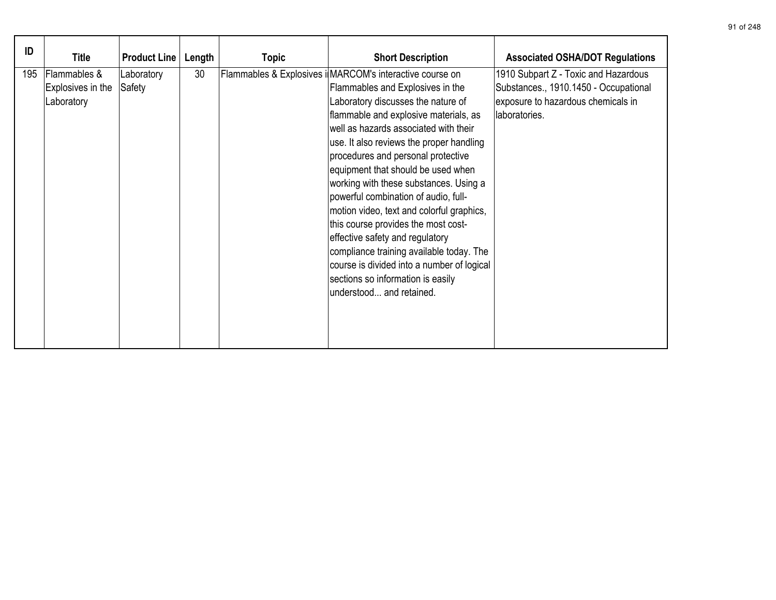| ID  | <b>Title</b>                                    | <b>Product Line</b>  | Length | <b>Topic</b> | <b>Short Description</b>                                                                                                                                                                                                                                                                                                                                                                                                                                                                                                                                                                                                                                                                                         | <b>Associated OSHA/DOT Regulations</b>                                                                                               |
|-----|-------------------------------------------------|----------------------|--------|--------------|------------------------------------------------------------------------------------------------------------------------------------------------------------------------------------------------------------------------------------------------------------------------------------------------------------------------------------------------------------------------------------------------------------------------------------------------------------------------------------------------------------------------------------------------------------------------------------------------------------------------------------------------------------------------------------------------------------------|--------------------------------------------------------------------------------------------------------------------------------------|
| 195 | Flammables &<br>Explosives in the<br>Laboratory | Laboratory<br>Safety | 30     |              | Flammables & Explosives i MARCOM's interactive course on<br>Flammables and Explosives in the<br>Laboratory discusses the nature of<br>flammable and explosive materials, as<br>well as hazards associated with their<br>use. It also reviews the proper handling<br>procedures and personal protective<br>equipment that should be used when<br>working with these substances. Using a<br>powerful combination of audio, full-<br>motion video, text and colorful graphics,<br>this course provides the most cost-<br>effective safety and regulatory<br>compliance training available today. The<br>course is divided into a number of logical<br>sections so information is easily<br>understood and retained. | 1910 Subpart Z - Toxic and Hazardous<br>Substances., 1910.1450 - Occupational<br>exposure to hazardous chemicals in<br>laboratories. |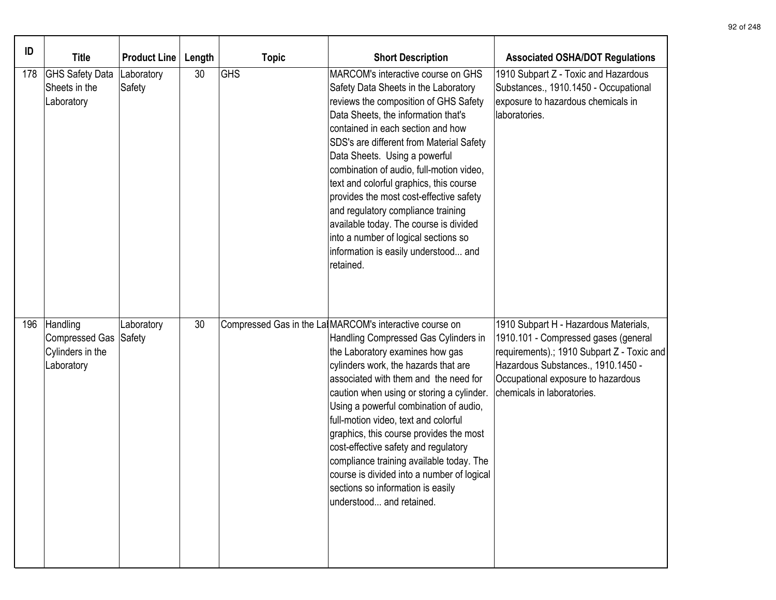| ID  | <b>Title</b>                                                        | <b>Product Line</b>  | Length | <b>Topic</b> | <b>Short Description</b>                                                                                                                                                                                                                                                                                                                                                                                                                                                                                                                                                                         | <b>Associated OSHA/DOT Regulations</b>                                                                                                                                                                                                |
|-----|---------------------------------------------------------------------|----------------------|--------|--------------|--------------------------------------------------------------------------------------------------------------------------------------------------------------------------------------------------------------------------------------------------------------------------------------------------------------------------------------------------------------------------------------------------------------------------------------------------------------------------------------------------------------------------------------------------------------------------------------------------|---------------------------------------------------------------------------------------------------------------------------------------------------------------------------------------------------------------------------------------|
| 178 | <b>GHS Safety Data</b><br>Sheets in the<br>Laboratory               | Laboratory<br>Safety | 30     | <b>GHS</b>   | MARCOM's interactive course on GHS<br>Safety Data Sheets in the Laboratory<br>reviews the composition of GHS Safety<br>Data Sheets, the information that's<br>contained in each section and how<br>SDS's are different from Material Safety<br>Data Sheets. Using a powerful<br>combination of audio, full-motion video,<br>text and colorful graphics, this course<br>provides the most cost-effective safety<br>and regulatory compliance training<br>available today. The course is divided<br>into a number of logical sections so<br>information is easily understood and<br>retained.      | 1910 Subpart Z - Toxic and Hazardous<br>Substances., 1910.1450 - Occupational<br>exposure to hazardous chemicals in<br>laboratories.                                                                                                  |
| 196 | Handling<br>Compressed Gas Safety<br>Cylinders in the<br>Laboratory | Laboratory           | 30     |              | Compressed Gas in the La MARCOM's interactive course on<br>Handling Compressed Gas Cylinders in<br>the Laboratory examines how gas<br>cylinders work, the hazards that are<br>associated with them and the need for<br>caution when using or storing a cylinder.<br>Using a powerful combination of audio,<br>full-motion video, text and colorful<br>graphics, this course provides the most<br>cost-effective safety and regulatory<br>compliance training available today. The<br>course is divided into a number of logical<br>sections so information is easily<br>understood and retained. | 1910 Subpart H - Hazardous Materials,<br>1910.101 - Compressed gases (general<br>requirements).; 1910 Subpart Z - Toxic and<br>Hazardous Substances., 1910.1450 -<br>Occupational exposure to hazardous<br>chemicals in laboratories. |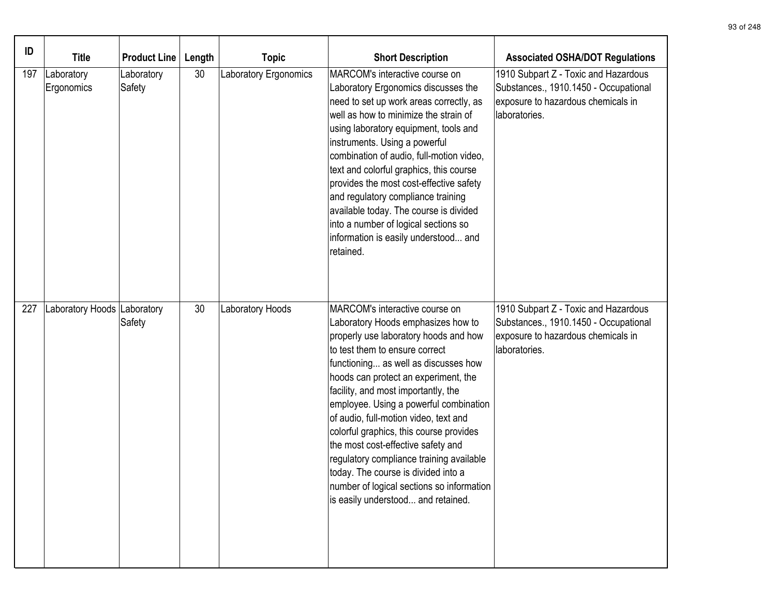| ID  | <b>Title</b>                | <b>Product Line</b>  | Length | <b>Topic</b>          | <b>Short Description</b>                                                                                                                                                                                                                                                                                                                                                                                                                                                                                                                                                                                         | <b>Associated OSHA/DOT Regulations</b>                                                                                               |
|-----|-----------------------------|----------------------|--------|-----------------------|------------------------------------------------------------------------------------------------------------------------------------------------------------------------------------------------------------------------------------------------------------------------------------------------------------------------------------------------------------------------------------------------------------------------------------------------------------------------------------------------------------------------------------------------------------------------------------------------------------------|--------------------------------------------------------------------------------------------------------------------------------------|
| 197 | Laboratory<br>Ergonomics    | Laboratory<br>Safety | 30     | Laboratory Ergonomics | MARCOM's interactive course on<br>Laboratory Ergonomics discusses the<br>need to set up work areas correctly, as<br>well as how to minimize the strain of<br>using laboratory equipment, tools and<br>instruments. Using a powerful<br>combination of audio, full-motion video,<br>text and colorful graphics, this course<br>provides the most cost-effective safety<br>and regulatory compliance training<br>available today. The course is divided<br>into a number of logical sections so<br>information is easily understood and<br>retained.                                                               | 1910 Subpart Z - Toxic and Hazardous<br>Substances., 1910.1450 - Occupational<br>exposure to hazardous chemicals in<br>laboratories. |
| 227 | Laboratory Hoods Laboratory | Safety               | 30     | Laboratory Hoods      | MARCOM's interactive course on<br>Laboratory Hoods emphasizes how to<br>properly use laboratory hoods and how<br>to test them to ensure correct<br>functioning as well as discusses how<br>hoods can protect an experiment, the<br>facility, and most importantly, the<br>employee. Using a powerful combination<br>of audio, full-motion video, text and<br>colorful graphics, this course provides<br>the most cost-effective safety and<br>regulatory compliance training available<br>today. The course is divided into a<br>number of logical sections so information<br>is easily understood and retained. | 1910 Subpart Z - Toxic and Hazardous<br>Substances., 1910.1450 - Occupational<br>exposure to hazardous chemicals in<br>laboratories. |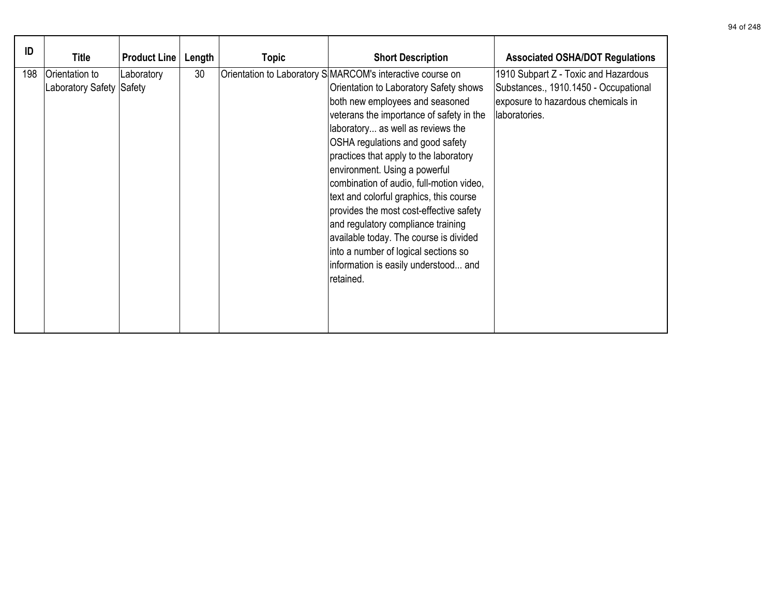| ID  | <b>Title</b>                               | <b>Product Line</b> | Length | Topic | <b>Short Description</b>                                                                                                                                                                                                                                                                                                                                                                                                                                                                                                                                                                                                                               | <b>Associated OSHA/DOT Regulations</b>                                                                                               |
|-----|--------------------------------------------|---------------------|--------|-------|--------------------------------------------------------------------------------------------------------------------------------------------------------------------------------------------------------------------------------------------------------------------------------------------------------------------------------------------------------------------------------------------------------------------------------------------------------------------------------------------------------------------------------------------------------------------------------------------------------------------------------------------------------|--------------------------------------------------------------------------------------------------------------------------------------|
| 198 | Orientation to<br>Laboratory Safety Safety | Laboratory          | 30     |       | Orientation to Laboratory S MARCOM's interactive course on<br>Orientation to Laboratory Safety shows<br>both new employees and seasoned<br>veterans the importance of safety in the<br>laboratory as well as reviews the<br>OSHA regulations and good safety<br>practices that apply to the laboratory<br>environment. Using a powerful<br>combination of audio, full-motion video,<br>text and colorful graphics, this course<br>provides the most cost-effective safety<br>and regulatory compliance training<br>available today. The course is divided<br>into a number of logical sections so<br>information is easily understood and<br>retained. | 1910 Subpart Z - Toxic and Hazardous<br>Substances., 1910.1450 - Occupational<br>exposure to hazardous chemicals in<br>laboratories. |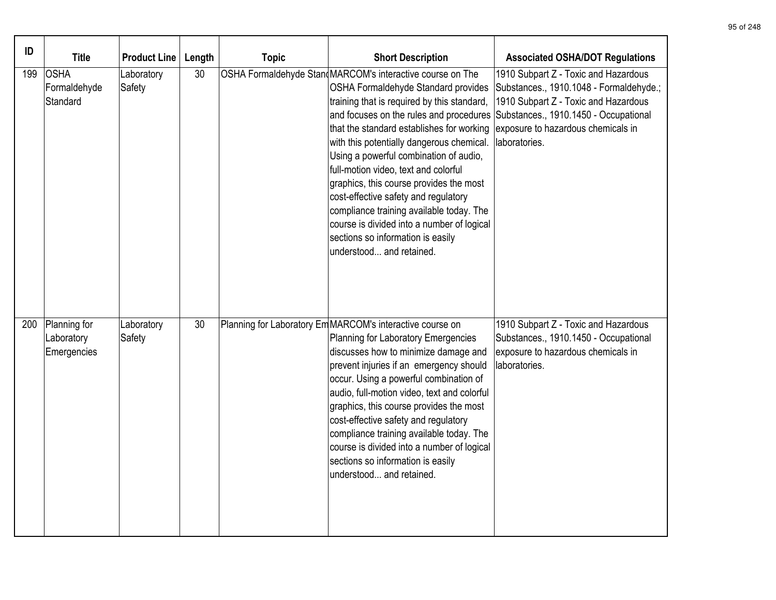| ID  | <b>Title</b>                              | <b>Product Line</b>  | Length | <b>Topic</b> | <b>Short Description</b>                                                                                                                                                                                                                                                                                                                                                                                                                                                                                                                                                                                             | <b>Associated OSHA/DOT Regulations</b>                                                                                                                                                                                  |
|-----|-------------------------------------------|----------------------|--------|--------------|----------------------------------------------------------------------------------------------------------------------------------------------------------------------------------------------------------------------------------------------------------------------------------------------------------------------------------------------------------------------------------------------------------------------------------------------------------------------------------------------------------------------------------------------------------------------------------------------------------------------|-------------------------------------------------------------------------------------------------------------------------------------------------------------------------------------------------------------------------|
| 199 | OSHA<br>Formaldehyde<br>Standard          | Laboratory<br>Safety | 30     |              | OSHA Formaldehyde Stan MARCOM's interactive course on The<br>OSHA Formaldehyde Standard provides<br>training that is required by this standard,<br>and focuses on the rules and procedures<br>that the standard establishes for working<br>with this potentially dangerous chemical.<br>Using a powerful combination of audio,<br>full-motion video, text and colorful<br>graphics, this course provides the most<br>cost-effective safety and regulatory<br>compliance training available today. The<br>course is divided into a number of logical<br>sections so information is easily<br>understood and retained. | 1910 Subpart Z - Toxic and Hazardous<br>Substances., 1910.1048 - Formaldehyde.;<br>1910 Subpart Z - Toxic and Hazardous<br>Substances., 1910.1450 - Occupational<br>exposure to hazardous chemicals in<br>laboratories. |
| 200 | Planning for<br>Laboratory<br>Emergencies | Laboratory<br>Safety | 30     |              | Planning for Laboratory Em MARCOM's interactive course on<br>Planning for Laboratory Emergencies<br>discusses how to minimize damage and<br>prevent injuries if an emergency should<br>occur. Using a powerful combination of<br>audio, full-motion video, text and colorful<br>graphics, this course provides the most<br>cost-effective safety and regulatory<br>compliance training available today. The<br>course is divided into a number of logical<br>sections so information is easily<br>understood and retained.                                                                                           | 1910 Subpart Z - Toxic and Hazardous<br>Substances., 1910.1450 - Occupational<br>exposure to hazardous chemicals in<br>laboratories.                                                                                    |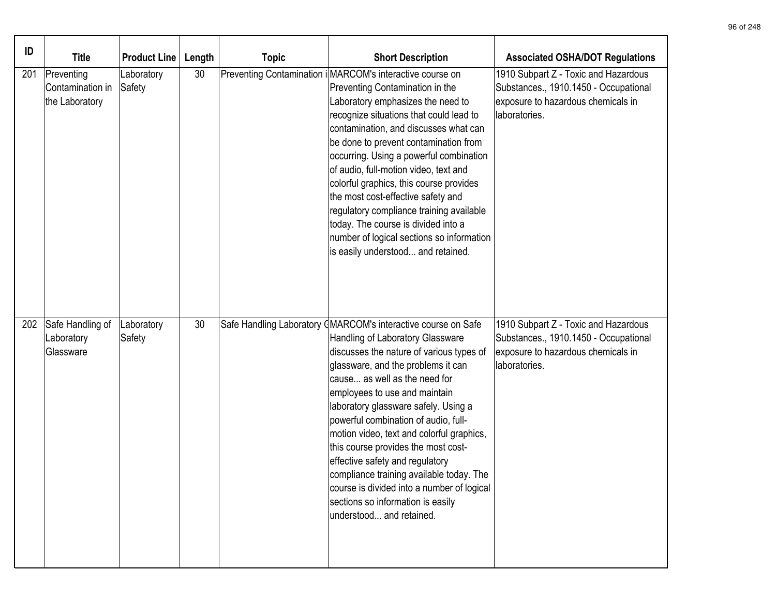| ID  | <b>Title</b>                                     | <b>Product Line</b>  | Length | <b>Topic</b> | <b>Short Description</b>                                                                                                                                                                                                                                                                                                                                                                                                                                                                                                                                                                                                | <b>Associated OSHA/DOT Regulations</b>                                                                                               |
|-----|--------------------------------------------------|----------------------|--------|--------------|-------------------------------------------------------------------------------------------------------------------------------------------------------------------------------------------------------------------------------------------------------------------------------------------------------------------------------------------------------------------------------------------------------------------------------------------------------------------------------------------------------------------------------------------------------------------------------------------------------------------------|--------------------------------------------------------------------------------------------------------------------------------------|
| 201 | Preventing<br>Contamination in<br>the Laboratory | Laboratory<br>Safety | 30     |              | Preventing Contamination i MARCOM's interactive course on<br>Preventing Contamination in the<br>Laboratory emphasizes the need to<br>recognize situations that could lead to<br>contamination, and discusses what can<br>be done to prevent contamination from<br>occurring. Using a powerful combination<br>of audio, full-motion video, text and<br>colorful graphics, this course provides<br>the most cost-effective safety and<br>regulatory compliance training available<br>today. The course is divided into a<br>number of logical sections so information<br>is easily understood and retained.               | 1910 Subpart Z - Toxic and Hazardous<br>Substances., 1910.1450 - Occupational<br>exposure to hazardous chemicals in<br>laboratories. |
| 202 | Safe Handling of<br>Laboratory<br>Glassware      | Laboratory<br>Safety | 30     |              | Safe Handling Laboratory (MARCOM's interactive course on Safe<br>Handling of Laboratory Glassware<br>discusses the nature of various types of<br>glassware, and the problems it can<br>cause as well as the need for<br>employees to use and maintain<br>laboratory glassware safely. Using a<br>powerful combination of audio, full-<br>motion video, text and colorful graphics,<br>this course provides the most cost-<br>effective safety and regulatory<br>compliance training available today. The<br>course is divided into a number of logical<br>sections so information is easily<br>understood and retained. | 1910 Subpart Z - Toxic and Hazardous<br>Substances., 1910.1450 - Occupational<br>exposure to hazardous chemicals in<br>laboratories. |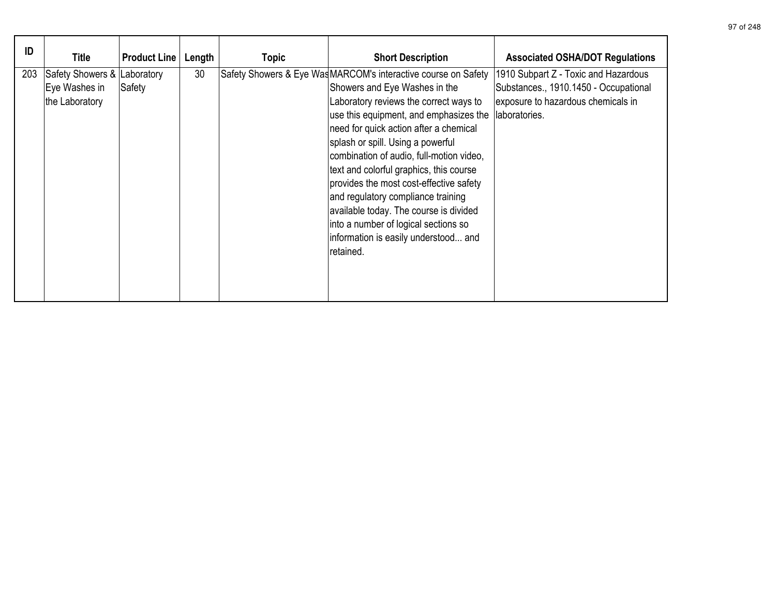| ID  | <b>Title</b>                                                   | <b>Product Line</b> | Length | <b>Topic</b> | <b>Short Description</b>                                                                                                                                                                                                                                                                                                                                                                                                                                                                                                                                                          | <b>Associated OSHA/DOT Regulations</b>                                                                                               |
|-----|----------------------------------------------------------------|---------------------|--------|--------------|-----------------------------------------------------------------------------------------------------------------------------------------------------------------------------------------------------------------------------------------------------------------------------------------------------------------------------------------------------------------------------------------------------------------------------------------------------------------------------------------------------------------------------------------------------------------------------------|--------------------------------------------------------------------------------------------------------------------------------------|
| 203 | Safety Showers & Laboratory<br>Eye Washes in<br>the Laboratory | Safety              | 30     |              | Safety Showers & Eye Was MARCOM's interactive course on Safety<br>Showers and Eye Washes in the<br>Laboratory reviews the correct ways to<br>use this equipment, and emphasizes the<br>need for quick action after a chemical<br>splash or spill. Using a powerful<br>combination of audio, full-motion video,<br>text and colorful graphics, this course<br>provides the most cost-effective safety<br>and regulatory compliance training<br>available today. The course is divided<br>into a number of logical sections so<br>information is easily understood and<br>retained. | 1910 Subpart Z - Toxic and Hazardous<br>Substances., 1910.1450 - Occupational<br>exposure to hazardous chemicals in<br>laboratories. |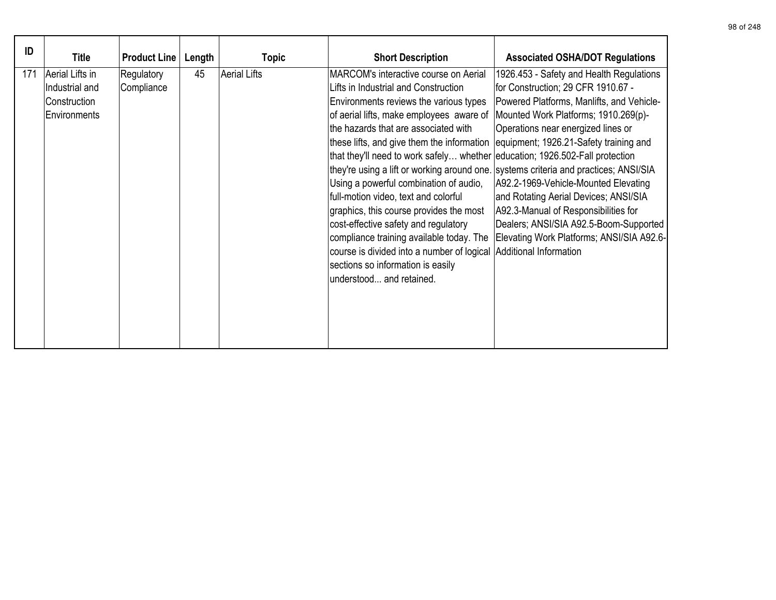| ID  | <b>Title</b>                                                      | <b>Product Line</b>      | Length | <b>Topic</b>        | <b>Short Description</b>                                                                                                                                                                                                                                                                                                                                                                                                                                                                                                                                                                                                                                                                                                                                          | <b>Associated OSHA/DOT Regulations</b>                                                                                                                                                                                                                                                                                                                                                                                                                                                        |
|-----|-------------------------------------------------------------------|--------------------------|--------|---------------------|-------------------------------------------------------------------------------------------------------------------------------------------------------------------------------------------------------------------------------------------------------------------------------------------------------------------------------------------------------------------------------------------------------------------------------------------------------------------------------------------------------------------------------------------------------------------------------------------------------------------------------------------------------------------------------------------------------------------------------------------------------------------|-----------------------------------------------------------------------------------------------------------------------------------------------------------------------------------------------------------------------------------------------------------------------------------------------------------------------------------------------------------------------------------------------------------------------------------------------------------------------------------------------|
| 171 | Aerial Lifts in<br>Industrial and<br>Construction<br>Environments | Regulatory<br>Compliance | 45     | <b>Aerial Lifts</b> | MARCOM's interactive course on Aerial<br>Lifts in Industrial and Construction<br>Environments reviews the various types<br>of aerial lifts, make employees aware of<br>the hazards that are associated with<br>these lifts, and give them the information<br>that they'll need to work safely whether education; 1926.502-Fall protection<br>they're using a lift or working around one. systems criteria and practices; ANSI/SIA<br>Using a powerful combination of audio,<br>full-motion video, text and colorful<br>graphics, this course provides the most<br>cost-effective safety and regulatory<br>compliance training available today. The<br>course is divided into a number of logical<br>sections so information is easily<br>understood and retained. | 1926.453 - Safety and Health Regulations<br>for Construction; 29 CFR 1910.67 -<br>Powered Platforms, Manlifts, and Vehicle-<br>Mounted Work Platforms; 1910.269(p)-<br>Operations near energized lines or<br>equipment; 1926.21-Safety training and<br>A92.2-1969-Vehicle-Mounted Elevating<br>and Rotating Aerial Devices; ANSI/SIA<br>A92.3-Manual of Responsibilities for<br>Dealers; ANSI/SIA A92.5-Boom-Supported<br>Elevating Work Platforms; ANSI/SIA A92.6-<br>Additional Information |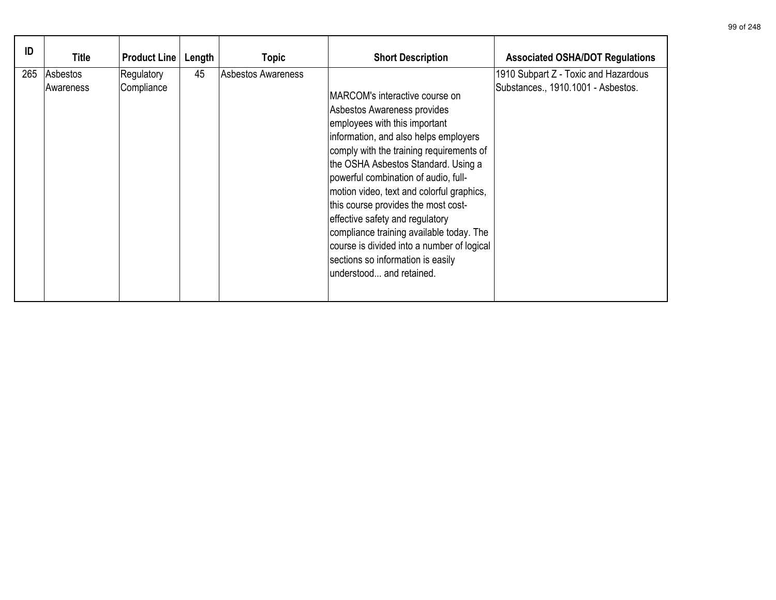| ID  | Title                         | <b>Product Line</b>      | Length | Topic              | <b>Short Description</b>                                                                                                                                                                                                                                                                                                                                                                                                                                                                                                                              | <b>Associated OSHA/DOT Regulations</b>                                     |
|-----|-------------------------------|--------------------------|--------|--------------------|-------------------------------------------------------------------------------------------------------------------------------------------------------------------------------------------------------------------------------------------------------------------------------------------------------------------------------------------------------------------------------------------------------------------------------------------------------------------------------------------------------------------------------------------------------|----------------------------------------------------------------------------|
| 265 | Asbestos <br><b>Awareness</b> | Regulatory<br>Compliance | 45     | Asbestos Awareness | IMARCOM's interactive course on<br>Asbestos Awareness provides<br>employees with this important<br>information, and also helps employers<br>comply with the training requirements of<br>the OSHA Asbestos Standard. Using a<br>powerful combination of audio, full-<br>motion video, text and colorful graphics,<br>this course provides the most cost-<br>effective safety and regulatory<br>compliance training available today. The<br>course is divided into a number of logical<br>sections so information is easily<br>understood and retained. | 1910 Subpart Z - Toxic and Hazardous<br>Substances., 1910.1001 - Asbestos. |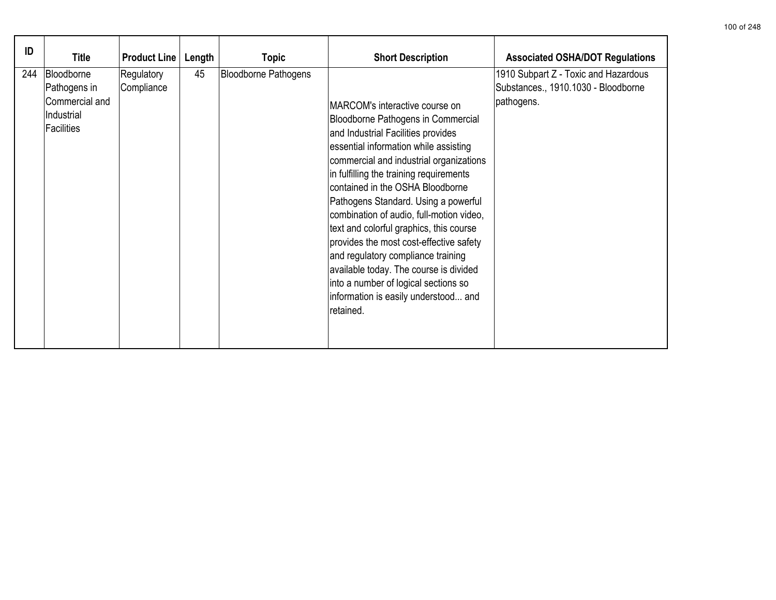| ID  | <b>Title</b>                                                                    | <b>Product Line</b>      | Length | Topic                       | <b>Short Description</b>                                                                                                                                                                                                                                                                                                                                                                                                                                                                                                                                                                                                              | <b>Associated OSHA/DOT Regulations</b>                                                    |
|-----|---------------------------------------------------------------------------------|--------------------------|--------|-----------------------------|---------------------------------------------------------------------------------------------------------------------------------------------------------------------------------------------------------------------------------------------------------------------------------------------------------------------------------------------------------------------------------------------------------------------------------------------------------------------------------------------------------------------------------------------------------------------------------------------------------------------------------------|-------------------------------------------------------------------------------------------|
| 244 | Bloodborne<br>Pathogens in<br>Commercial and<br>Industrial<br><b>Facilities</b> | Regulatory<br>Compliance | 45     | <b>Bloodborne Pathogens</b> | IMARCOM's interactive course on<br>Bloodborne Pathogens in Commercial<br>and Industrial Facilities provides<br>essential information while assisting<br>commercial and industrial organizations<br>in fulfilling the training requirements<br>contained in the OSHA Bloodborne<br>Pathogens Standard. Using a powerful<br>combination of audio, full-motion video,<br>text and colorful graphics, this course<br>provides the most cost-effective safety<br>and regulatory compliance training<br>available today. The course is divided<br>into a number of logical sections so<br>information is easily understood and<br>retained. | 1910 Subpart Z - Toxic and Hazardous<br>Substances., 1910.1030 - Bloodborne<br>pathogens. |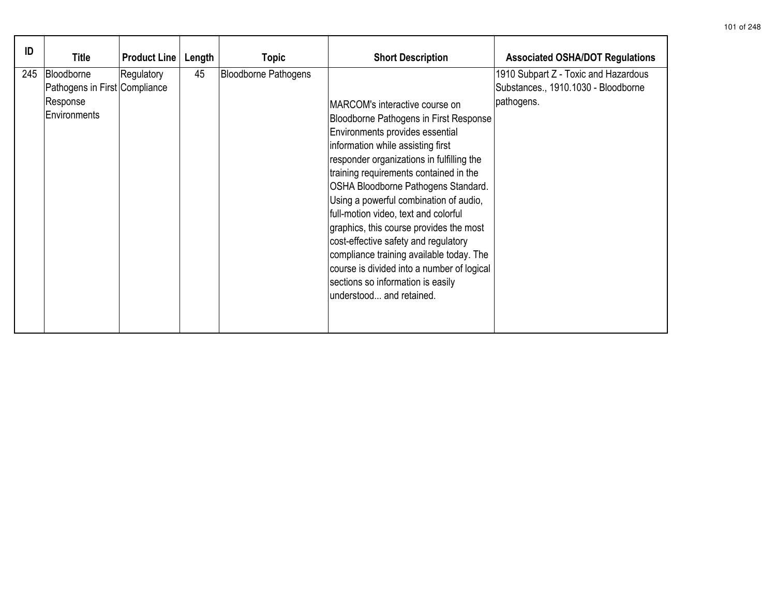| ID  | Title                                                                   | <b>Product Line</b> | Length | <b>Topic</b>                | <b>Short Description</b>                                                                                                                                                                                                                                                                                                                                                                                                                                                                                                                                                                                              | <b>Associated OSHA/DOT Regulations</b>                                                    |
|-----|-------------------------------------------------------------------------|---------------------|--------|-----------------------------|-----------------------------------------------------------------------------------------------------------------------------------------------------------------------------------------------------------------------------------------------------------------------------------------------------------------------------------------------------------------------------------------------------------------------------------------------------------------------------------------------------------------------------------------------------------------------------------------------------------------------|-------------------------------------------------------------------------------------------|
| 245 | Bloodborne<br>Pathogens in First Compliance<br>Response<br>Environments | Regulatory          | 45     | <b>Bloodborne Pathogens</b> | MARCOM's interactive course on<br><b>Bloodborne Pathogens in First Response</b><br>Environments provides essential<br>information while assisting first<br>responder organizations in fulfilling the<br>training requirements contained in the<br>OSHA Bloodborne Pathogens Standard.<br>Using a powerful combination of audio,<br>full-motion video, text and colorful<br>graphics, this course provides the most<br>cost-effective safety and regulatory<br>compliance training available today. The<br>course is divided into a number of logical<br>sections so information is easily<br>understood and retained. | 1910 Subpart Z - Toxic and Hazardous<br>Substances., 1910.1030 - Bloodborne<br>pathogens. |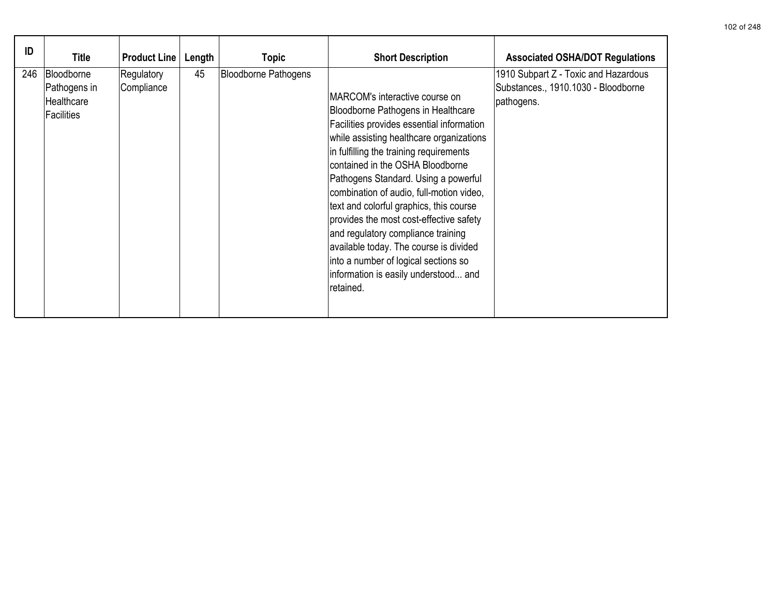| ID  | <b>Title</b>                                                  | <b>Product Line</b>      | Length | Topic                       | <b>Short Description</b>                                                                                                                                                                                                                                                                                                                                                                                                                                                                                                                                                                            | <b>Associated OSHA/DOT Regulations</b>                                                    |
|-----|---------------------------------------------------------------|--------------------------|--------|-----------------------------|-----------------------------------------------------------------------------------------------------------------------------------------------------------------------------------------------------------------------------------------------------------------------------------------------------------------------------------------------------------------------------------------------------------------------------------------------------------------------------------------------------------------------------------------------------------------------------------------------------|-------------------------------------------------------------------------------------------|
| 246 | Bloodborne<br>Pathogens in<br>Healthcare<br><b>Facilities</b> | Regulatory<br>Compliance | 45     | <b>Bloodborne Pathogens</b> | MARCOM's interactive course on<br>Bloodborne Pathogens in Healthcare<br>Facilities provides essential information<br>while assisting healthcare organizations<br>in fulfilling the training requirements<br>contained in the OSHA Bloodborne<br>Pathogens Standard. Using a powerful<br>combination of audio, full-motion video,<br>text and colorful graphics, this course<br>provides the most cost-effective safety<br>and regulatory compliance training<br>available today. The course is divided<br>into a number of logical sections so<br>information is easily understood and<br>retained. | 1910 Subpart Z - Toxic and Hazardous<br>Substances., 1910.1030 - Bloodborne<br>pathogens. |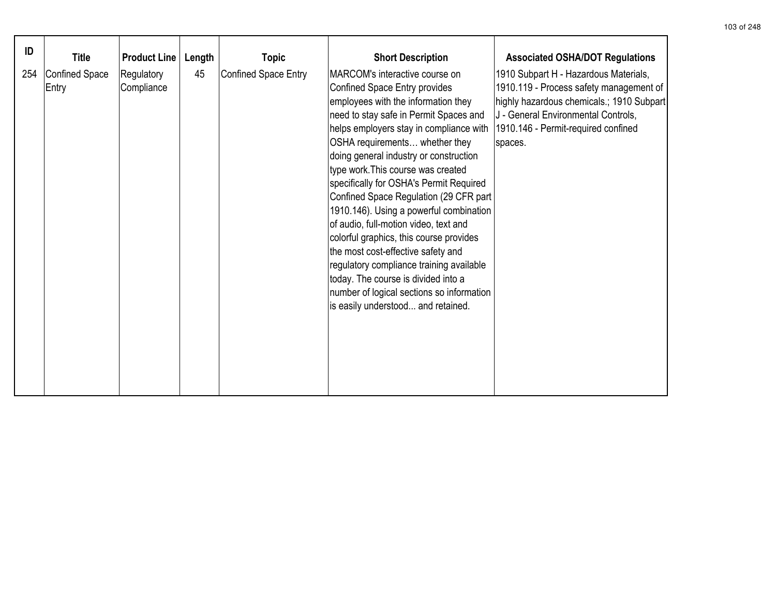| ID  | <b>Title</b>                   | <b>Product Line</b>      | Length | <b>Topic</b>                | <b>Short Description</b>                                                                                                                                                                                                                                                                                                                                                                                                                                                                                                                                                                                                                                                                                                                      | <b>Associated OSHA/DOT Regulations</b>                                                                                                                                                                                 |
|-----|--------------------------------|--------------------------|--------|-----------------------------|-----------------------------------------------------------------------------------------------------------------------------------------------------------------------------------------------------------------------------------------------------------------------------------------------------------------------------------------------------------------------------------------------------------------------------------------------------------------------------------------------------------------------------------------------------------------------------------------------------------------------------------------------------------------------------------------------------------------------------------------------|------------------------------------------------------------------------------------------------------------------------------------------------------------------------------------------------------------------------|
| 254 | <b>Confined Space</b><br>Entry | Regulatory<br>Compliance | 45     | <b>Confined Space Entry</b> | MARCOM's interactive course on<br>Confined Space Entry provides<br>employees with the information they<br>need to stay safe in Permit Spaces and<br>helps employers stay in compliance with<br>OSHA requirements whether they<br>doing general industry or construction<br>type work. This course was created<br>specifically for OSHA's Permit Required<br>Confined Space Regulation (29 CFR part<br>1910.146). Using a powerful combination<br>of audio, full-motion video, text and<br>colorful graphics, this course provides<br>the most cost-effective safety and<br>regulatory compliance training available<br>today. The course is divided into a<br>number of logical sections so information<br>is easily understood and retained. | 1910 Subpart H - Hazardous Materials,<br>1910.119 - Process safety management of<br>highly hazardous chemicals.; 1910 Subpart<br>J - General Environmental Controls,<br>1910.146 - Permit-required confined<br>spaces. |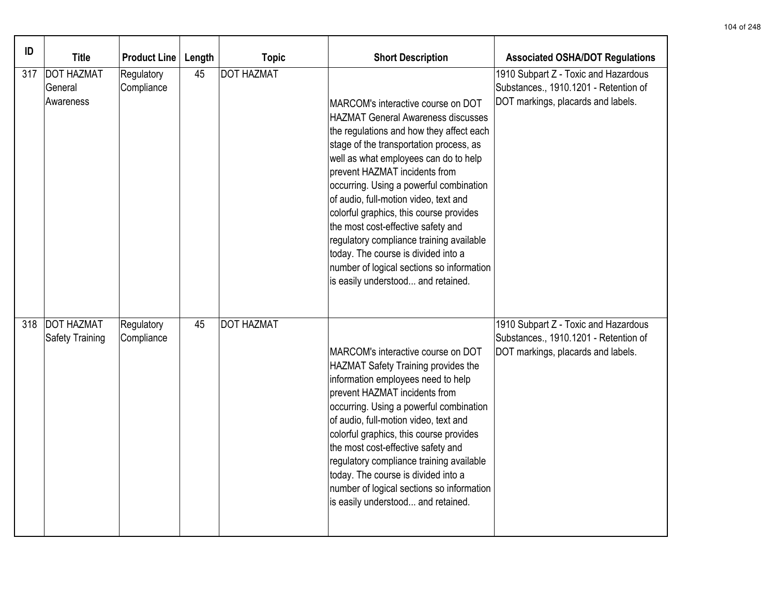| ID  | <b>Title</b>                              | <b>Product Line</b>      | Length | <b>Topic</b>      | <b>Short Description</b>                                                                                                                                                                                                                                                                                                                                                                                                                                                                                                                                                                    | <b>Associated OSHA/DOT Regulations</b>                                                                              |
|-----|-------------------------------------------|--------------------------|--------|-------------------|---------------------------------------------------------------------------------------------------------------------------------------------------------------------------------------------------------------------------------------------------------------------------------------------------------------------------------------------------------------------------------------------------------------------------------------------------------------------------------------------------------------------------------------------------------------------------------------------|---------------------------------------------------------------------------------------------------------------------|
| 317 | <b>DOT HAZMAT</b><br>General<br>Awareness | Regulatory<br>Compliance | 45     | <b>DOT HAZMAT</b> | MARCOM's interactive course on DOT<br><b>HAZMAT General Awareness discusses</b><br>the regulations and how they affect each<br>stage of the transportation process, as<br>well as what employees can do to help<br>prevent HAZMAT incidents from<br>occurring. Using a powerful combination<br>of audio, full-motion video, text and<br>colorful graphics, this course provides<br>the most cost-effective safety and<br>regulatory compliance training available<br>today. The course is divided into a<br>number of logical sections so information<br>is easily understood and retained. | 1910 Subpart Z - Toxic and Hazardous<br>Substances., 1910.1201 - Retention of<br>DOT markings, placards and labels. |
| 318 | <b>DOT HAZMAT</b><br>Safety Training      | Regulatory<br>Compliance | 45     | <b>DOT HAZMAT</b> | MARCOM's interactive course on DOT<br>HAZMAT Safety Training provides the<br>information employees need to help<br>prevent HAZMAT incidents from<br>occurring. Using a powerful combination<br>of audio, full-motion video, text and<br>colorful graphics, this course provides<br>the most cost-effective safety and<br>regulatory compliance training available<br>today. The course is divided into a<br>number of logical sections so information<br>is easily understood and retained.                                                                                                 | 1910 Subpart Z - Toxic and Hazardous<br>Substances., 1910.1201 - Retention of<br>DOT markings, placards and labels. |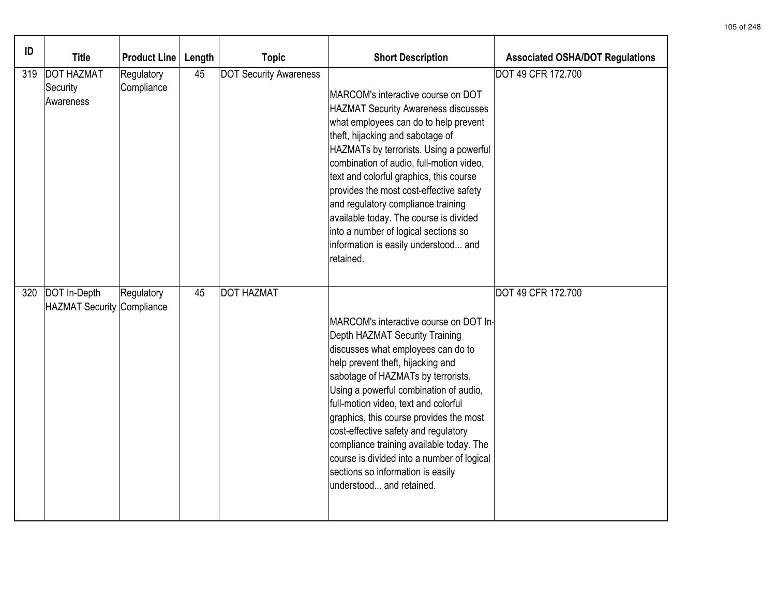| ID  | <b>Title</b>                                            | <b>Product Line</b>      | Length | <b>Topic</b>                  | <b>Short Description</b>                                                                                                                                                                                                                                                                                                                                                                                                                                                                                                         | <b>Associated OSHA/DOT Regulations</b> |
|-----|---------------------------------------------------------|--------------------------|--------|-------------------------------|----------------------------------------------------------------------------------------------------------------------------------------------------------------------------------------------------------------------------------------------------------------------------------------------------------------------------------------------------------------------------------------------------------------------------------------------------------------------------------------------------------------------------------|----------------------------------------|
| 319 | <b>DOT HAZMAT</b><br>Security<br>Awareness              | Regulatory<br>Compliance | 45     | <b>DOT Security Awareness</b> | MARCOM's interactive course on DOT<br><b>HAZMAT Security Awareness discusses</b><br>what employees can do to help prevent<br>theft, hijacking and sabotage of<br>HAZMATs by terrorists. Using a powerful<br>combination of audio, full-motion video,<br>text and colorful graphics, this course<br>provides the most cost-effective safety<br>and regulatory compliance training<br>available today. The course is divided<br>into a number of logical sections so<br>information is easily understood and<br>retained.          | <b>DOT 49 CFR 172.700</b>              |
|     | 320   DOT In-Depth<br><b>HAZMAT Security Compliance</b> | Regulatory               | 45     | <b>DOT HAZMAT</b>             | MARCOM's interactive course on DOT In-<br><b>Depth HAZMAT Security Training</b><br>discusses what employees can do to<br>help prevent theft, hijacking and<br>sabotage of HAZMATs by terrorists.<br>Using a powerful combination of audio,<br>full-motion video, text and colorful<br>graphics, this course provides the most<br>cost-effective safety and regulatory<br>compliance training available today. The<br>course is divided into a number of logical<br>sections so information is easily<br>understood and retained. | DOT 49 CFR 172.700                     |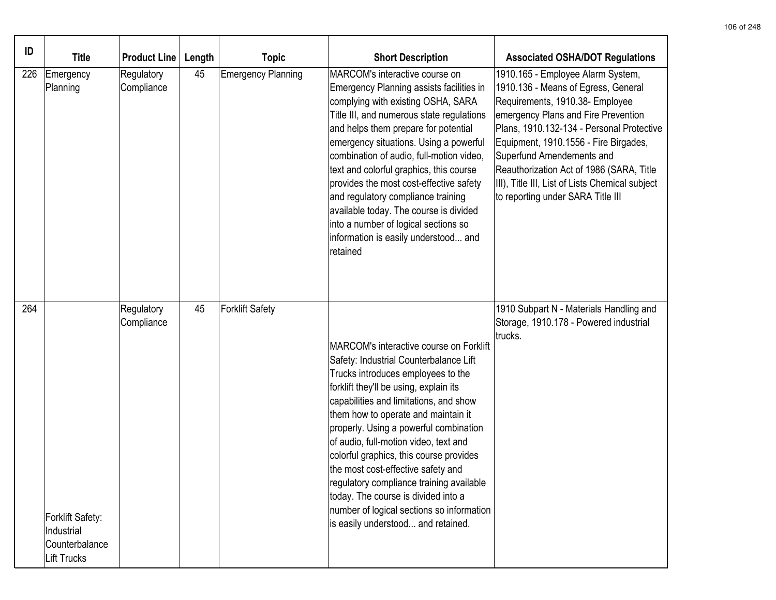| ID  | <b>Title</b>                                                           | <b>Product Line</b>      | Length | <b>Topic</b>              | <b>Short Description</b>                                                                                                                                                                                                                                                                                                                                                                                                                                                                                                                                                                     | <b>Associated OSHA/DOT Regulations</b>                                                                                                                                                                                                                                                                                                                                                                    |
|-----|------------------------------------------------------------------------|--------------------------|--------|---------------------------|----------------------------------------------------------------------------------------------------------------------------------------------------------------------------------------------------------------------------------------------------------------------------------------------------------------------------------------------------------------------------------------------------------------------------------------------------------------------------------------------------------------------------------------------------------------------------------------------|-----------------------------------------------------------------------------------------------------------------------------------------------------------------------------------------------------------------------------------------------------------------------------------------------------------------------------------------------------------------------------------------------------------|
| 226 | Emergency<br>Planning                                                  | Regulatory<br>Compliance | 45     | <b>Emergency Planning</b> | MARCOM's interactive course on<br>Emergency Planning assists facilities in<br>complying with existing OSHA, SARA<br>Title III, and numerous state regulations<br>and helps them prepare for potential<br>emergency situations. Using a powerful<br>combination of audio, full-motion video,<br>text and colorful graphics, this course<br>provides the most cost-effective safety<br>and regulatory compliance training<br>available today. The course is divided<br>into a number of logical sections so<br>information is easily understood and<br>retained                                | 1910.165 - Employee Alarm System,<br>1910.136 - Means of Egress, General<br>Requirements, 1910.38- Employee<br>emergency Plans and Fire Prevention<br>Plans, 1910.132-134 - Personal Protective<br>Equipment, 1910.1556 - Fire Birgades,<br>Superfund Amendements and<br>Reauthorization Act of 1986 (SARA, Title<br>III), Title III, List of Lists Chemical subject<br>to reporting under SARA Title III |
| 264 | Forklift Safety:<br>Industrial<br>Counterbalance<br><b>Lift Trucks</b> | Regulatory<br>Compliance | 45     | <b>Forklift Safety</b>    | MARCOM's interactive course on Forklift<br>Safety: Industrial Counterbalance Lift<br>Trucks introduces employees to the<br>forklift they'll be using, explain its<br>capabilities and limitations, and show<br>them how to operate and maintain it<br>properly. Using a powerful combination<br>of audio, full-motion video, text and<br>colorful graphics, this course provides<br>the most cost-effective safety and<br>regulatory compliance training available<br>today. The course is divided into a<br>number of logical sections so information<br>is easily understood and retained. | 1910 Subpart N - Materials Handling and<br>Storage, 1910.178 - Powered industrial<br>trucks.                                                                                                                                                                                                                                                                                                              |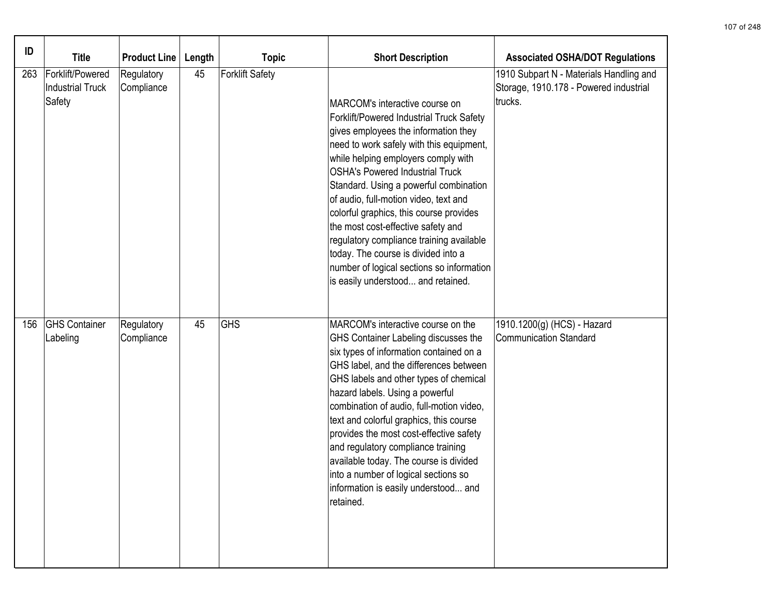| ID  | <b>Title</b>                                          | <b>Product Line</b>      | Length | <b>Topic</b>           | <b>Short Description</b>                                                                                                                                                                                                                                                                                                                                                                                                                                                                                                                                                           | <b>Associated OSHA/DOT Regulations</b>                                                       |
|-----|-------------------------------------------------------|--------------------------|--------|------------------------|------------------------------------------------------------------------------------------------------------------------------------------------------------------------------------------------------------------------------------------------------------------------------------------------------------------------------------------------------------------------------------------------------------------------------------------------------------------------------------------------------------------------------------------------------------------------------------|----------------------------------------------------------------------------------------------|
| 263 | Forklift/Powered<br><b>Industrial Truck</b><br>Safety | Regulatory<br>Compliance | 45     | <b>Forklift Safety</b> | MARCOM's interactive course on<br>Forklift/Powered Industrial Truck Safety<br>gives employees the information they<br>need to work safely with this equipment,<br>while helping employers comply with<br>OSHA's Powered Industrial Truck<br>Standard. Using a powerful combination<br>of audio, full-motion video, text and<br>colorful graphics, this course provides<br>the most cost-effective safety and<br>regulatory compliance training available<br>today. The course is divided into a<br>number of logical sections so information<br>is easily understood and retained. | 1910 Subpart N - Materials Handling and<br>Storage, 1910.178 - Powered industrial<br>trucks. |
| 156 | <b>GHS</b> Container<br>Labeling                      | Regulatory<br>Compliance | 45     | <b>GHS</b>             | MARCOM's interactive course on the<br>GHS Container Labeling discusses the<br>six types of information contained on a<br>GHS label, and the differences between<br>GHS labels and other types of chemical<br>hazard labels. Using a powerful<br>combination of audio, full-motion video,<br>text and colorful graphics, this course<br>provides the most cost-effective safety<br>and regulatory compliance training<br>available today. The course is divided<br>into a number of logical sections so<br>information is easily understood and<br>retained.                        | 1910.1200(g) (HCS) - Hazard<br><b>Communication Standard</b>                                 |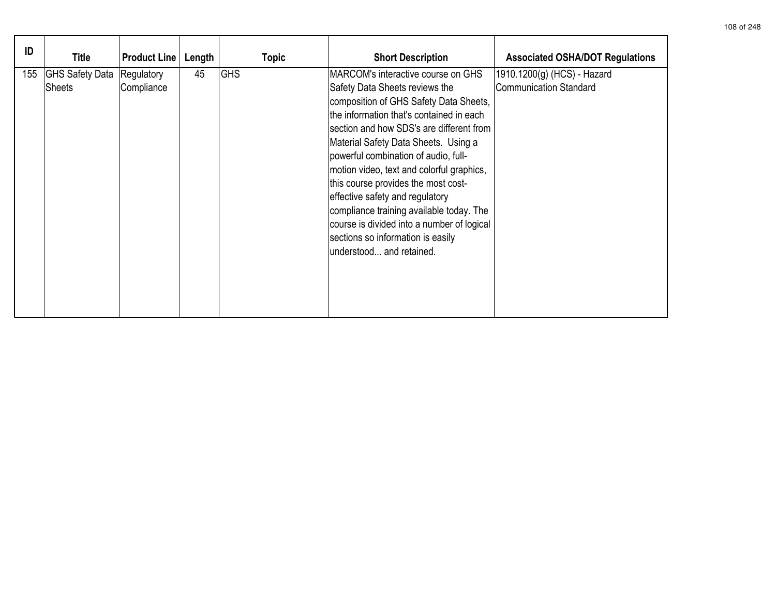| ID  | Title                            | <b>Product Line</b>      | Length | <b>Topic</b> | <b>Short Description</b>                                                                                                                                                                                                                                                                                                                                                                                                                                                                                                                                                 | <b>Associated OSHA/DOT Regulations</b>                       |
|-----|----------------------------------|--------------------------|--------|--------------|--------------------------------------------------------------------------------------------------------------------------------------------------------------------------------------------------------------------------------------------------------------------------------------------------------------------------------------------------------------------------------------------------------------------------------------------------------------------------------------------------------------------------------------------------------------------------|--------------------------------------------------------------|
| 155 | <b>GHS Safety Data</b><br>Sheets | Regulatory<br>Compliance | 45     | <b>GHS</b>   | MARCOM's interactive course on GHS<br>Safety Data Sheets reviews the<br>composition of GHS Safety Data Sheets,<br>the information that's contained in each<br>section and how SDS's are different from<br>Material Safety Data Sheets. Using a<br>powerful combination of audio, full-<br>motion video, text and colorful graphics,<br>this course provides the most cost-<br>effective safety and regulatory<br>compliance training available today. The<br>course is divided into a number of logical<br>sections so information is easily<br>understood and retained. | 1910.1200(g) (HCS) - Hazard<br><b>Communication Standard</b> |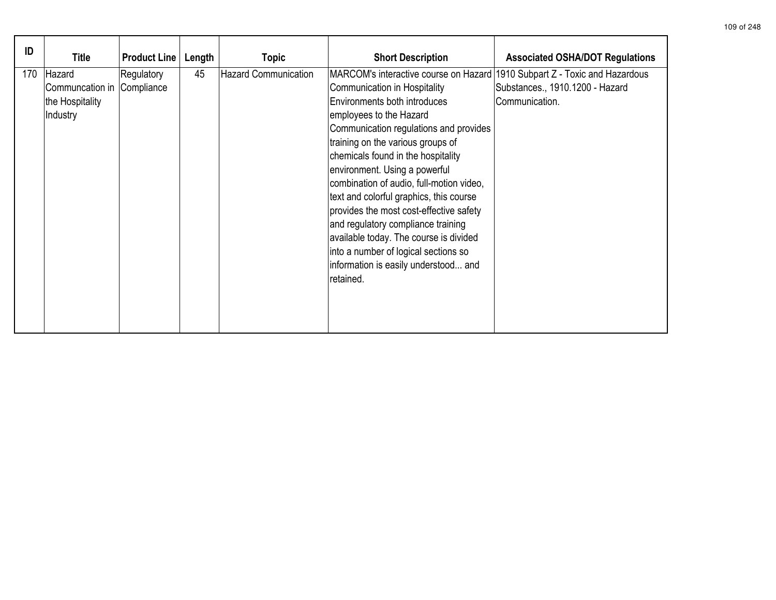| ID  | Title                                                               | <b>Product Line</b> | Length | <b>Topic</b>                | <b>Short Description</b>                                                                                                                                                                                                                                                                                                                                                                                                                                                                                                                                                                                                                   | <b>Associated OSHA/DOT Regulations</b>            |
|-----|---------------------------------------------------------------------|---------------------|--------|-----------------------------|--------------------------------------------------------------------------------------------------------------------------------------------------------------------------------------------------------------------------------------------------------------------------------------------------------------------------------------------------------------------------------------------------------------------------------------------------------------------------------------------------------------------------------------------------------------------------------------------------------------------------------------------|---------------------------------------------------|
| 170 | Hazard<br>Communcation in Compliance<br>the Hospitality<br>Industry | Regulatory          | 45     | <b>Hazard Communication</b> | MARCOM's interactive course on Hazard 1910 Subpart Z - Toxic and Hazardous<br>Communication in Hospitality<br>Environments both introduces<br>employees to the Hazard<br>Communication regulations and provides<br>training on the various groups of<br>chemicals found in the hospitality<br>environment. Using a powerful<br>combination of audio, full-motion video,<br>text and colorful graphics, this course<br>provides the most cost-effective safety<br>and regulatory compliance training<br>available today. The course is divided<br>into a number of logical sections so<br>information is easily understood and<br>retained. | Substances., 1910.1200 - Hazard<br>Communication. |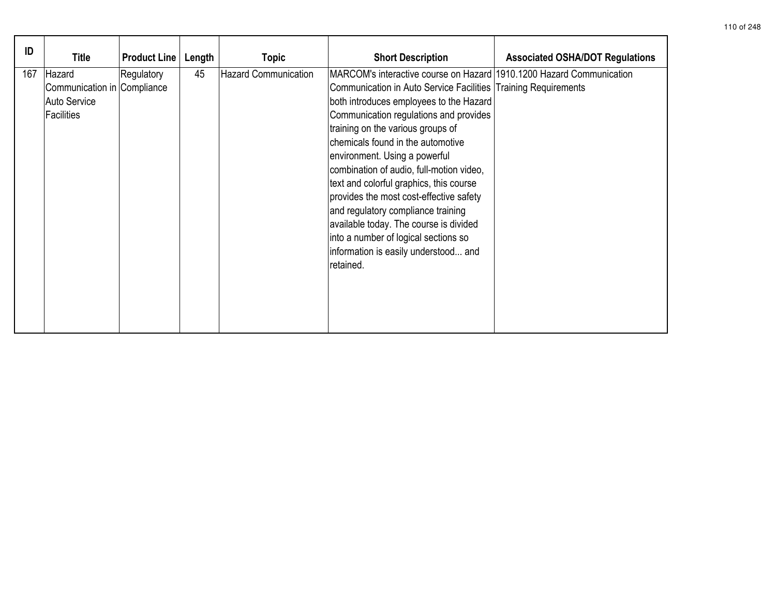| ID  | Title                                                               | <b>Product Line</b> | Length | <b>Topic</b>         | <b>Short Description</b>                                                                                                                                                                                                                                                                                                                                                                                                                                                                                                                                                                                                                              | <b>Associated OSHA/DOT Regulations</b> |
|-----|---------------------------------------------------------------------|---------------------|--------|----------------------|-------------------------------------------------------------------------------------------------------------------------------------------------------------------------------------------------------------------------------------------------------------------------------------------------------------------------------------------------------------------------------------------------------------------------------------------------------------------------------------------------------------------------------------------------------------------------------------------------------------------------------------------------------|----------------------------------------|
| 167 | Hazard<br>Communication in Compliance<br>Auto Service<br>Facilities | Regulatory          | 45     | Hazard Communication | MARCOM's interactive course on Hazard 1910.1200 Hazard Communication<br>Communication in Auto Service Facilities Training Requirements<br>both introduces employees to the Hazard<br>Communication regulations and provides<br>training on the various groups of<br>chemicals found in the automotive<br>environment. Using a powerful<br>combination of audio, full-motion video,<br>text and colorful graphics, this course<br>provides the most cost-effective safety<br>and regulatory compliance training<br>available today. The course is divided<br>into a number of logical sections so<br>information is easily understood and<br>retained. |                                        |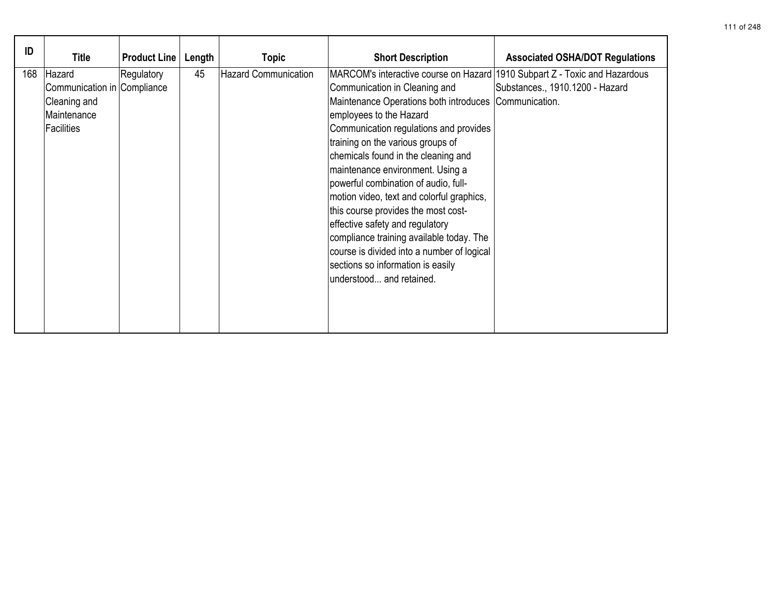| ID  | Title                                                                              | <b>Product Line</b> | Length | <b>Topic</b>                | <b>Short Description</b>                                                                                                                                                                                                                                                                                                                                                                                                                                                                                                                                                                                                                                                            | <b>Associated OSHA/DOT Regulations</b> |
|-----|------------------------------------------------------------------------------------|---------------------|--------|-----------------------------|-------------------------------------------------------------------------------------------------------------------------------------------------------------------------------------------------------------------------------------------------------------------------------------------------------------------------------------------------------------------------------------------------------------------------------------------------------------------------------------------------------------------------------------------------------------------------------------------------------------------------------------------------------------------------------------|----------------------------------------|
| 168 | Hazard<br>Communication in Compliance<br>Cleaning and<br>Maintenance<br>Facilities | Regulatory          | 45     | <b>Hazard Communication</b> | MARCOM's interactive course on Hazard 1910 Subpart Z - Toxic and Hazardous<br>Communication in Cleaning and<br>Maintenance Operations both introduces Communication.<br>employees to the Hazard<br>Communication regulations and provides<br>training on the various groups of<br>chemicals found in the cleaning and<br>maintenance environment. Using a<br>powerful combination of audio, full-<br>motion video, text and colorful graphics,<br>this course provides the most cost-<br>effective safety and regulatory<br>compliance training available today. The<br>course is divided into a number of logical<br>sections so information is easily<br>understood and retained. | Substances., 1910.1200 - Hazard        |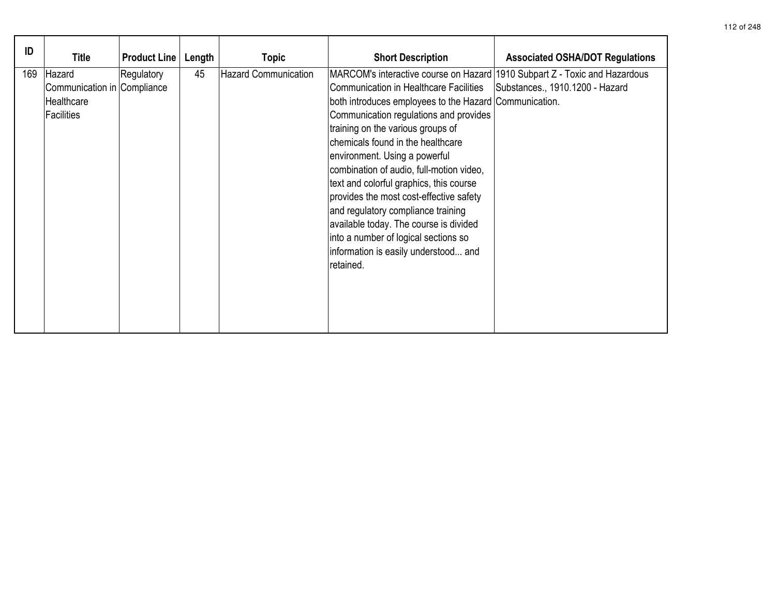| ID  | <b>Title</b>                                                      | <b>Product Line</b> | Length | <b>Topic</b>                | <b>Short Description</b>                                                                                                                                                                                                                                                                                                                                                                                                                                                                                                                                                                                                                                  | <b>Associated OSHA/DOT Regulations</b> |
|-----|-------------------------------------------------------------------|---------------------|--------|-----------------------------|-----------------------------------------------------------------------------------------------------------------------------------------------------------------------------------------------------------------------------------------------------------------------------------------------------------------------------------------------------------------------------------------------------------------------------------------------------------------------------------------------------------------------------------------------------------------------------------------------------------------------------------------------------------|----------------------------------------|
| 169 | Hazard<br>Communication in Compliance<br>Healthcare<br>Facilities | Regulatory          | 45     | <b>Hazard Communication</b> | MARCOM's interactive course on Hazard 1910 Subpart Z - Toxic and Hazardous<br><b>Communication in Healthcare Facilities</b><br>both introduces employees to the Hazard Communication.<br>Communication regulations and provides<br>training on the various groups of<br>chemicals found in the healthcare<br>environment. Using a powerful<br>combination of audio, full-motion video,<br>text and colorful graphics, this course<br>provides the most cost-effective safety<br>and regulatory compliance training<br>available today. The course is divided<br>into a number of logical sections so<br>information is easily understood and<br>retained. | Substances., 1910.1200 - Hazard        |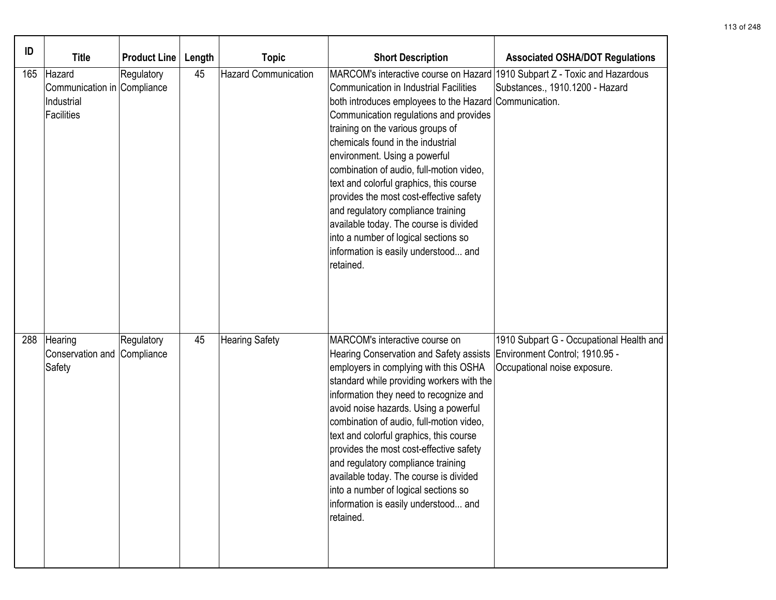| ID  | <b>Title</b>                                                      | <b>Product Line</b> | Length | <b>Topic</b>                | <b>Short Description</b>                                                                                                                                                                                                                                                                                                                                                                                                                                                                                                                                                                                             | <b>Associated OSHA/DOT Regulations</b>                                                                     |
|-----|-------------------------------------------------------------------|---------------------|--------|-----------------------------|----------------------------------------------------------------------------------------------------------------------------------------------------------------------------------------------------------------------------------------------------------------------------------------------------------------------------------------------------------------------------------------------------------------------------------------------------------------------------------------------------------------------------------------------------------------------------------------------------------------------|------------------------------------------------------------------------------------------------------------|
| 165 | Hazard<br>Communication in Compliance<br>Industrial<br>Facilities | Regulatory          | 45     | <b>Hazard Communication</b> | MARCOM's interactive course on Hazard<br><b>Communication in Industrial Facilities</b><br>both introduces employees to the Hazard Communication.<br>Communication regulations and provides<br>training on the various groups of<br>chemicals found in the industrial<br>environment. Using a powerful<br>combination of audio, full-motion video,<br>text and colorful graphics, this course<br>provides the most cost-effective safety<br>and regulatory compliance training<br>available today. The course is divided<br>into a number of logical sections so<br>information is easily understood and<br>retained. | 1910 Subpart Z - Toxic and Hazardous<br>Substances., 1910.1200 - Hazard                                    |
| 288 | Hearing<br>Conservation and Compliance<br>Safety                  | Regulatory          | 45     | <b>Hearing Safety</b>       | MARCOM's interactive course on<br>Hearing Conservation and Safety assists<br>employers in complying with this OSHA<br>standard while providing workers with the<br>information they need to recognize and<br>avoid noise hazards. Using a powerful<br>combination of audio, full-motion video,<br>text and colorful graphics, this course<br>provides the most cost-effective safety<br>and regulatory compliance training<br>available today. The course is divided<br>into a number of logical sections so<br>information is easily understood and<br>retained.                                                    | 1910 Subpart G - Occupational Health and<br>Environment Control; 1910.95 -<br>Occupational noise exposure. |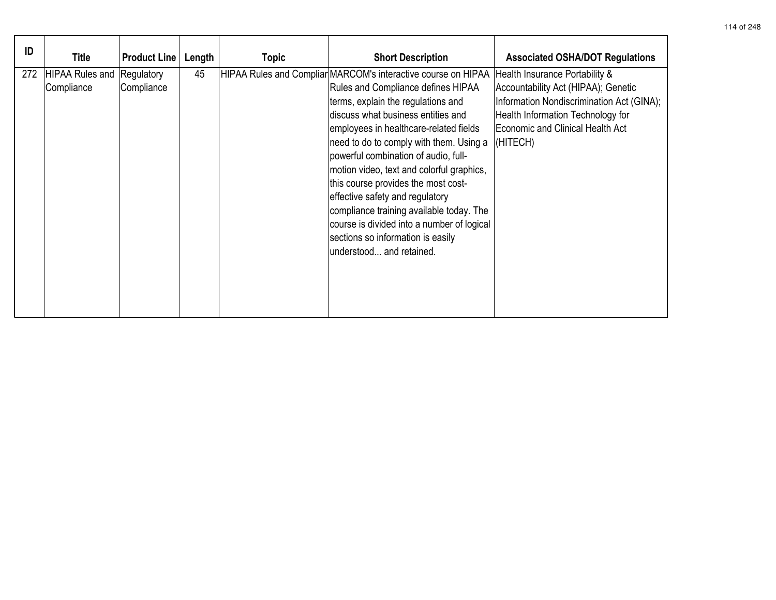| ID  | Title                                           | <b>Product Line</b> | Length | <b>Topic</b> | <b>Short Description</b>                                                                                                                                                                                                                                                                                                                                                                                                                                                                                                                                                                                                             | <b>Associated OSHA/DOT Regulations</b>                                                                                                                                |
|-----|-------------------------------------------------|---------------------|--------|--------------|--------------------------------------------------------------------------------------------------------------------------------------------------------------------------------------------------------------------------------------------------------------------------------------------------------------------------------------------------------------------------------------------------------------------------------------------------------------------------------------------------------------------------------------------------------------------------------------------------------------------------------------|-----------------------------------------------------------------------------------------------------------------------------------------------------------------------|
| 272 | <b>HIPAA Rules and Regulatory</b><br>Compliance | Compliance          | 45     |              | HIPAA Rules and Compliar MARCOM's interactive course on HIPAA Health Insurance Portability &<br><b>Rules and Compliance defines HIPAA</b><br>terms, explain the regulations and<br>discuss what business entities and<br>employees in healthcare-related fields<br>need to do to comply with them. Using a<br>powerful combination of audio, full-<br>motion video, text and colorful graphics,<br>this course provides the most cost-<br>effective safety and regulatory<br>compliance training available today. The<br>course is divided into a number of logical<br>sections so information is easily<br>understood and retained. | Accountability Act (HIPAA); Genetic<br>Information Nondiscrimination Act (GINA);<br>Health Information Technology for<br>Economic and Clinical Health Act<br>(HITECH) |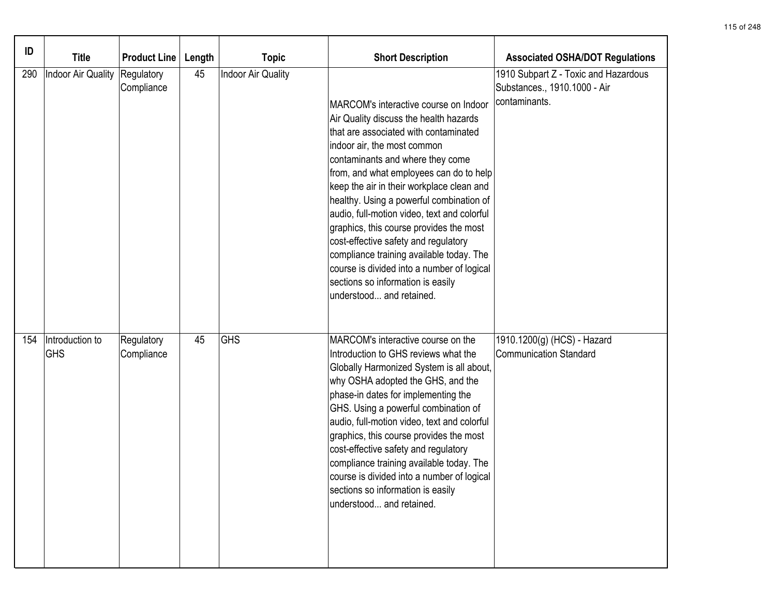| ID  | <b>Title</b>                  | <b>Product Line</b>      | Length | <b>Topic</b>       | <b>Short Description</b>                                                                                                                                                                                                                                                                                                                                                                                                                                                                                                                                                                                                     | <b>Associated OSHA/DOT Regulations</b>                                                |
|-----|-------------------------------|--------------------------|--------|--------------------|------------------------------------------------------------------------------------------------------------------------------------------------------------------------------------------------------------------------------------------------------------------------------------------------------------------------------------------------------------------------------------------------------------------------------------------------------------------------------------------------------------------------------------------------------------------------------------------------------------------------------|---------------------------------------------------------------------------------------|
| 290 | Indoor Air Quality            | Regulatory<br>Compliance | 45     | Indoor Air Quality | MARCOM's interactive course on Indoor<br>Air Quality discuss the health hazards<br>that are associated with contaminated<br>indoor air, the most common<br>contaminants and where they come<br>from, and what employees can do to help<br>keep the air in their workplace clean and<br>healthy. Using a powerful combination of<br>audio, full-motion video, text and colorful<br>graphics, this course provides the most<br>cost-effective safety and regulatory<br>compliance training available today. The<br>course is divided into a number of logical<br>sections so information is easily<br>understood and retained. | 1910 Subpart Z - Toxic and Hazardous<br>Substances., 1910.1000 - Air<br>contaminants. |
| 154 | Introduction to<br><b>GHS</b> | Regulatory<br>Compliance | 45     | <b>GHS</b>         | MARCOM's interactive course on the<br>Introduction to GHS reviews what the<br>Globally Harmonized System is all about,<br>why OSHA adopted the GHS, and the<br>phase-in dates for implementing the<br>GHS. Using a powerful combination of<br>audio, full-motion video, text and colorful<br>graphics, this course provides the most<br>cost-effective safety and regulatory<br>compliance training available today. The<br>course is divided into a number of logical<br>sections so information is easily<br>understood and retained.                                                                                      | 1910.1200(g) (HCS) - Hazard<br><b>Communication Standard</b>                          |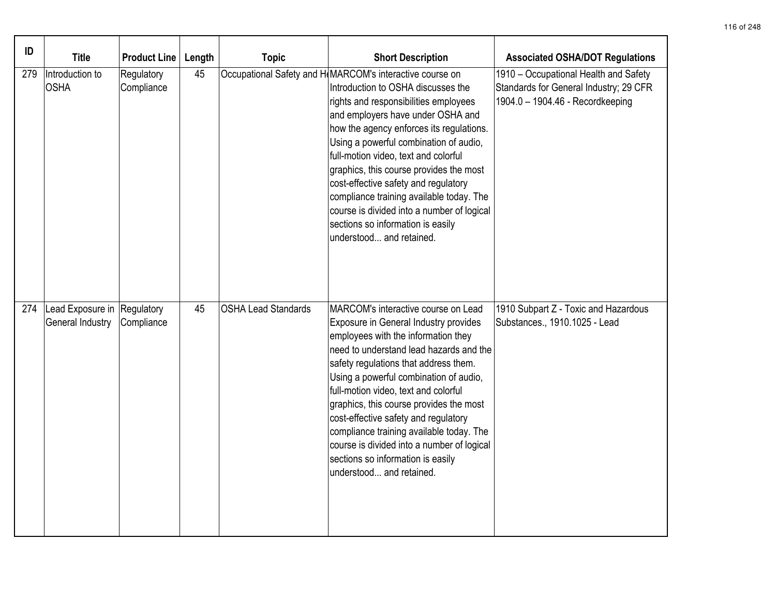| ID  | <b>Title</b>                                    | <b>Product Line</b>      | Length | <b>Topic</b>               | <b>Short Description</b>                                                                                                                                                                                                                                                                                                                                                                                                                                                                                                                                 | <b>Associated OSHA/DOT Regulations</b>                                                                              |
|-----|-------------------------------------------------|--------------------------|--------|----------------------------|----------------------------------------------------------------------------------------------------------------------------------------------------------------------------------------------------------------------------------------------------------------------------------------------------------------------------------------------------------------------------------------------------------------------------------------------------------------------------------------------------------------------------------------------------------|---------------------------------------------------------------------------------------------------------------------|
| 279 | Introduction to<br><b>OSHA</b>                  | Regulatory<br>Compliance | 45     |                            | Occupational Safety and H(MARCOM's interactive course on<br>Introduction to OSHA discusses the<br>rights and responsibilities employees<br>and employers have under OSHA and<br>how the agency enforces its regulations.<br>Using a powerful combination of audio,<br>full-motion video, text and colorful<br>graphics, this course provides the most<br>cost-effective safety and regulatory<br>compliance training available today. The<br>course is divided into a number of logical<br>sections so information is easily<br>understood and retained. | 1910 - Occupational Health and Safety<br>Standards for General Industry; 29 CFR<br>1904.0 - 1904.46 - Recordkeeping |
| 274 | Lead Exposure in Regulatory<br>General Industry | Compliance               | 45     | <b>OSHA Lead Standards</b> | MARCOM's interactive course on Lead<br>Exposure in General Industry provides<br>employees with the information they<br>need to understand lead hazards and the<br>safety regulations that address them.<br>Using a powerful combination of audio,<br>full-motion video, text and colorful<br>graphics, this course provides the most<br>cost-effective safety and regulatory<br>compliance training available today. The<br>course is divided into a number of logical<br>sections so information is easily<br>understood and retained.                  | 1910 Subpart Z - Toxic and Hazardous<br>Substances., 1910.1025 - Lead                                               |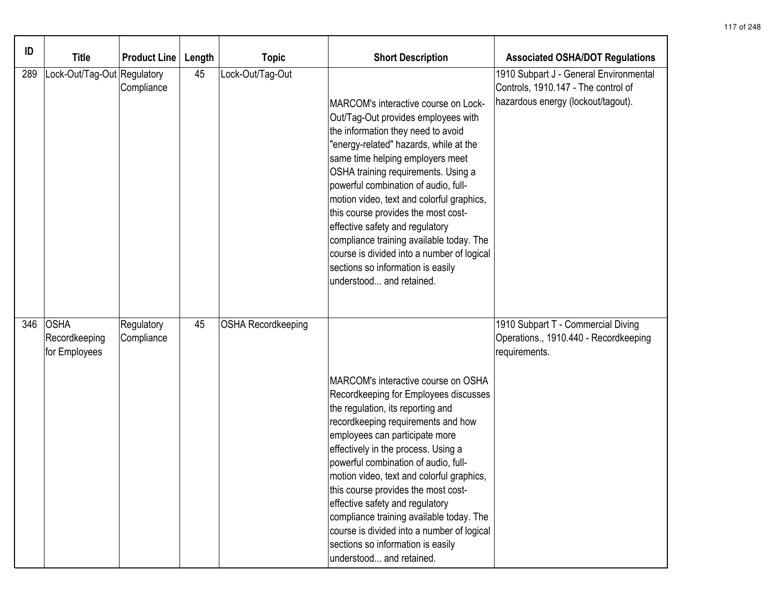| ID  | <b>Title</b>                                  | <b>Product Line</b>      | Length | <b>Topic</b>              | <b>Short Description</b>                                                                                                                                                                                                                                                                                                                                                                                                                                                                                                                                         | <b>Associated OSHA/DOT Regulations</b>                                                                              |
|-----|-----------------------------------------------|--------------------------|--------|---------------------------|------------------------------------------------------------------------------------------------------------------------------------------------------------------------------------------------------------------------------------------------------------------------------------------------------------------------------------------------------------------------------------------------------------------------------------------------------------------------------------------------------------------------------------------------------------------|---------------------------------------------------------------------------------------------------------------------|
| 289 | Lock-Out/Tag-Out Regulatory                   | Compliance               | 45     | Lock-Out/Tag-Out          | MARCOM's interactive course on Lock-<br>Out/Tag-Out provides employees with<br>the information they need to avoid<br>"energy-related" hazards, while at the<br>same time helping employers meet<br>OSHA training requirements. Using a<br>powerful combination of audio, full-<br>motion video, text and colorful graphics,<br>this course provides the most cost-<br>effective safety and regulatory<br>compliance training available today. The<br>course is divided into a number of logical<br>sections so information is easily<br>understood and retained. | 1910 Subpart J - General Environmental<br>Controls, 1910.147 - The control of<br>hazardous energy (lockout/tagout). |
| 346 | <b>OSHA</b><br>Recordkeeping<br>for Employees | Regulatory<br>Compliance | 45     | <b>OSHA Recordkeeping</b> | MARCOM's interactive course on OSHA<br>Recordkeeping for Employees discusses<br>the regulation, its reporting and<br>recordkeeping requirements and how<br>employees can participate more<br>effectively in the process. Using a<br>powerful combination of audio, full-<br>motion video, text and colorful graphics,<br>this course provides the most cost-<br>effective safety and regulatory<br>compliance training available today. The<br>course is divided into a number of logical<br>sections so information is easily<br>understood and retained.       | 1910 Subpart T - Commercial Diving<br>Operations., 1910.440 - Recordkeeping<br>requirements.                        |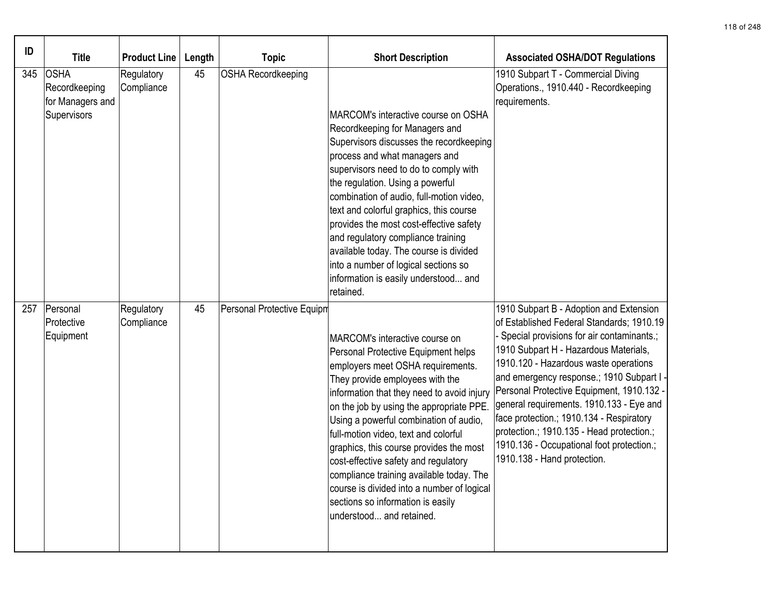| ID  | <b>Title</b>                                                    | <b>Product Line</b>      | Length | <b>Topic</b>               | <b>Short Description</b>                                                                                                                                                                                                                                                                                                                                                                                                                                                                                                                                                | <b>Associated OSHA/DOT Regulations</b>                                                                                                                                                                                                                                                                                                                                                                                                                                                                                       |
|-----|-----------------------------------------------------------------|--------------------------|--------|----------------------------|-------------------------------------------------------------------------------------------------------------------------------------------------------------------------------------------------------------------------------------------------------------------------------------------------------------------------------------------------------------------------------------------------------------------------------------------------------------------------------------------------------------------------------------------------------------------------|------------------------------------------------------------------------------------------------------------------------------------------------------------------------------------------------------------------------------------------------------------------------------------------------------------------------------------------------------------------------------------------------------------------------------------------------------------------------------------------------------------------------------|
| 345 | <b>OSHA</b><br>Recordkeeping<br>for Managers and<br>Supervisors | Regulatory<br>Compliance | 45     | <b>OSHA Recordkeeping</b>  | MARCOM's interactive course on OSHA<br>Recordkeeping for Managers and<br>Supervisors discusses the recordkeeping<br>process and what managers and<br>supervisors need to do to comply with<br>the regulation. Using a powerful<br>combination of audio, full-motion video,<br>text and colorful graphics, this course<br>provides the most cost-effective safety<br>and regulatory compliance training<br>available today. The course is divided<br>into a number of logical sections so<br>information is easily understood and<br>retained.                           | 1910 Subpart T - Commercial Diving<br>Operations., 1910.440 - Recordkeeping<br>requirements.                                                                                                                                                                                                                                                                                                                                                                                                                                 |
| 257 | Personal<br>Protective<br>Equipment                             | Regulatory<br>Compliance | 45     | Personal Protective Equipm | MARCOM's interactive course on<br>Personal Protective Equipment helps<br>employers meet OSHA requirements.<br>They provide employees with the<br>information that they need to avoid injury<br>on the job by using the appropriate PPE.<br>Using a powerful combination of audio,<br>full-motion video, text and colorful<br>graphics, this course provides the most<br>cost-effective safety and regulatory<br>compliance training available today. The<br>course is divided into a number of logical<br>sections so information is easily<br>understood and retained. | 1910 Subpart B - Adoption and Extension<br>of Established Federal Standards; 1910.19<br>Special provisions for air contaminants.;<br>1910 Subpart H - Hazardous Materials,<br>1910.120 - Hazardous waste operations<br>and emergency response.; 1910 Subpart I<br>Personal Protective Equipment, 1910.132 ·<br>general requirements. 1910.133 - Eye and<br>face protection.; 1910.134 - Respiratory<br>protection.; 1910.135 - Head protection.;<br>1910.136 - Occupational foot protection.;<br>1910.138 - Hand protection. |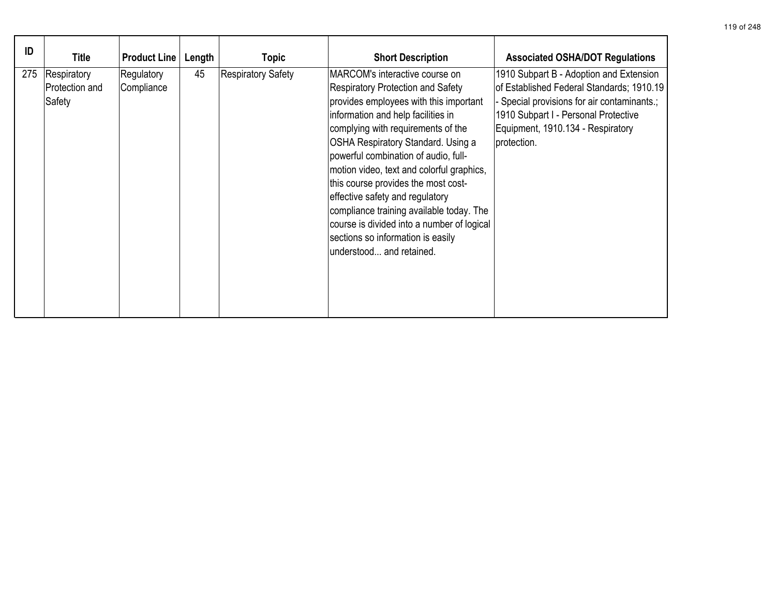| ID  | Title                                   | <b>Product Line</b>      | Length | <b>Topic</b>              | <b>Short Description</b>                                                                                                                                                                                                                                                                                                                                                                                                                                                                                                                                                | <b>Associated OSHA/DOT Regulations</b>                                                                                                                                                                                          |
|-----|-----------------------------------------|--------------------------|--------|---------------------------|-------------------------------------------------------------------------------------------------------------------------------------------------------------------------------------------------------------------------------------------------------------------------------------------------------------------------------------------------------------------------------------------------------------------------------------------------------------------------------------------------------------------------------------------------------------------------|---------------------------------------------------------------------------------------------------------------------------------------------------------------------------------------------------------------------------------|
| 275 | Respiratory<br>Protection and<br>Safety | Regulatory<br>Compliance | 45     | <b>Respiratory Safety</b> | MARCOM's interactive course on<br><b>Respiratory Protection and Safety</b><br>provides employees with this important<br>information and help facilities in<br>complying with requirements of the<br><b>OSHA Respiratory Standard. Using a</b><br>powerful combination of audio, full-<br>motion video, text and colorful graphics,<br>this course provides the most cost-<br>effective safety and regulatory<br>compliance training available today. The<br>course is divided into a number of logical<br>sections so information is easily<br>understood and retained. | 1910 Subpart B - Adoption and Extension<br>of Established Federal Standards; 1910.19<br>- Special provisions for air contaminants.;<br>1910 Subpart I - Personal Protective<br>Equipment, 1910.134 - Respiratory<br>protection. |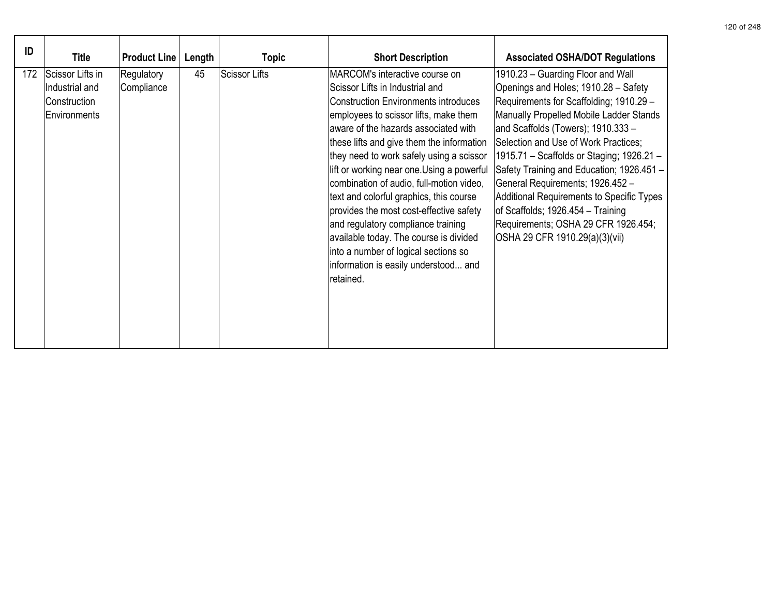| ID  | <b>Title</b>                                                       | <b>Product Line</b>      | Length | Topic                | <b>Short Description</b>                                                                                                                                                                                                                                                                                                                                                                                                                                                                                                                                                                                                                               | <b>Associated OSHA/DOT Regulations</b>                                                                                                                                                                                                                                                                                                                                                                                                                                                                                                 |
|-----|--------------------------------------------------------------------|--------------------------|--------|----------------------|--------------------------------------------------------------------------------------------------------------------------------------------------------------------------------------------------------------------------------------------------------------------------------------------------------------------------------------------------------------------------------------------------------------------------------------------------------------------------------------------------------------------------------------------------------------------------------------------------------------------------------------------------------|----------------------------------------------------------------------------------------------------------------------------------------------------------------------------------------------------------------------------------------------------------------------------------------------------------------------------------------------------------------------------------------------------------------------------------------------------------------------------------------------------------------------------------------|
| 172 | Scissor Lifts in<br>Industrial and<br>Construction<br>Environments | Regulatory<br>Compliance | 45     | <b>Scissor Lifts</b> | MARCOM's interactive course on<br>Scissor Lifts in Industrial and<br><b>Construction Environments introduces</b><br>employees to scissor lifts, make them<br>aware of the hazards associated with<br>these lifts and give them the information<br>they need to work safely using a scissor<br>lift or working near one.Using a powerful<br>combination of audio, full-motion video,<br>text and colorful graphics, this course<br>provides the most cost-effective safety<br>and regulatory compliance training<br>available today. The course is divided<br>into a number of logical sections so<br>information is easily understood and<br>retained. | 1910.23 - Guarding Floor and Wall<br>Openings and Holes; 1910.28 - Safety<br>Requirements for Scaffolding; 1910.29 -<br>Manually Propelled Mobile Ladder Stands<br>and Scaffolds (Towers); 1910.333 -<br>Selection and Use of Work Practices;<br>1915.71 - Scaffolds or Staging; 1926.21 -<br>Safety Training and Education; 1926.451 -<br>General Requirements; 1926.452 -<br>Additional Requirements to Specific Types<br>of Scaffolds; 1926.454 - Training<br>Requirements; OSHA 29 CFR 1926.454;<br>OSHA 29 CFR 1910.29(a)(3)(vii) |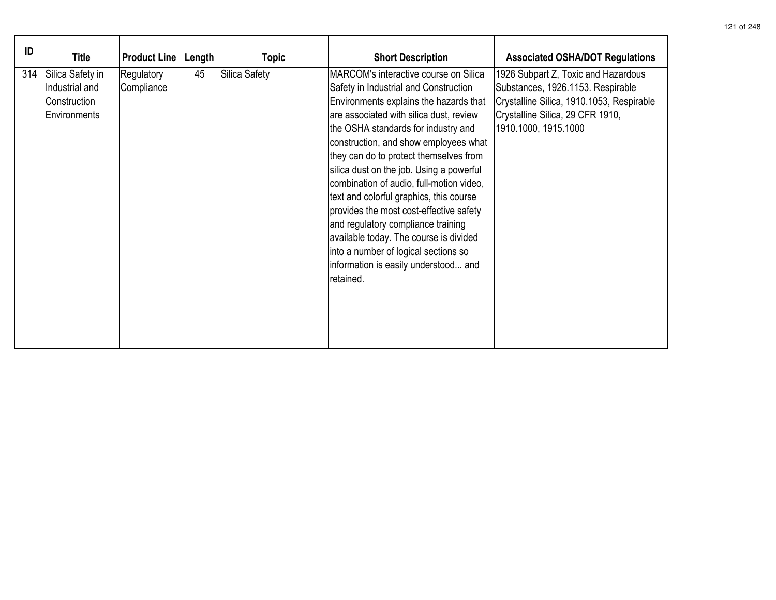| ID  | Title                                                              | <b>Product Line</b>      | Length | <b>Topic</b>  | <b>Short Description</b>                                                                                                                                                                                                                                                                                                                                                                                                                                                                                                                                                                                                                                 | <b>Associated OSHA/DOT Regulations</b>                                                                                                                                            |
|-----|--------------------------------------------------------------------|--------------------------|--------|---------------|----------------------------------------------------------------------------------------------------------------------------------------------------------------------------------------------------------------------------------------------------------------------------------------------------------------------------------------------------------------------------------------------------------------------------------------------------------------------------------------------------------------------------------------------------------------------------------------------------------------------------------------------------------|-----------------------------------------------------------------------------------------------------------------------------------------------------------------------------------|
| 314 | Silica Safety in<br>Industrial and<br>Construction<br>Environments | Regulatory<br>Compliance | 45     | Silica Safety | MARCOM's interactive course on Silica<br>Safety in Industrial and Construction<br>Environments explains the hazards that<br>are associated with silica dust, review<br>the OSHA standards for industry and<br>construction, and show employees what<br>they can do to protect themselves from<br>silica dust on the job. Using a powerful<br>combination of audio, full-motion video,<br>text and colorful graphics, this course<br>provides the most cost-effective safety<br>and regulatory compliance training<br>available today. The course is divided<br>into a number of logical sections so<br>information is easily understood and<br>retained. | 1926 Subpart Z, Toxic and Hazardous<br>Substances, 1926.1153. Respirable<br>Crystalline Silica, 1910.1053, Respirable<br>Crystalline Silica, 29 CFR 1910,<br>1910.1000, 1915.1000 |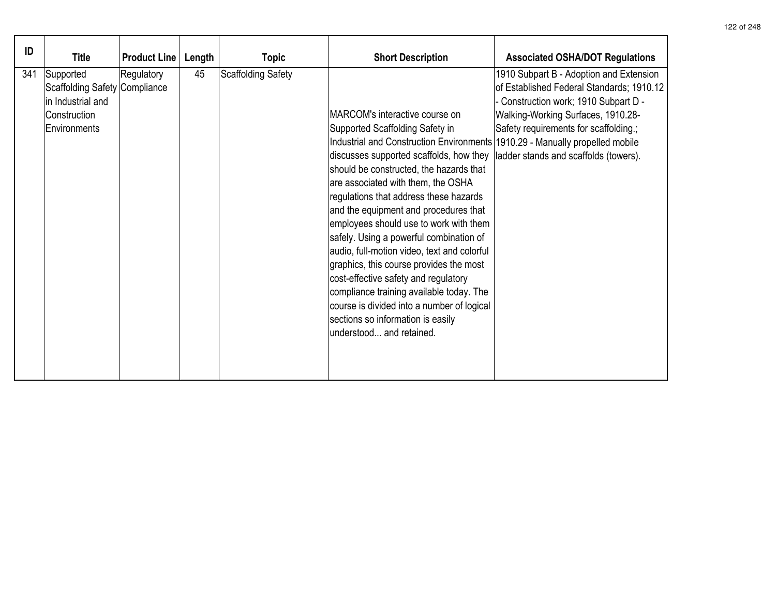| ID  | <b>Title</b>                                                                                    | <b>Product Line</b> | Length | <b>Topic</b>              | <b>Short Description</b>                                                                                                                                                                                                                                                                                                                                                                                                                                                                                                                                                                                                                                                                                                                           | <b>Associated OSHA/DOT Regulations</b>                                                                                                                                                                                                                |
|-----|-------------------------------------------------------------------------------------------------|---------------------|--------|---------------------------|----------------------------------------------------------------------------------------------------------------------------------------------------------------------------------------------------------------------------------------------------------------------------------------------------------------------------------------------------------------------------------------------------------------------------------------------------------------------------------------------------------------------------------------------------------------------------------------------------------------------------------------------------------------------------------------------------------------------------------------------------|-------------------------------------------------------------------------------------------------------------------------------------------------------------------------------------------------------------------------------------------------------|
| 341 | Supported<br>Scaffolding Safety Compliance<br>in Industrial and<br>Construction<br>Environments | Regulatory          | 45     | <b>Scaffolding Safety</b> | MARCOM's interactive course on<br>Supported Scaffolding Safety in<br>Industrial and Construction Environments 1910.29 - Manually propelled mobile<br>discusses supported scaffolds, how they<br>should be constructed, the hazards that<br>are associated with them, the OSHA<br>regulations that address these hazards<br>and the equipment and procedures that<br>employees should use to work with them<br>safely. Using a powerful combination of<br>audio, full-motion video, text and colorful<br>graphics, this course provides the most<br>cost-effective safety and regulatory<br>compliance training available today. The<br>course is divided into a number of logical<br>sections so information is easily<br>understood and retained. | 1910 Subpart B - Adoption and Extension<br>of Established Federal Standards; 1910.12<br>- Construction work; 1910 Subpart D -<br>Walking-Working Surfaces, 1910.28-<br>Safety requirements for scaffolding.;<br>ladder stands and scaffolds (towers). |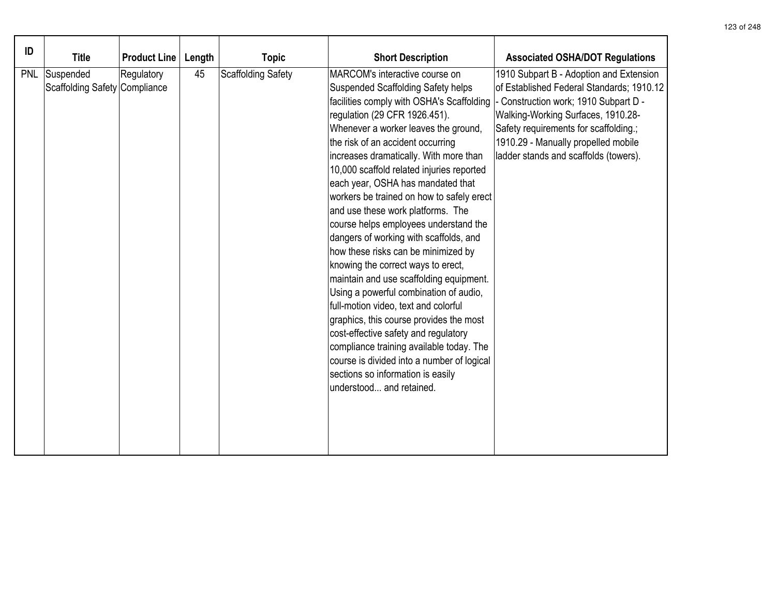| ID         |                                            |                     |        |                    |                                                                                                                                                                                                                                                                                                                                                                                                                                                                                                                                                                                                                                                                                                                                                                                                                                                                                                                                                                                                  |                                                                                                                                                                                                                                                                                              |
|------------|--------------------------------------------|---------------------|--------|--------------------|--------------------------------------------------------------------------------------------------------------------------------------------------------------------------------------------------------------------------------------------------------------------------------------------------------------------------------------------------------------------------------------------------------------------------------------------------------------------------------------------------------------------------------------------------------------------------------------------------------------------------------------------------------------------------------------------------------------------------------------------------------------------------------------------------------------------------------------------------------------------------------------------------------------------------------------------------------------------------------------------------|----------------------------------------------------------------------------------------------------------------------------------------------------------------------------------------------------------------------------------------------------------------------------------------------|
|            | <b>Title</b>                               | <b>Product Line</b> | Length | <b>Topic</b>       | <b>Short Description</b>                                                                                                                                                                                                                                                                                                                                                                                                                                                                                                                                                                                                                                                                                                                                                                                                                                                                                                                                                                         | <b>Associated OSHA/DOT Regulations</b>                                                                                                                                                                                                                                                       |
| <b>PNL</b> | Suspended<br>Scaffolding Safety Compliance | Regulatory          | 45     | Scaffolding Safety | MARCOM's interactive course on<br><b>Suspended Scaffolding Safety helps</b><br>facilities comply with OSHA's Scaffolding<br>regulation (29 CFR 1926.451).<br>Whenever a worker leaves the ground,<br>the risk of an accident occurring<br>increases dramatically. With more than<br>10,000 scaffold related injuries reported<br>each year, OSHA has mandated that<br>workers be trained on how to safely erect<br>and use these work platforms. The<br>course helps employees understand the<br>dangers of working with scaffolds, and<br>how these risks can be minimized by<br>knowing the correct ways to erect,<br>maintain and use scaffolding equipment.<br>Using a powerful combination of audio,<br>full-motion video, text and colorful<br>graphics, this course provides the most<br>cost-effective safety and regulatory<br>compliance training available today. The<br>course is divided into a number of logical<br>sections so information is easily<br>lunderstood and retained. | 1910 Subpart B - Adoption and Extension<br>of Established Federal Standards; 1910.12<br>- Construction work; 1910 Subpart D -<br>Walking-Working Surfaces, 1910.28-<br>Safety requirements for scaffolding.;<br>1910.29 - Manually propelled mobile<br>ladder stands and scaffolds (towers). |